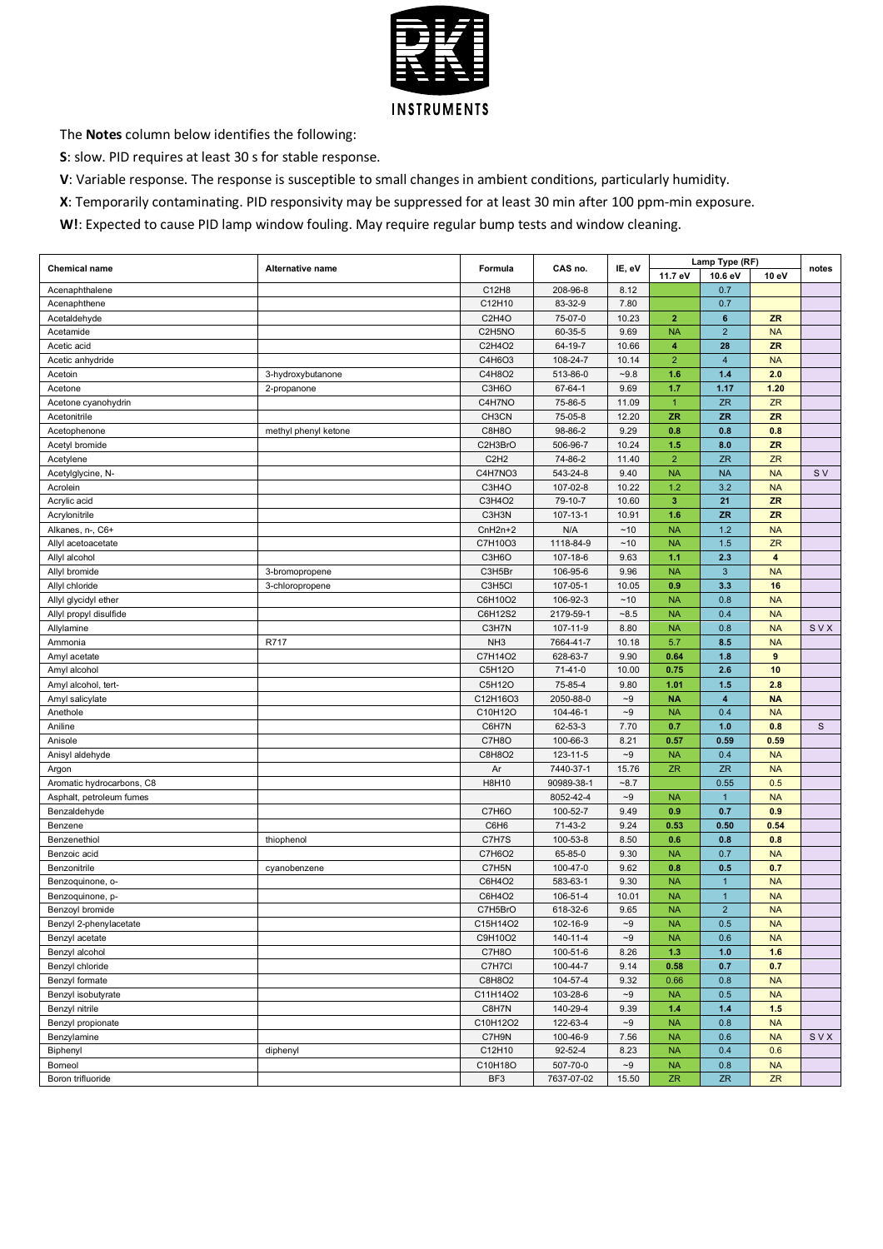

The **Notes** column below identifies the following:

**S**: slow. PID requires at least 30 s for stable response.

**V**: Variable response. The response is susceptible to small changes in ambient conditions, particularly humidity.

**X**: Temporarily contaminating. PID responsivity may be suppressed for at least 30 min after 100 ppm-min exposure.

**W!**: Expected to cause PID lamp window fouling. May require regular bump tests and window cleaning.

| <b>Chemical name</b>      | Alternative name     | Formula                       | CAS no.    | IE, eV            |                | Lamp Type (RF)          |              | notes |
|---------------------------|----------------------|-------------------------------|------------|-------------------|----------------|-------------------------|--------------|-------|
|                           |                      |                               |            |                   | 11.7 eV        | 10.6 eV                 | 10 eV        |       |
| Acenaphthalene            |                      | C12H8                         | 208-96-8   | 8.12              |                | 0.7                     |              |       |
| Acenaphthene              |                      | C12H10                        | 83-32-9    | 7.80              |                | 0.7                     |              |       |
| Acetaldehyde              |                      | C2H4O                         | 75-07-0    | 10.23             | $\overline{2}$ | 6                       | <b>ZR</b>    |       |
| Acetamide                 |                      | C2H5NO                        | 60-35-5    | 9.69              | <b>NA</b>      | $\overline{2}$          | <b>NA</b>    |       |
| Acetic acid               |                      | C2H4O2                        | 64-19-7    | 10.66             | 4              | 28                      | <b>ZR</b>    |       |
| Acetic anhydride          |                      | C4H6O3                        | 108-24-7   | 10.14             | $\overline{2}$ | $\overline{4}$          | <b>NA</b>    |       |
| Acetoin                   | 3-hydroxybutanone    | C4H8O2                        | 513-86-0   | $-9.8$            | 1.6            | $1.4$                   | 2.0          |       |
| Acetone                   | 2-propanone          | C3H6O                         | 67-64-1    | 9.69              | 1.7            | 1.17                    | 1.20         |       |
| Acetone cyanohydrin       |                      | C4H7NO                        | 75-86-5    | 11.09             | $\mathbf{1}$   | ZR                      | <b>ZR</b>    |       |
| Acetonitrile              |                      | CH3CN                         | 75-05-8    | 12.20             | <b>ZR</b>      | <b>ZR</b>               | <b>ZR</b>    |       |
|                           |                      |                               |            |                   |                |                         |              |       |
| Acetophenone              | methyl phenyl ketone | C8H8O                         | 98-86-2    | 9.29              | 0.8            | 0.8                     | 0.8          |       |
| Acetyl bromide            |                      | C2H3BrO                       | 506-96-7   | 10.24             | 1.5            | 8.0                     | <b>ZR</b>    |       |
| Acetylene                 |                      | C <sub>2</sub> H <sub>2</sub> | 74-86-2    | 11.40             | $\overline{2}$ | <b>ZR</b>               | <b>ZR</b>    |       |
| Acetylglycine, N-         |                      | C4H7NO3                       | 543-24-8   | 9.40              | <b>NA</b>      | <b>NA</b>               | <b>NA</b>    | S V   |
| Acrolein                  |                      | C3H4O                         | 107-02-8   | 10.22             | 1.2            | 3.2                     | <b>NA</b>    |       |
| Acrylic acid              |                      | C3H4O2                        | 79-10-7    | 10.60             | $\mathbf{3}$   | 21                      | <b>ZR</b>    |       |
| Acrylonitrile             |                      | C3H3N                         | 107-13-1   | 10.91             | 1.6            | <b>ZR</b>               | ZR           |       |
| Alkanes, n-, C6+          |                      | $CnH2n+2$                     | N/A        | $~10$             | <b>NA</b>      | 1.2                     | <b>NA</b>    |       |
| Allyl acetoacetate        |                      | C7H10O3                       | 1118-84-9  | $~10$             | <b>NA</b>      | 1.5                     | <b>ZR</b>    |       |
| Allyl alcohol             |                      | C3H6O                         | 107-18-6   | 9.63              | 1.1            | 2.3                     | 4            |       |
| Allyl bromide             | 3-bromopropene       | C3H5Br                        | 106-95-6   | 9.96              | <b>NA</b>      | $\mathbf{3}$            | <b>NA</b>    |       |
| Allyl chloride            | 3-chloropropene      | C3H5Cl                        | 107-05-1   | 10.05             | 0.9            | 3.3                     | 16           |       |
| Allyl glycidyl ether      |                      | C6H10O2                       | 106-92-3   | ~10               | <b>NA</b>      | 0.8                     | <b>NA</b>    |       |
| Allyl propyl disulfide    |                      | C6H12S2                       | 2179-59-1  | $-8.5$            | <b>NA</b>      | 0.4                     | <b>NA</b>    |       |
| Allylamine                |                      | C3H7N                         | 107-11-9   | 8.80              | <b>NA</b>      | 0.8                     | <b>NA</b>    | SVX   |
| Ammonia                   | R717                 | NH <sub>3</sub>               | 7664-41-7  | 10.18             | 5.7            | 8.5                     | <b>NA</b>    |       |
| Amyl acetate              |                      | C7H14O2                       | 628-63-7   | 9.90              | 0.64           | 1.8                     | $\mathbf{9}$ |       |
| Amyl alcohol              |                      | C5H12O                        | $71-41-0$  | 10.00             | 0.75           | 2.6                     | 10           |       |
|                           |                      | C5H12O                        | 75-85-4    | 9.80              | 1.01           | 1.5                     | 2.8          |       |
| Amyl alcohol, tert-       |                      | C12H16O3                      | 2050-88-0  | $\mathord{\sim}9$ | <b>NA</b>      | $\overline{\mathbf{4}}$ | <b>NA</b>    |       |
| Amyl salicylate           |                      |                               |            | $\sim\!\!9$       |                |                         |              |       |
| Anethole                  |                      | C10H12O                       | 104-46-1   |                   | <b>NA</b>      | 0.4                     | <b>NA</b>    |       |
| Aniline                   |                      | C6H7N                         | 62-53-3    | 7.70              | 0.7            | 1.0                     | 0.8          | S     |
| Anisole                   |                      | C7H8O                         | 100-66-3   | 8.21              | 0.57           | 0.59                    | 0.59         |       |
| Anisyl aldehyde           |                      | C8H8O2                        | 123-11-5   | $\mathord{\sim}9$ | <b>NA</b>      | 0.4                     | <b>NA</b>    |       |
| Argon                     |                      | Ar                            | 7440-37-1  | 15.76             | <b>ZR</b>      | <b>ZR</b>               | <b>NA</b>    |       |
| Aromatic hydrocarbons, C8 |                      | H8H10                         | 90989-38-1 | $-8.7$            |                | 0.55                    | 0.5          |       |
| Asphalt, petroleum fumes  |                      |                               | 8052-42-4  | $\sim\!\!9$       | <b>NA</b>      | $\mathbf{1}$            | <b>NA</b>    |       |
| Benzaldehyde              |                      | C7H6O                         | 100-52-7   | 9.49              | 0.9            | 0.7                     | 0.9          |       |
| Benzene                   |                      | C6H6                          | $71-43-2$  | 9.24              | 0.53           | 0.50                    | 0.54         |       |
| Benzenethiol              | thiophenol           | C7H7S                         | 100-53-8   | 8.50              | 0.6            | 0.8                     | 0.8          |       |
| Benzoic acid              |                      | C7H6O2                        | 65-85-0    | 9.30              | <b>NA</b>      | 0.7                     | <b>NA</b>    |       |
| Benzonitrile              | cyanobenzene         | C7H5N                         | 100-47-0   | 9.62              | 0.8            | 0.5                     | 0.7          |       |
| Benzoquinone, o-          |                      | C6H4O2                        | 583-63-1   | 9.30              | <b>NA</b>      | $\mathbf{1}$            | <b>NA</b>    |       |
| Benzoquinone, p-          |                      | C6H4O2                        | 106-51-4   | 10.01             | <b>NA</b>      | $\mathbf{1}$            | <b>NA</b>    |       |
| Benzoyl bromide           |                      | C7H5BrO                       | 618-32-6   | 9.65              | <b>NA</b>      | $\overline{2}$          | <b>NA</b>    |       |
| Benzyl 2-phenylacetate    |                      | C15H14O2                      | 102-16-9   | -9                | NA             | $0.5\,$                 | NA           |       |
| Benzyl acetate            |                      | C9H10O2                       | 140-11-4   | $-9$              | <b>NA</b>      | 0.6                     | <b>NA</b>    |       |
| Benzyl alcohol            |                      | C7H8O                         | 100-51-6   | 8.26              | 1.3            | 1.0                     | 1.6          |       |
| Benzyl chloride           |                      | C7H7Cl                        | 100-44-7   | 9.14              | 0.58           | 0.7                     | 0.7          |       |
| Benzyl formate            |                      | C8H8O2                        | 104-57-4   | 9.32              | 0.66           | 0.8                     | <b>NA</b>    |       |
| Benzyl isobutyrate        |                      | C11H14O2                      | 103-28-6   | $\mathord{\sim}9$ | <b>NA</b>      | 0.5                     | <b>NA</b>    |       |
| Benzyl nitrile            |                      | C8H7N                         | 140-29-4   | 9.39              | 1.4            | $1.4$                   | 1.5          |       |
|                           |                      | C10H12O2                      | 122-63-4   | $\mathord{\sim}9$ | <b>NA</b>      | 0.8                     | <b>NA</b>    |       |
| Benzyl propionate         |                      |                               |            |                   |                |                         |              |       |
| Benzylamine               |                      | C7H9N                         | 100-46-9   | 7.56              | <b>NA</b>      | 0.6                     | <b>NA</b>    | SVX   |
| Biphenyl                  | diphenyl             | C12H10                        | 92-52-4    | 8.23              | <b>NA</b>      | 0.4                     | 0.6          |       |
| Borneol                   |                      | C10H18O                       | 507-70-0   | $\mathord{\sim}9$ | <b>NA</b>      | 0.8                     | <b>NA</b>    |       |
| Boron trifluoride         |                      | BF3                           | 7637-07-02 | 15.50             | ZR             | ${\sf ZR}$              | <b>ZR</b>    |       |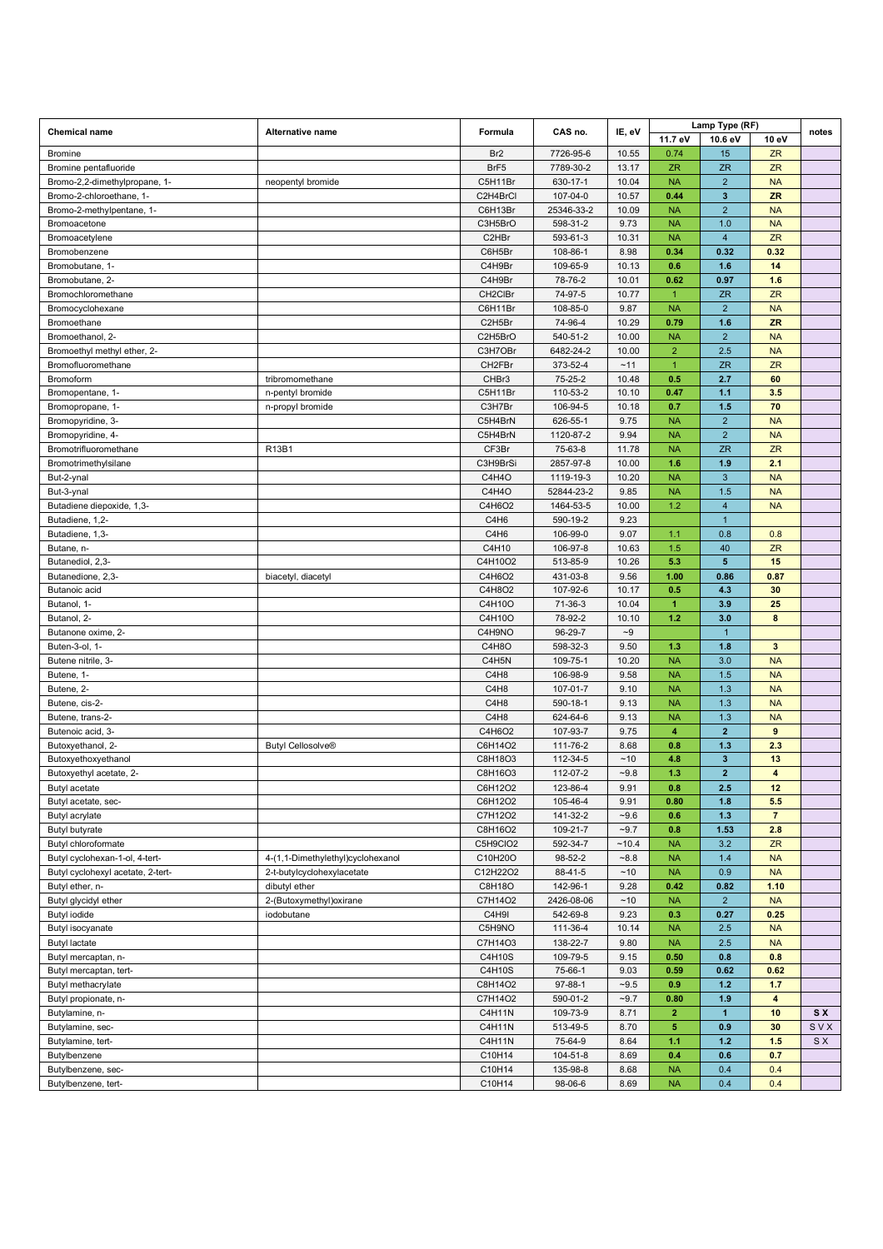| <b>Chemical name</b><br>Alternative name<br>Formula |                                   |                   | CAS no.                 | IE, eV         |                      | Lamp Type (RF)        |                         | notes     |
|-----------------------------------------------------|-----------------------------------|-------------------|-------------------------|----------------|----------------------|-----------------------|-------------------------|-----------|
|                                                     |                                   |                   |                         |                | 11.7 eV              | 10.6 eV               | 10 eV                   |           |
| <b>Bromine</b>                                      |                                   | Br <sub>2</sub>   | 7726-95-6               | 10.55          | 0.74                 | 15                    | <b>ZR</b>               |           |
| Bromine pentafluoride                               |                                   | BrF5              | 7789-30-2               | 13.17          | <b>ZR</b>            | <b>ZR</b>             | <b>ZR</b>               |           |
| Bromo-2,2-dimethylpropane, 1-                       | neopentyl bromide                 | C5H11Br           | 630-17-1                | 10.04          | <b>NA</b>            | $\overline{2}$        | <b>NA</b>               |           |
| Bromo-2-chloroethane. 1-                            |                                   | C2H4BrCl          | 107-04-0                | 10.57          | 0.44                 | $\mathbf{3}$          | <b>ZR</b>               |           |
| Bromo-2-methylpentane, 1-                           |                                   | C6H13Br           | 25346-33-2              | 10.09          | <b>NA</b>            | $\overline{2}$        | <b>NA</b>               |           |
| Bromoacetone                                        |                                   | C3H5BrO           | 598-31-2                | 9.73           | <b>NA</b>            | 1.0                   | <b>NA</b>               |           |
| Bromoacetylene                                      |                                   | C2HBr             | 593-61-3                | 10.31          | <b>NA</b>            | $\overline{4}$        | <b>ZR</b>               |           |
| Bromobenzene                                        |                                   | C6H5Br            | 108-86-1                | 8.98           | 0.34                 | 0.32                  | 0.32                    |           |
| Bromobutane, 1-                                     |                                   | C4H9Br            | 109-65-9                | 10.13          | 0.6                  | 1.6                   | 14                      |           |
| Bromobutane, 2-                                     |                                   | C4H9Br            | 78-76-2                 | 10.01          | 0.62                 | 0.97                  | 1.6                     |           |
| Bromochloromethane                                  |                                   | CH2CIBr           | 74-97-5                 | 10.77          | $\overline{1}$       | <b>ZR</b>             | <b>ZR</b>               |           |
| Bromocyclohexane                                    |                                   | C6H11Br           | 108-85-0                | 9.87           | <b>NA</b>            | $\overline{2}$        | <b>NA</b>               |           |
| Bromoethane                                         |                                   | C2H5Br            | 74-96-4                 | 10.29          | 0.79                 | 1.6                   | <b>ZR</b>               |           |
| Bromoethanol, 2-                                    |                                   | C2H5BrO           | 540-51-2                | 10.00          | <b>NA</b>            | $\overline{2}$        | <b>NA</b>               |           |
| Bromoethyl methyl ether, 2-                         |                                   | C3H7OBr           | 6482-24-2               | 10.00          | $\overline{2}$       | 2.5                   | <b>NA</b>               |           |
| Bromofluoromethane                                  |                                   | CH2FBr            | 373-52-4                | ~11            | $\mathbf{1}$         | <b>ZR</b>             | <b>ZR</b>               |           |
| Bromoform                                           | tribromomethane                   | CHBr3             | 75-25-2                 | 10.48          | 0.5                  | 2.7                   | 60                      |           |
| Bromopentane, 1-                                    | n-pentyl bromide                  | C5H11Br           | 110-53-2                | 10.10          | 0.47                 | 1.1                   | 3.5                     |           |
| Bromopropane, 1-                                    | n-propyl bromide                  | C3H7Br            | 106-94-5                | 10.18          | 0.7                  | 1.5                   | 70                      |           |
| Bromopyridine, 3-                                   |                                   | C5H4BrN           | 626-55-1                | 9.75           | <b>NA</b>            | $\overline{2}$        | <b>NA</b>               |           |
| Bromopyridine, 4-                                   |                                   | C5H4BrN           | 1120-87-2               | 9.94           | <b>NA</b>            | $\overline{2}$        | <b>NA</b>               |           |
| Bromotrifluoromethane                               | R13B1                             | CF3Br             | 75-63-8                 | 11.78          | <b>NA</b>            | <b>ZR</b>             | <b>ZR</b>               |           |
| Bromotrimethylsilane                                |                                   | C3H9BrSi          | 2857-97-8               | 10.00          | 1.6                  | 1.9                   | 2.1                     |           |
| But-2-ynal                                          |                                   | C4H4O             | 1119-19-3               | 10.20          | <b>NA</b>            | $\mathbf{3}$          | <b>NA</b>               |           |
| But-3-ynal                                          |                                   | C4H4O             | 52844-23-2<br>1464-53-5 | 9.85           | <b>NA</b><br>1.2     | 1.5                   | <b>NA</b>               |           |
| Butadiene diepoxide, 1,3-                           |                                   | C4H6O2            |                         | 10.00          |                      | $\overline{4}$        | <b>NA</b>               |           |
| Butadiene, 1,2-<br>Butadiene, 1,3-                  |                                   | C4H6              | 590-19-2<br>106-99-0    | 9.23<br>9.07   |                      | $\mathbf{1}$          |                         |           |
|                                                     |                                   | C4H6              |                         |                | 1.1                  | 0.8                   | 0.8                     |           |
| Butane, n-                                          |                                   | C4H10             | 106-97-8                | 10.63<br>10.26 | 1.5                  | 40<br>$5\phantom{.0}$ | ZR<br>15                |           |
| Butanediol, 2,3-                                    |                                   | C4H10O2<br>C4H6O2 | 513-85-9<br>431-03-8    | 9.56           | 5.3<br>1.00          | 0.86                  | 0.87                    |           |
| Butanedione, 2,3-<br>Butanoic acid                  | biacetyl, diacetyl                | C4H8O2            | 107-92-6                | 10.17          | 0.5                  | 4.3                   | 30                      |           |
| Butanol, 1-                                         |                                   | C4H10O            | 71-36-3                 | 10.04          | $\blacktriangleleft$ | 3.9                   | 25                      |           |
| Butanol, 2-                                         |                                   | C4H10O            | 78-92-2                 | 10.10          | 1.2                  | 3.0                   | 8                       |           |
| Butanone oxime, 2-                                  |                                   | C4H9NO            | 96-29-7                 | $-9$           |                      | $\mathbf{1}$          |                         |           |
| Buten-3-ol, 1-                                      |                                   | C4H8O             | 598-32-3                | 9.50           | 1.3                  | 1.8                   | $\mathbf{3}$            |           |
| Butene nitrile, 3-                                  |                                   | C4H5N             | 109-75-1                | 10.20          | <b>NA</b>            | 3.0                   | <b>NA</b>               |           |
| Butene, 1-                                          |                                   | C4H8              | 106-98-9                | 9.58           | <b>NA</b>            | 1.5                   | <b>NA</b>               |           |
| Butene, 2-                                          |                                   | C4H8              | 107-01-7                | 9.10           | <b>NA</b>            | 1.3                   | <b>NA</b>               |           |
| Butene, cis-2-                                      |                                   | C4H8              | 590-18-1                | 9.13           | <b>NA</b>            | 1.3                   | <b>NA</b>               |           |
| Butene, trans-2-                                    |                                   | C4H8              | 624-64-6                | 9.13           | <b>NA</b>            | 1.3                   | <b>NA</b>               |           |
| Butenoic acid, 3-                                   |                                   | C4H6O2            | 107-93-7                | 9.75           | 4                    | $\overline{2}$        | $\overline{9}$          |           |
| Butoxyethanol, 2-                                   | <b>Butyl Cellosolve®</b>          | C6H14O2           | 111-76-2                | 8.68           | 0.8                  | $1.3$                 | 2.3                     |           |
| Butoxyethoxyethanol                                 |                                   | C8H18O3           | 112-34-5                | ~10            | 4.8                  | $\mathbf{3}$          | 13                      |           |
| Butoxyethyl acetate, 2-                             |                                   | C8H16O3           | 112-07-2                | $-9.8$         | 1.3                  | $\overline{2}$        | $\overline{4}$          |           |
| Butyl acetate                                       |                                   | C6H12O2           | 123-86-4                | 9.91           | 0.8                  | 2.5                   | 12                      |           |
| Butyl acetate, sec-                                 |                                   | C6H12O2           | 105-46-4                | 9.91           | 0.80                 | 1.8                   | 5.5                     |           |
| Butyl acrylate                                      |                                   | C7H12O2           | 141-32-2                | $-9.6$         | 0.6                  | $1.3$                 | $\overline{7}$          |           |
| Butyl butyrate                                      |                                   | C8H16O2           | 109-21-7                | $-9.7$         | 0.8                  | 1.53                  | 2.8                     |           |
| Butyl chloroformate                                 |                                   | C5H9CIO2          | 592-34-7                | ~10.4          | <b>NA</b>            | 3.2                   | ZR                      |           |
| Butyl cyclohexan-1-ol, 4-tert-                      | 4-(1,1-Dimethylethyl)cyclohexanol | C10H20O           | 98-52-2                 | $-8.8$         | <b>NA</b>            | 1.4                   | <b>NA</b>               |           |
| Butyl cyclohexyl acetate, 2-tert-                   | 2-t-butylcyclohexylacetate        | C12H22O2          | 88-41-5                 | ~10            | <b>NA</b>            | 0.9                   | <b>NA</b>               |           |
| Butyl ether, n-                                     | dibutyl ether                     | C8H18O            | 142-96-1                | 9.28           | 0.42                 | 0.82                  | 1.10                    |           |
| Butyl glycidyl ether                                | 2-(Butoxymethyl) oxirane          | C7H14O2           | 2426-08-06              | ~10            | <b>NA</b>            | $\overline{2}$        | <b>NA</b>               |           |
| Butyl iodide                                        | iodobutane                        | C4H9I             | 542-69-8                | 9.23           | 0.3                  | 0.27                  | 0.25                    |           |
| Butyl isocyanate                                    |                                   | C5H9NO            | 111-36-4                | 10.14          | <b>NA</b>            | 2.5                   | <b>NA</b>               |           |
| Butyl lactate                                       |                                   | C7H14O3           | 138-22-7                | 9.80           | <b>NA</b>            | 2.5                   | <b>NA</b>               |           |
| Butyl mercaptan, n-                                 |                                   | C4H10S            | 109-79-5                | 9.15           | 0.50                 | 0.8                   | 0.8                     |           |
| Butyl mercaptan, tert-                              |                                   | C4H10S            | 75-66-1                 | 9.03           | 0.59                 | 0.62                  | 0.62                    |           |
| Butyl methacrylate                                  |                                   | C8H14O2           | 97-88-1                 | $-9.5$         | 0.9                  | $1.2$                 | 1.7                     |           |
| Butyl propionate, n-                                |                                   | C7H14O2           | 590-01-2                | $-9.7$         | 0.80                 | 1.9                   | $\overline{\mathbf{4}}$ |           |
| Butylamine, n-                                      |                                   | C4H11N            | 109-73-9                | 8.71           | $\mathbf{2}$         | $\blacktriangleleft$  | 10                      | <b>SX</b> |
| Butylamine, sec-                                    |                                   | C4H11N            | 513-49-5                | 8.70           | 5                    | 0.9                   | 30                      | SVX       |
| Butylamine, tert-                                   |                                   | C4H11N            | 75-64-9                 | 8.64           | 1.1                  | $1.2$                 | 1.5                     | S X       |
| Butylbenzene                                        |                                   | C10H14            | 104-51-8                | 8.69           | 0.4                  | 0.6                   | 0.7                     |           |
| Butylbenzene, sec-                                  |                                   | C10H14            | 135-98-8                | 8.68           | <b>NA</b>            | 0.4                   | 0.4                     |           |
| Butylbenzene, tert-                                 |                                   | C10H14            | 98-06-6                 | 8.69           | <b>NA</b>            | 0.4                   | 0.4                     |           |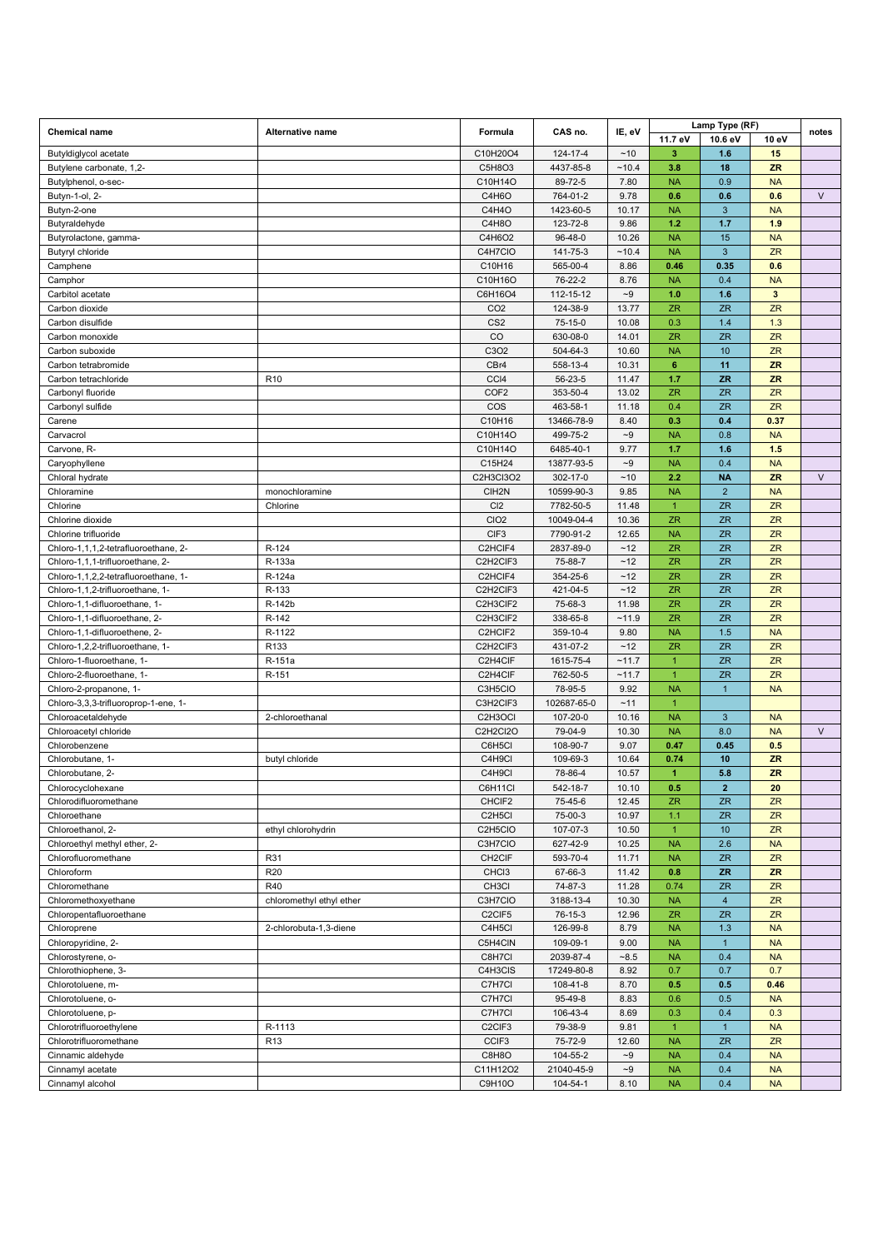| <b>Chemical name</b>                 | Alternative name         | Formula                           | CAS no.     | IE, eV            |                      | Lamp Type (RF)  |              | notes  |
|--------------------------------------|--------------------------|-----------------------------------|-------------|-------------------|----------------------|-----------------|--------------|--------|
|                                      |                          |                                   |             |                   | 11.7 eV              | 10.6 eV         | 10 eV        |        |
| Butyldiglycol acetate                |                          | C10H20O4                          | 124-17-4    | ~10               | 3                    | 1.6             | 15           |        |
| Butylene carbonate, 1,2-             |                          | C5H8O3                            | 4437-85-8   | ~10.4             | 3.8                  | 18              | <b>ZR</b>    |        |
| Butylphenol, o-sec-                  |                          | C10H14O                           | 89-72-5     | 7.80              | <b>NA</b>            | 0.9             | <b>NA</b>    |        |
| Butyn-1-ol, 2-                       |                          | C4H6O                             | 764-01-2    | 9.78              | 0.6                  | 0.6             | 0.6          | $\vee$ |
| Butyn-2-one                          |                          | C4H4O                             | 1423-60-5   | 10.17             | <b>NA</b>            | 3               | <b>NA</b>    |        |
| Butyraldehyde                        |                          | C4H8O                             | 123-72-8    | 9.86              | 1.2                  | 1.7             | 1.9          |        |
| Butyrolactone, gamma-                |                          | C4H6O2                            | 96-48-0     | 10.26             | <b>NA</b>            | 15              | <b>NA</b>    |        |
| Butyryl chloride                     |                          | C4H7CIO                           | 141-75-3    | ~10.4             | <b>NA</b>            | $\mathbf{3}$    | <b>ZR</b>    |        |
| Camphene                             |                          | C10H16                            | 565-00-4    | 8.86              | 0.46                 | 0.35            | 0.6          |        |
| Camphor                              |                          | C10H16O                           | 76-22-2     | 8.76              | <b>NA</b>            | 0.4             | <b>NA</b>    |        |
| Carbitol acetate                     |                          | C6H16O4                           | 112-15-12   | $\mathord{\sim}9$ | 1.0                  | 1.6             | $\mathbf{3}$ |        |
| Carbon dioxide                       |                          | CO <sub>2</sub>                   | 124-38-9    | 13.77             | <b>ZR</b>            | <b>ZR</b>       | ZR           |        |
| Carbon disulfide                     |                          | CS <sub>2</sub>                   | 75-15-0     | 10.08             | 0.3                  | 1.4             | 1.3          |        |
| Carbon monoxide                      |                          | CO                                | 630-08-0    | 14.01             | <b>ZR</b>            | <b>ZR</b>       | ZR           |        |
| Carbon suboxide                      |                          | C3O2                              | 504-64-3    | 10.60             | <b>NA</b>            | 10              | ZR           |        |
| Carbon tetrabromide                  |                          | CBr4                              | 558-13-4    | 10.31             | $\bf 6$              | 11              | <b>ZR</b>    |        |
| Carbon tetrachloride                 | R <sub>10</sub>          | CCI4                              | 56-23-5     | 11.47             | 1.7                  | <b>ZR</b>       | <b>ZR</b>    |        |
| Carbonyl fluoride                    |                          | COF <sub>2</sub>                  | 353-50-4    | 13.02             | <b>ZR</b>            | <b>ZR</b>       | <b>ZR</b>    |        |
| Carbonyl sulfide                     |                          | COS                               | 463-58-1    | 11.18             | 0.4                  | <b>ZR</b>       | ZR           |        |
| Carene                               |                          | C10H16                            | 13466-78-9  | 8.40              | 0.3                  | 0.4             | 0.37         |        |
| Carvacrol                            |                          | C10H14O                           | 499-75-2    | $\mathord{\sim}9$ | <b>NA</b>            | 0.8             | <b>NA</b>    |        |
| Carvone, R-                          |                          | C10H14O                           | 6485-40-1   | 9.77              | 1.7                  | 1.6             | 1.5          |        |
| Caryophyllene                        |                          | C15H24                            | 13877-93-5  | $\mathord{\sim}9$ | <b>NA</b>            | 0.4             | <b>NA</b>    |        |
| Chloral hydrate                      |                          | C2H3Cl3O2                         | 302-17-0    | ~10               | 2.2                  | <b>NA</b>       | ZR           | V      |
| Chloramine                           | monochloramine           | CIH2N                             | 10599-90-3  | 9.85              | <b>NA</b>            | $\overline{2}$  | <b>NA</b>    |        |
| Chlorine                             | Chlorine                 | C <sub>12</sub>                   | 7782-50-5   | 11.48             | $\mathbf{1}$         | <b>ZR</b>       | ZR           |        |
| Chlorine dioxide                     |                          | CIO <sub>2</sub>                  | 10049-04-4  | 10.36             | <b>ZR</b>            | <b>ZR</b>       | ZR           |        |
| Chlorine trifluoride                 |                          | CIF <sub>3</sub>                  | 7790-91-2   | 12.65             | <b>NA</b>            | <b>ZR</b>       | ZR           |        |
| Chloro-1,1,1,2-tetrafluoroethane, 2- | R-124                    | C2HCIF4                           | 2837-89-0   | ~12               | ZR.                  | <b>ZR</b>       | ZR           |        |
| Chloro-1,1,1-trifluoroethane, 2-     | R-133a                   | C2H2CIF3                          | 75-88-7     | ~12               | <b>ZR</b>            | <b>ZR</b>       | ZR           |        |
| Chloro-1,1,2,2-tetrafluoroethane, 1- | R-124a                   | C2HCIF4                           | 354-25-6    | $~12$             | <b>ZR</b>            | <b>ZR</b>       | ZR           |        |
| Chloro-1,1,2-trifluoroethane, 1-     | R-133                    | C2H2CIF3                          | 421-04-5    | $~12$             | <b>ZR</b>            | <b>ZR</b>       | ZR           |        |
| Chloro-1,1-difluoroethane, 1-        | R-142b                   | C2H3CIF2                          | 75-68-3     | 11.98             | <b>ZR</b>            | <b>ZR</b>       | ZR           |        |
| Chloro-1,1-difluoroethane, 2-        | R-142                    | C2H3CIF2                          | 338-65-8    | ~11.9             | <b>ZR</b>            | <b>ZR</b>       | ZR           |        |
| Chloro-1,1-difluoroethene, 2-        | R-1122                   | C2HCIF2                           | 359-10-4    | 9.80              | <b>NA</b>            | 1.5             | <b>NA</b>    |        |
| Chloro-1,2,2-trifluoroethane, 1-     | R133                     | C2H2CIF3                          | 431-07-2    | ~12               | <b>ZR</b>            | ZR              | ZR           |        |
| Chloro-1-fluoroethane, 1-            | R-151a                   | C2H4CIF                           | 1615-75-4   | ~11.7             | $\mathbf{1}$         | <b>ZR</b>       | ZR           |        |
| Chloro-2-fluoroethane, 1-            | R-151                    | C2H4CIF                           | 762-50-5    | ~11.7             | $\overline{1}$       | <b>ZR</b>       | <b>ZR</b>    |        |
| Chloro-2-propanone, 1-               |                          | C3H5CIO                           | 78-95-5     | 9.92              | <b>NA</b>            | 1               | <b>NA</b>    |        |
| Chloro-3,3,3-trifluoroprop-1-ene, 1- |                          | C3H2CIF3                          | 102687-65-0 | ~11               | $\mathbf{1}$         |                 |              |        |
| Chloroacetaldehyde                   | 2-chloroethanal          | C <sub>2</sub> H <sub>3</sub> OCI | 107-20-0    | 10.16             | <b>NA</b>            | $\mathbf{3}$    | <b>NA</b>    |        |
| Chloroacetyl chloride                |                          | C2H2Cl2O                          | 79-04-9     | 10.30             | <b>NA</b>            | 8.0             | <b>NA</b>    | $\vee$ |
| Chlorobenzene                        |                          | C6H5Cl                            | 108-90-7    | 9.07              | 0.47                 | 0.45            | 0.5          |        |
| Chlorobutane, 1-                     | butyl chloride           | C4H9Cl                            | 109-69-3    | 10.64             | 0.74                 | 10              | <b>ZR</b>    |        |
| Chlorobutane, 2-                     |                          | C4H9Cl                            | 78-86-4     | 10.57             | $\blacktriangleleft$ | 5.8             | <b>ZR</b>    |        |
| Chlorocyclohexane                    |                          | C6H11CI                           | 542-18-7    | 10.10             | 0.5                  | $\mathbf 2$     | 20           |        |
| Chlorodifluoromethane                |                          | CHCIF2                            | 75-45-6     | 12.45             | ZR.                  | <b>ZR</b>       | ZR           |        |
| Chloroethane                         |                          | C <sub>2</sub> H <sub>5</sub> Cl  | 75-00-3     | 10.97             | 1.1                  | <b>ZR</b>       | ZR           |        |
| Chloroethanol, 2-                    | ethyl chlorohydrin       | C2H5CIO                           | 107-07-3    | 10.50             | $\overline{1}$       | 10 <sup>°</sup> | ZR           |        |
| Chloroethyl methyl ether, 2-         |                          | C3H7CIO                           | 627-42-9    | 10.25             | <b>NA</b>            | 2.6             | <b>NA</b>    |        |
| Chlorofluoromethane                  | R31                      | CH <sub>2</sub> CIF               | 593-70-4    | 11.71             | <b>NA</b>            | <b>ZR</b>       | ZR           |        |
| Chloroform                           | R <sub>20</sub>          | CHC <sub>13</sub>                 | 67-66-3     | 11.42             | 0.8                  | <b>ZR</b>       | <b>ZR</b>    |        |
| Chloromethane                        | R40                      | CH <sub>3</sub> Cl                | 74-87-3     | 11.28             | 0.74                 | ZR              | ZR           |        |
| Chloromethoxyethane                  | chloromethyl ethyl ether | C3H7CIO                           | 3188-13-4   | 10.30             | <b>NA</b>            | $\overline{4}$  | ZR           |        |
| Chloropentafluoroethane              |                          | C <sub>2</sub> CIF <sub>5</sub>   | 76-15-3     | 12.96             | ZR.                  | <b>ZR</b>       | ZR           |        |
| Chloroprene                          | 2-chlorobuta-1,3-diene   | C4H5Cl                            | 126-99-8    | 8.79              | <b>NA</b>            | 1.3             | <b>NA</b>    |        |
| Chloropyridine, 2-                   |                          | C5H4CIN                           | 109-09-1    | 9.00              | <b>NA</b>            | $\mathbf{1}$    | <b>NA</b>    |        |
| Chlorostyrene, o-                    |                          | C8H7Cl                            | 2039-87-4   | $-8.5$            | <b>NA</b>            | 0.4             | <b>NA</b>    |        |
| Chlorothiophene, 3-                  |                          | C4H3CIS                           | 17249-80-8  | 8.92              | 0.7                  | 0.7             | 0.7          |        |
| Chlorotoluene, m-                    |                          | C7H7Cl                            | 108-41-8    | 8.70              | 0.5                  | 0.5             | 0.46         |        |
| Chlorotoluene, o-                    |                          | C7H7Cl                            | 95-49-8     | 8.83              | 0.6                  | 0.5             | <b>NA</b>    |        |
| Chlorotoluene, p-                    |                          | C7H7Cl                            | 106-43-4    | 8.69              | 0.3                  | 0.4             | 0.3          |        |
| Chlorotrifluoroethylene              | R-1113                   | C <sub>2</sub> CIF <sub>3</sub>   | 79-38-9     | 9.81              | $\mathbf{1}$         | $\mathbf{1}$    | <b>NA</b>    |        |
| Chlorotrifluoromethane               | R <sub>13</sub>          | CCIF <sub>3</sub>                 | 75-72-9     | 12.60             | <b>NA</b>            | ZR              | ZR           |        |
| Cinnamic aldehyde                    |                          | C8H8O                             | 104-55-2    | $\mathord{\sim}9$ | <b>NA</b>            | 0.4             | <b>NA</b>    |        |
| Cinnamyl acetate                     |                          | C11H12O2                          | 21040-45-9  | $\mathord{\sim}9$ | <b>NA</b>            | 0.4             | <b>NA</b>    |        |
| Cinnamyl alcohol                     |                          | C9H10O                            | 104-54-1    | 8.10              | <b>NA</b>            | 0.4             | <b>NA</b>    |        |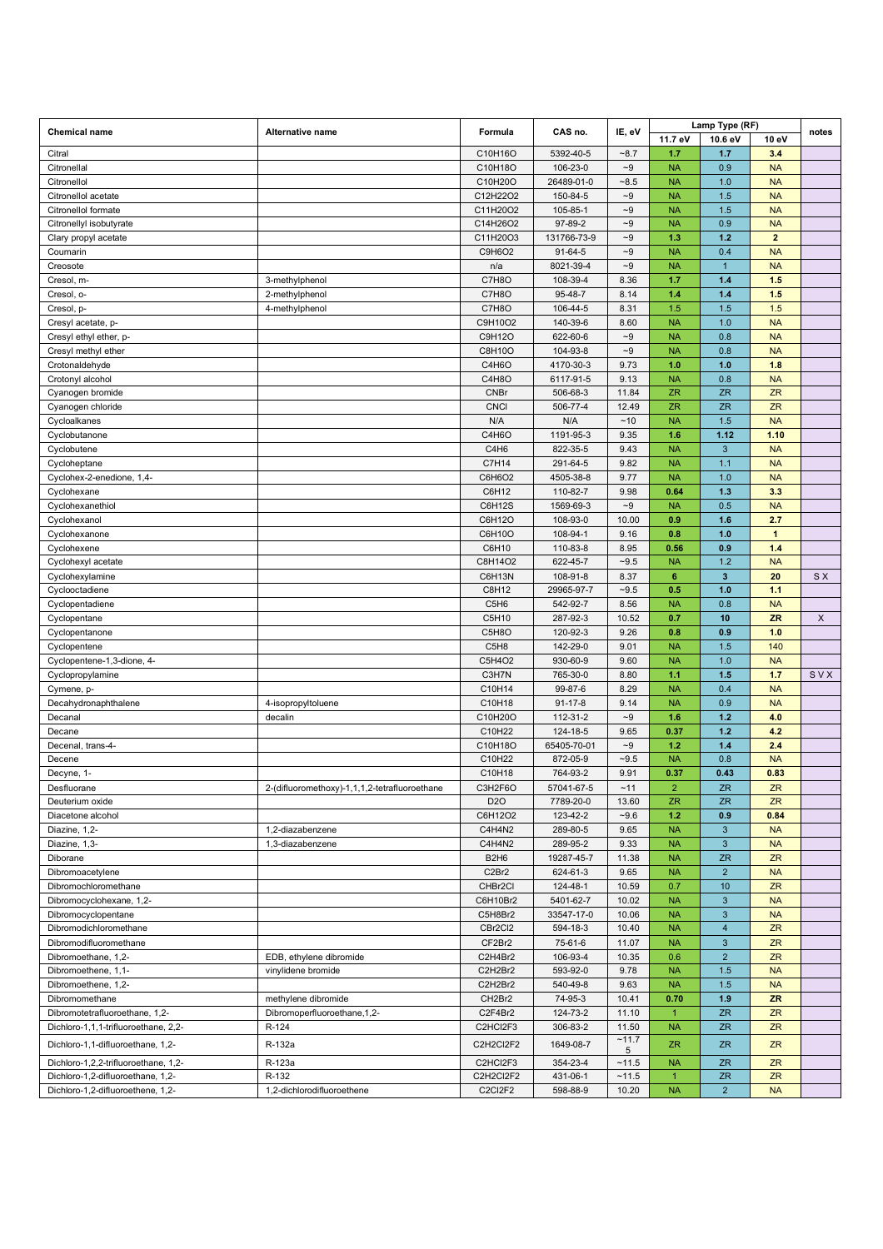|                                          |                                               |                                |                      |                   |                        | Lamp Type (RF)         |                 |       |
|------------------------------------------|-----------------------------------------------|--------------------------------|----------------------|-------------------|------------------------|------------------------|-----------------|-------|
| <b>Chemical name</b>                     | Alternative name                              | Formula                        | CAS no.              | IE, eV            | 11.7 eV                | 10.6 eV                | 10 eV           | notes |
| Citral                                   |                                               | C10H16O                        | 5392-40-5            | $-8.7$            | 1.7                    | 1.7                    | 3.4             |       |
| Citronellal                              |                                               | C10H18O                        | 106-23-0             | $-9$              | <b>NA</b>              | 0.9                    | <b>NA</b>       |       |
| Citronellol                              |                                               | C10H20O                        | 26489-01-0           | $-8.5$            | <b>NA</b>              | 1.0                    | <b>NA</b>       |       |
| Citronellol acetate                      |                                               | C12H22O2                       | 150-84-5             | $\mathord{\sim}9$ | <b>NA</b>              | 1.5                    | <b>NA</b>       |       |
| Citronellol formate                      |                                               | C11H20O2                       | 105-85-1             | $\mathord{\sim}9$ | <b>NA</b>              | 1.5                    | <b>NA</b>       |       |
| Citronellyl isobutyrate                  |                                               | C14H26O2                       | 97-89-2              | $\mathord{\sim}9$ | <b>NA</b>              | 0.9                    | <b>NA</b>       |       |
| Clary propyl acetate                     |                                               | C11H20O3                       | 131766-73-9          | $\sim\!\!9$       | 1.3                    | $1.2$                  | $\overline{2}$  |       |
| Coumarin                                 |                                               | C9H6O2                         | $91 - 64 - 5$        | $\sim\!\!9$       | <b>NA</b>              | 0.4                    | <b>NA</b>       |       |
| Creosote                                 |                                               | n/a                            | 8021-39-4            | $\mathord{\sim}9$ | <b>NA</b>              | $\mathbf{1}$           | <b>NA</b>       |       |
| Cresol, m-                               | 3-methylphenol                                | C7H8O                          | 108-39-4             | 8.36              | 1.7                    | $1.4$                  | 1.5             |       |
| Cresol, o-                               | 2-methylphenol                                | C7H8O                          | 95-48-7              | 8.14              | 1.4                    | $1.4$                  | 1.5             |       |
| Cresol, p-                               | 4-methylphenol                                | C7H8O                          | 106-44-5             | 8.31              | 1.5                    | 1.5                    | 1.5             |       |
| Cresyl acetate, p-                       |                                               | C9H10O2                        | 140-39-6             | 8.60              | <b>NA</b>              | 1.0                    | <b>NA</b>       |       |
| Cresyl ethyl ether, p-                   |                                               | C9H12O                         | 622-60-6             | $-9$              | <b>NA</b>              | 0.8                    | <b>NA</b>       |       |
| Cresyl methyl ether                      |                                               | C8H10O                         | 104-93-8             | $\mathord{\sim}9$ | <b>NA</b>              | 0.8                    | <b>NA</b>       |       |
| Crotonaldehyde                           |                                               | C4H6O                          | 4170-30-3            | 9.73              | 1.0                    | 1.0                    | 1.8             |       |
| Crotonyl alcohol                         |                                               | C4H8O                          | 6117-91-5            | 9.13              | <b>NA</b>              | 0.8                    | <b>NA</b>       |       |
| Cyanogen bromide                         |                                               | <b>CNBr</b>                    | 506-68-3<br>506-77-4 | 11.84<br>12.49    | <b>ZR</b><br><b>ZR</b> | <b>ZR</b><br><b>ZR</b> | ZR<br><b>ZR</b> |       |
| Cyanogen chloride                        |                                               | <b>CNCI</b><br>N/A             | N/A                  | ~10               | <b>NA</b>              | 1.5                    | <b>NA</b>       |       |
| Cycloalkanes                             |                                               | C4H6O                          | 1191-95-3            | 9.35              | 1.6                    | 1.12                   | 1.10            |       |
| Cyclobutanone<br>Cyclobutene             |                                               | C4H6                           | 822-35-5             | 9.43              | <b>NA</b>              | 3                      | <b>NA</b>       |       |
|                                          |                                               | C7H14                          | 291-64-5             | 9.82              | <b>NA</b>              | 1.1                    | <b>NA</b>       |       |
| Cycloheptane                             |                                               | C6H6O2                         | 4505-38-8            | 9.77              | <b>NA</b>              | 1.0                    | <b>NA</b>       |       |
| Cyclohex-2-enedione, 1,4-<br>Cyclohexane |                                               | C6H12                          | 110-82-7             | 9.98              | 0.64                   | 1.3                    | 3.3             |       |
| Cyclohexanethiol                         |                                               | C6H12S                         | 1569-69-3            | $-9$              | <b>NA</b>              | 0.5                    | <b>NA</b>       |       |
| Cyclohexanol                             |                                               | C6H12O                         | 108-93-0             | 10.00             | 0.9                    | 1.6                    | 2.7             |       |
| Cyclohexanone                            |                                               | C6H10O                         | 108-94-1             | 9.16              | 0.8                    | 1.0                    | $\overline{1}$  |       |
| Cyclohexene                              |                                               | C6H10                          | 110-83-8             | 8.95              | 0.56                   | 0.9                    | 1.4             |       |
|                                          |                                               | C8H14O2                        | 622-45-7             | $-9.5$            | <b>NA</b>              | 1.2                    | <b>NA</b>       |       |
| Cyclohexyl acetate                       |                                               | C6H13N                         | 108-91-8             | 8.37              | $6\phantom{1}$         | $\mathbf{3}$           | 20              | S X   |
| Cyclohexylamine                          |                                               | C8H12                          | 29965-97-7           | $-9.5$            | 0.5                    | 1.0                    | 1.1             |       |
| Cyclooctadiene<br>Cyclopentadiene        |                                               | C <sub>5</sub> H <sub>6</sub>  | 542-92-7             | 8.56              | <b>NA</b>              | 0.8                    | <b>NA</b>       |       |
| Cyclopentane                             |                                               | C5H10                          | 287-92-3             | 10.52             | 0.7                    | 10                     | <b>ZR</b>       | X     |
| Cyclopentanone                           |                                               | C5H8O                          | 120-92-3             | 9.26              | 0.8                    | 0.9                    | 1.0             |       |
| Cyclopentene                             |                                               | C5H8                           | 142-29-0             | 9.01              | <b>NA</b>              | 1.5                    | 140             |       |
| Cyclopentene-1,3-dione, 4-               |                                               | C5H4O2                         | 930-60-9             | 9.60              | <b>NA</b>              | 1.0                    | <b>NA</b>       |       |
| Cyclopropylamine                         |                                               | C3H7N                          | 765-30-0             | 8.80              | 1.1                    | 1.5                    | 1.7             | SVX   |
| Cymene, p-                               |                                               | C10H14                         | 99-87-6              | 8.29              | <b>NA</b>              | 0.4                    | <b>NA</b>       |       |
| Decahydronaphthalene                     | 4-isopropyltoluene                            | C10H18                         | $91 - 17 - 8$        | 9.14              | <b>NA</b>              | 0.9                    | <b>NA</b>       |       |
| Decanal                                  | decalin                                       | C10H20O                        | 112-31-2             | $-9$              | 1.6                    | $1.2$                  | 4.0             |       |
| Decane                                   |                                               | C10H22                         | 124-18-5             | 9.65              | 0.37                   | $1.2$                  | 4.2             |       |
| Decenal, trans-4-                        |                                               | C10H18O                        | 65405-70-01          | $\sim\!\!9$       | 1.2                    | $1.4$                  | 2.4             |       |
| Decene                                   |                                               | C10H22                         | 872-05-9             | $-9.5$            | <b>NA</b>              | 0.8                    | <b>NA</b>       |       |
| Decyne, 1-                               |                                               | C10H18                         | 764-93-2             | 9.91              | 0.37                   | 0.43                   | 0.83            |       |
| Desfluorane                              | 2-(difluoromethoxy)-1,1,1,2-tetrafluoroethane | C3H2F6O                        | 57041-67-5           | ~11               | $\overline{c}$         | ZR                     |                 |       |
| Deuterium oxide                          |                                               | D <sub>20</sub>                | 7789-20-0            | 13.60             | <b>ZR</b>              | <b>ZR</b>              | ZR<br><b>ZR</b> |       |
| Diacetone alcohol                        |                                               | C6H12O2                        | 123-42-2             | $-9.6$            | 1.2                    | 0.9                    | 0.84            |       |
| Diazine, 1,2-                            | 1,2-diazabenzene                              | C4H4N2                         | 289-80-5             | 9.65              | <b>NA</b>              | $\mathbf{3}$           | <b>NA</b>       |       |
| Diazine, 1,3-                            | 1,3-diazabenzene                              | C4H4N2                         | 289-95-2             | 9.33              | <b>NA</b>              | $\mathbf{3}$           | <b>NA</b>       |       |
| Diborane                                 |                                               | <b>B2H6</b>                    | 19287-45-7           | 11.38             | <b>NA</b>              | <b>ZR</b>              | ZR              |       |
| Dibromoacetylene                         |                                               | C <sub>2</sub> Br <sub>2</sub> | 624-61-3             | 9.65              | <b>NA</b>              | $\overline{2}$         | <b>NA</b>       |       |
| Dibromochloromethane                     |                                               | CHBr2Cl                        | 124-48-1             | 10.59             | 0.7                    | 10 <sub>1</sub>        | ZR              |       |
| Dibromocyclohexane, 1,2-                 |                                               | C6H10Br2                       | 5401-62-7            | 10.02             | <b>NA</b>              | $\mathbf{3}$           | <b>NA</b>       |       |
| Dibromocyclopentane                      |                                               | C5H8Br2                        | 33547-17-0           | 10.06             | <b>NA</b>              | $\mathbf{3}$           | <b>NA</b>       |       |
| Dibromodichloromethane                   |                                               | CBr2Cl2                        | 594-18-3             | 10.40             | <b>NA</b>              | $\overline{4}$         | ZR              |       |
| Dibromodifluoromethane                   |                                               | CF2Br2                         | 75-61-6              | 11.07             | <b>NA</b>              | $\mathbf{3}$           | ZR              |       |
| Dibromoethane, 1,2-                      | EDB, ethylene dibromide                       | C2H4Br2                        | 106-93-4             | 10.35             | 0.6                    | $\overline{2}$         | ZR              |       |
| Dibromoethene, 1,1-                      | vinylidene bromide                            | C2H2Br2                        | 593-92-0             | 9.78              | <b>NA</b>              | 1.5                    | <b>NA</b>       |       |
| Dibromoethene, 1,2-                      |                                               | C2H2Br2                        | 540-49-8             | 9.63              | <b>NA</b>              | 1.5                    | <b>NA</b>       |       |
| Dibromomethane                           | methylene dibromide                           | CH2Br2                         | 74-95-3              | 10.41             | 0.70                   | 1.9                    | <b>ZR</b>       |       |
| Dibromotetrafluoroethane, 1,2-           | Dibromoperfluoroethane, 1, 2-                 | C2F4Br2                        | 124-73-2             | 11.10             | $\mathbf{1}$           | <b>ZR</b>              | ZR              |       |
| Dichloro-1,1,1-trifluoroethane, 2,2-     | R-124                                         | C2HCI2F3                       | 306-83-2             | 11.50             | <b>NA</b>              | <b>ZR</b>              | <b>ZR</b>       |       |
| Dichloro-1,1-difluoroethane, 1,2-        | R-132a                                        | C2H2Cl2F2                      | 1649-08-7            | ~11.7             | <b>ZR</b>              | <b>ZR</b>              | <b>ZR</b>       |       |
|                                          |                                               |                                |                      | 5                 |                        |                        |                 |       |
| Dichloro-1,2,2-trifluoroethane, 1,2-     | R-123a                                        | C2HCI2F3                       | 354-23-4             | ~11.5             | <b>NA</b>              | <b>ZR</b>              | <b>ZR</b>       |       |
| Dichloro-1,2-difluoroethane, 1,2-        | R-132                                         | C2H2Cl2F2                      | 431-06-1             | ~11.5             | $\mathbf{1}$           | <b>ZR</b>              | <b>ZR</b>       |       |
| Dichloro-1,2-difluoroethene, 1,2-        | 1,2-dichlorodifluoroethene                    | C2CI2F2                        | 598-88-9             | 10.20             | <b>NA</b>              | $\overline{2}$         | <b>NA</b>       |       |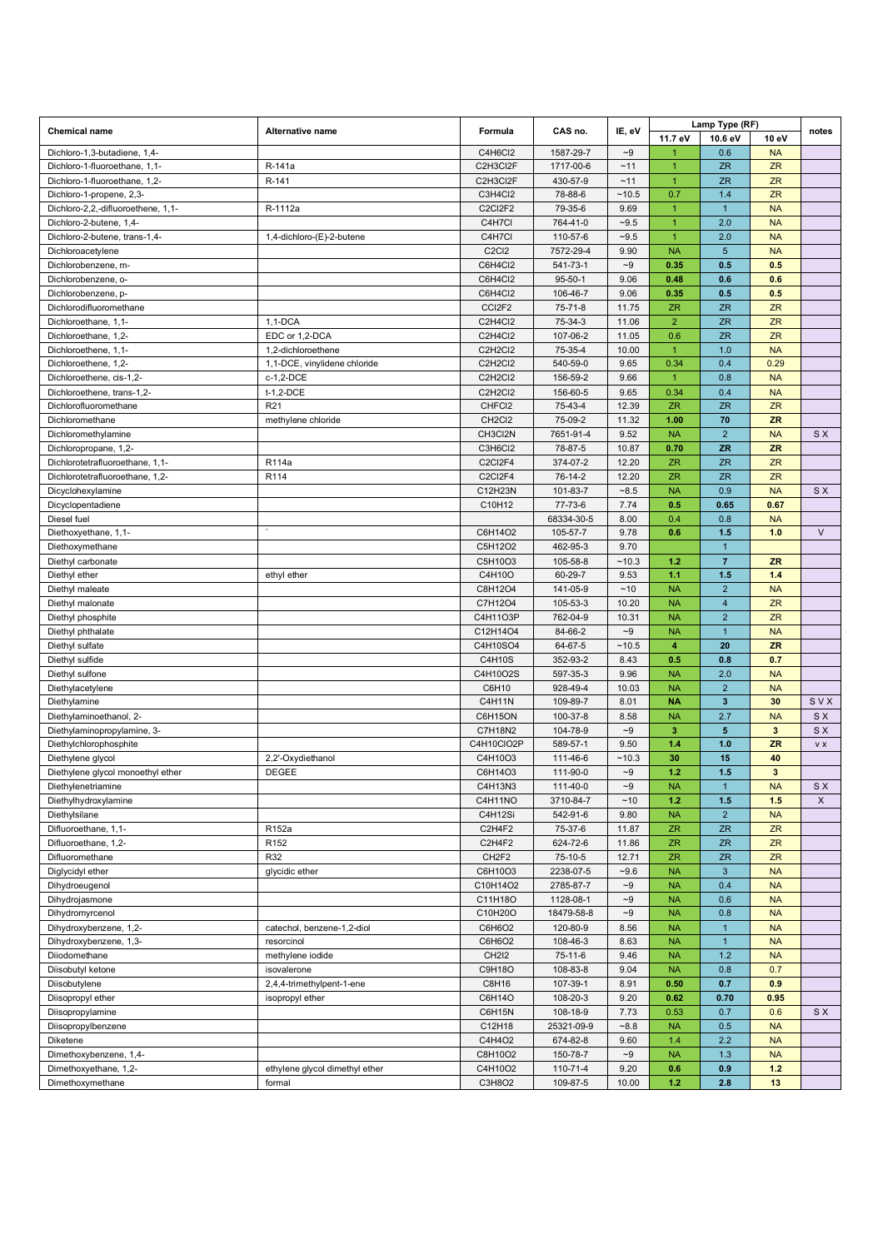| <b>Chemical name</b>               | Alternative name               | Formula                          | CAS no.       | IE, eV            |                         |                         | Lamp Type (RF)          |           |
|------------------------------------|--------------------------------|----------------------------------|---------------|-------------------|-------------------------|-------------------------|-------------------------|-----------|
|                                    |                                |                                  |               |                   | 11.7 eV                 | 10.6 eV                 | 10 eV                   | notes     |
| Dichloro-1,3-butadiene, 1,4-       |                                | C4H6Cl2                          | 1587-29-7     | $-9$              | 1                       | 0.6                     | <b>NA</b>               |           |
| Dichloro-1-fluoroethane, 1,1-      | R-141a                         | C2H3Cl2F                         | 1717-00-6     | ~11               | $\overline{1}$          | <b>ZR</b>               | <b>ZR</b>               |           |
| Dichloro-1-fluoroethane, 1,2-      | R-141                          | C2H3Cl2F                         | 430-57-9      | ~11               | $\overline{1}$          | <b>ZR</b>               | <b>ZR</b>               |           |
| Dichloro-1-propene, 2,3-           |                                | C3H4Cl2                          | 78-88-6       | ~10.5             | 0.7                     | 1.4                     | ZR                      |           |
| Dichloro-2,2,-difluoroethene, 1,1- | R-1112a                        | C2Cl2F2                          | 79-35-6       | 9.69              | $\overline{1}$          | $\mathbf{1}$            | <b>NA</b>               |           |
| Dichloro-2-butene, 1,4-            |                                | C4H7Cl                           | 764-41-0      | $-9.5$            | $\overline{1}$          | 2.0                     | <b>NA</b>               |           |
| Dichloro-2-butene, trans-1,4-      | 1,4-dichloro-(E)-2-butene      | C4H7Cl                           | 110-57-6      | $-9.5$            | $\mathbf{1}$            | 2.0                     | <b>NA</b>               |           |
| Dichloroacetylene                  |                                | C <sub>2</sub> C <sub>12</sub>   | 7572-29-4     | 9.90              | <b>NA</b>               | $5\phantom{.0}$         | <b>NA</b>               |           |
| Dichlorobenzene, m-                |                                | C6H4Cl2                          | 541-73-1      | $-9$              | 0.35                    | 0.5                     | 0.5                     |           |
| Dichlorobenzene, o-                |                                | C6H4Cl2                          | $95 - 50 - 1$ | 9.06              | 0.48                    | 0.6                     | 0.6                     |           |
| Dichlorobenzene, p-                |                                | C6H4Cl2                          | 106-46-7      | 9.06              | 0.35                    | 0.5                     | 0.5                     |           |
| Dichlorodifluoromethane            |                                | CCI2F2                           | $75 - 71 - 8$ | 11.75             | <b>ZR</b>               | <b>ZR</b>               | ZR                      |           |
| Dichloroethane, 1,1-               | $1,1-DCA$                      | C2H4Cl2                          | 75-34-3       | 11.06             | $\overline{2}$          | <b>ZR</b>               | ZR                      |           |
| Dichloroethane, 1,2-               | EDC or 1,2-DCA                 | C2H4Cl2                          | 107-06-2      | 11.05             | 0.6                     | <b>ZR</b>               | <b>ZR</b>               |           |
| Dichloroethene, 1,1-               | 1,2-dichloroethene             | C2H2Cl2                          | 75-35-4       | 10.00             | $\overline{1}$          | 1.0                     | <b>NA</b>               |           |
| Dichloroethene, 1,2-               | 1,1-DCE, vinylidene chloride   | C2H2Cl2                          | 540-59-0      | 9.65              | 0.34                    | 0.4                     | 0.29                    |           |
| Dichloroethene, cis-1,2-           | c-1,2-DCE                      | C2H2Cl2                          | 156-59-2      | 9.66              | $\overline{1}$          | 0.8                     | <b>NA</b>               |           |
| Dichloroethene, trans-1,2-         | $t-1,2-DCE$                    | C2H2Cl2                          | 156-60-5      | 9.65              | 0.34                    | 0.4                     | <b>NA</b>               |           |
| Dichlorofluoromethane              | R <sub>21</sub>                | CHFCI2                           | 75-43-4       | 12.39             | <b>ZR</b>               | ZR                      | ZR                      |           |
| Dichloromethane                    | methylene chloride             | CH <sub>2</sub> C <sub>12</sub>  | 75-09-2       | 11.32             | 1.00                    | 70                      | <b>ZR</b>               |           |
| Dichloromethylamine                |                                | CH3Cl2N                          | 7651-91-4     | 9.52              | <b>NA</b>               | $\overline{2}$          | <b>NA</b>               | <b>SX</b> |
| Dichloropropane, 1,2-              |                                | C3H6Cl2                          | 78-87-5       | 10.87             | 0.70                    | <b>ZR</b>               | ZR                      |           |
| Dichlorotetrafluoroethane, 1,1-    | R114a                          | C2Cl2F4                          | 374-07-2      | 12.20             | <b>ZR</b>               | <b>ZR</b>               | <b>ZR</b>               |           |
| Dichlorotetrafluoroethane, 1,2-    | R114                           | C <sub>2</sub> C <sub>12F4</sub> | 76-14-2       | 12.20             | <b>ZR</b>               | <b>ZR</b>               | ZR                      |           |
| Dicyclohexylamine                  |                                |                                  | 101-83-7      | $-8.5$            | <b>NA</b>               | 0.9                     | <b>NA</b>               | <b>SX</b> |
|                                    |                                | C12H23N<br>C10H12                | 77-73-6       | 7.74              | 0.5                     | 0.65                    | 0.67                    |           |
| Dicyclopentadiene                  |                                |                                  |               | 8.00              | 0.4                     | 0.8                     |                         |           |
| Diesel fuel                        |                                |                                  | 68334-30-5    | 9.78              | 0.6                     | 1.5                     | <b>NA</b><br>1.0        | $\vee$    |
| Diethoxyethane, 1,1-               |                                | C6H14O2                          | 105-57-7      |                   |                         |                         |                         |           |
| Diethoxymethane                    |                                | C5H12O2                          | 462-95-3      | 9.70              |                         | $\overline{1}$          |                         |           |
| Diethyl carbonate                  |                                | C5H10O3                          | 105-58-8      | ~10.3             | 1.2                     | $\overline{7}$          | <b>ZR</b>               |           |
| Diethyl ether                      | ethyl ether                    | C4H10O                           | 60-29-7       | 9.53              | 1.1                     | 1.5                     | 1.4                     |           |
| Diethyl maleate                    |                                | C8H12O4                          | 141-05-9      | ~10               | <b>NA</b>               | $\overline{2}$          | <b>NA</b>               |           |
| Diethyl malonate                   |                                | C7H12O4                          | 105-53-3      | 10.20             | <b>NA</b>               | $\overline{4}$          | ZR                      |           |
| Diethyl phosphite                  |                                | C4H11O3P                         | 762-04-9      | 10.31             | <b>NA</b>               | $\overline{2}$          | ZR                      |           |
| Diethyl phthalate                  |                                | C12H14O4                         | 84-66-2       | $-9$              | <b>NA</b>               | $\overline{1}$          | <b>NA</b>               |           |
| Diethyl sulfate                    |                                | C4H10SO4                         | 64-67-5       | ~10.5             | $\overline{4}$          | 20                      | <b>ZR</b>               |           |
| Diethyl sulfide                    |                                | C4H10S                           | 352-93-2      | 8.43              | 0.5                     | 0.8                     | 0.7                     |           |
| Diethyl sulfone                    |                                | C4H10O2S                         | 597-35-3      | 9.96              | <b>NA</b>               | 2.0                     | <b>NA</b>               |           |
| Diethylacetylene                   |                                | C6H10                            | 928-49-4      | 10.03             | <b>NA</b>               | $\overline{2}$          | <b>NA</b>               |           |
| Diethylamine                       |                                | C4H11N                           | 109-89-7      | 8.01              | <b>NA</b>               | $\overline{\mathbf{3}}$ | 30                      | SVX       |
| Diethylaminoethanol, 2-            |                                | C6H15ON                          | 100-37-8      | 8.58              | <b>NA</b>               | 2.7                     | <b>NA</b>               | <b>SX</b> |
| Diethylaminopropylamine, 3-        |                                | C7H18N2                          | 104-78-9      | $\mathord{\sim}9$ | $\overline{\mathbf{3}}$ | $5\phantom{.0}$         | $\overline{\mathbf{3}}$ | S X       |
| Diethylchlorophosphite             |                                | C4H10ClO2P                       | 589-57-1      | 9.50              | 1.4                     | 1.0                     | <b>ZR</b>               | V X       |
| Diethylene glycol                  | 2,2'-Oxydiethanol              | C4H10O3                          | 111-46-6      | ~10.3             | 30                      | 15                      | 40                      |           |
| Diethylene glycol monoethyl ether  | <b>DEGEE</b>                   | C6H14O3                          | 111-90-0      | $-9$              | 1.2                     | 1.5                     | $\overline{\mathbf{3}}$ |           |
| Diethylenetriamine                 |                                | C4H13N3                          | 111-40-0      | $-9$              | <b>NA</b>               | $\overline{1}$          | <b>NA</b>               | S X       |
| Diethylhydroxylamine               |                                | C4H11NO                          | 3710-84-7     | $~10$             | 1.2                     | 1.5                     | 1.5                     | X         |
| Diethylsilane                      |                                | C4H12Si                          | 542-91-6      | 9.80              | <b>NA</b>               | $\overline{2}$          | <b>NA</b>               |           |
| Difluoroethane, 1,1-               | R152a                          | C2H4F2                           | 75-37-6       | 11.87             | <b>ZR</b>               | <b>ZR</b>               | <b>ZR</b>               |           |
| Difluoroethane, 1,2-               | R <sub>152</sub>               | C2H4F2                           | 624-72-6      | 11.86             | <b>ZR</b>               | <b>ZR</b>               | ZR                      |           |
| Difluoromethane                    | R32                            | CH <sub>2F2</sub>                | 75-10-5       | 12.71             | <b>ZR</b>               | ZR                      | ZR                      |           |
| Diglycidyl ether                   | glycidic ether                 | C6H10O3                          | 2238-07-5     | $-9.6$            | <b>NA</b>               | $\mathbf{3}$            | <b>NA</b>               |           |
| Dihydroeugenol                     |                                | C10H14O2                         | 2785-87-7     | $\mathord{\sim}9$ | <b>NA</b>               | 0.4                     | <b>NA</b>               |           |
| Dihydrojasmone                     |                                | C11H18O                          | 1128-08-1     | $-9$              | <b>NA</b>               | 0.6                     | <b>NA</b>               |           |
| Dihydromyrcenol                    |                                | C10H20O                          | 18479-58-8    | ${\sim}9$         | <b>NA</b>               | 0.8                     | <b>NA</b>               |           |
| Dihydroxybenzene, 1,2-             | catechol, benzene-1,2-diol     | C6H6O2                           | 120-80-9      | 8.56              | <b>NA</b>               | $\mathbf{1}$            | <b>NA</b>               |           |
| Dihydroxybenzene, 1,3-             | resorcinol                     | C6H6O2                           | 108-46-3      | 8.63              | <b>NA</b>               | $\mathbf{1}$            | <b>NA</b>               |           |
| Diiodomethane                      | methylene iodide               | <b>CH2I2</b>                     | $75 - 11 - 6$ | 9.46              | <b>NA</b>               | 1.2                     | <b>NA</b>               |           |
| Diisobutyl ketone                  | isovalerone                    | C9H18O                           | 108-83-8      | 9.04              | <b>NA</b>               | 0.8                     | 0.7                     |           |
| Diisobutylene                      | 2,4,4-trimethylpent-1-ene      | C8H16                            | 107-39-1      | 8.91              | 0.50                    | 0.7                     | 0.9                     |           |
| Diisopropyl ether                  | isopropyl ether                | C6H14O                           | 108-20-3      | 9.20              | 0.62                    | 0.70                    | 0.95                    |           |
| Diisopropylamine                   |                                | C6H15N                           | 108-18-9      | 7.73              | 0.53                    | 0.7                     | 0.6                     | S X       |
| Diisopropylbenzene                 |                                | C12H18                           | 25321-09-9    | $-8.8$            | <b>NA</b>               | 0.5                     | <b>NA</b>               |           |
| Diketene                           |                                | C4H4O2                           | 674-82-8      | 9.60              | 1.4                     | 2.2                     | <b>NA</b>               |           |
| Dimethoxybenzene, 1,4-             |                                | C8H10O2                          | 150-78-7      | $\mathord{\sim}9$ | <b>NA</b>               | 1.3                     | <b>NA</b>               |           |
| Dimethoxyethane, 1,2-              | ethylene glycol dimethyl ether | C4H10O2                          | 110-71-4      | 9.20              | 0.6                     | 0.9                     | $1.2$                   |           |
| Dimethoxymethane                   | formal                         | C3H8O2                           | 109-87-5      | 10.00             | 1.2 <sub>1</sub>        | 2.8                     | 13                      |           |
|                                    |                                |                                  |               |                   |                         |                         |                         |           |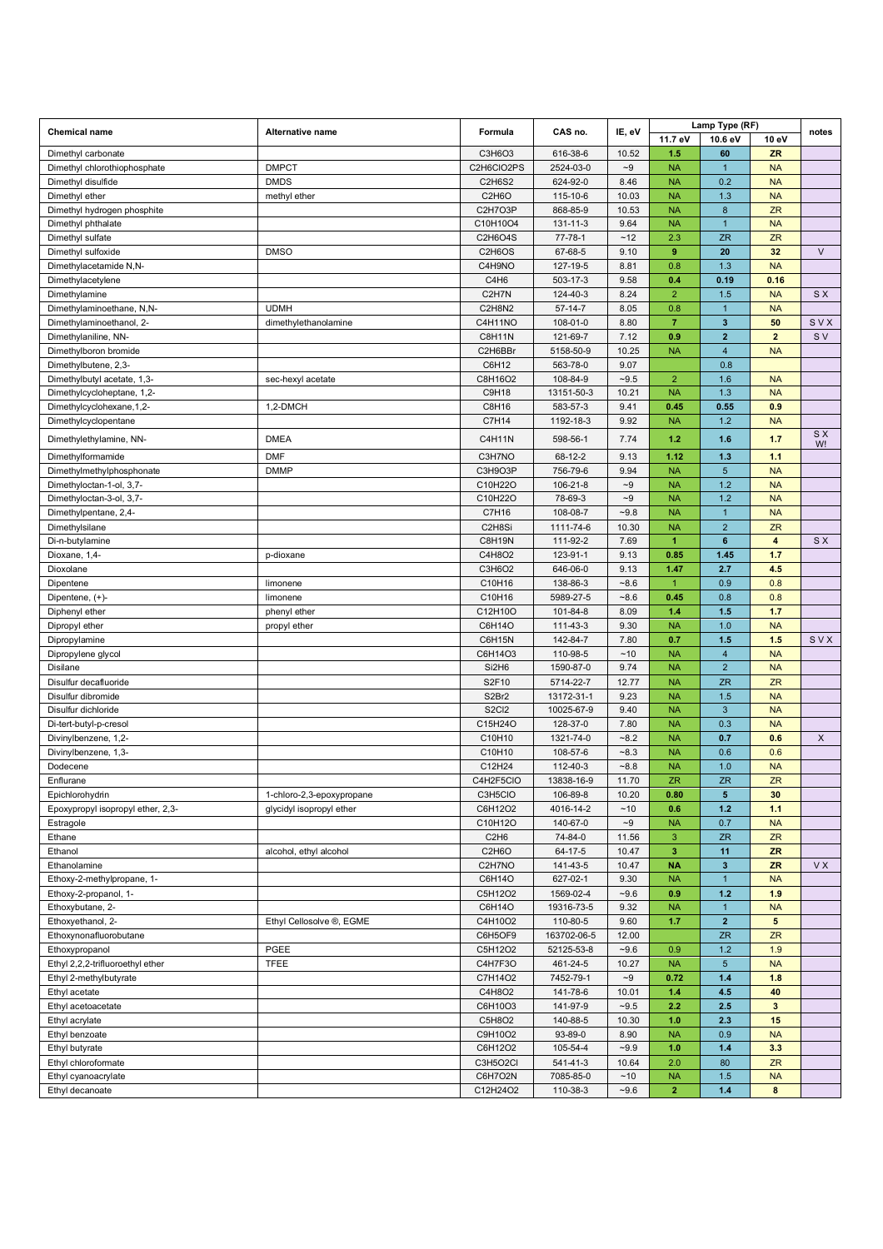|                                   |                                                       |                                 |               |                   | Lamp Type (RF) |                         |                         |           |
|-----------------------------------|-------------------------------------------------------|---------------------------------|---------------|-------------------|----------------|-------------------------|-------------------------|-----------|
| <b>Chemical name</b>              | <b>Alternative name</b>                               | Formula                         | CAS no.       | IE, eV            | 11.7 eV        | 10.6 eV                 | 10 eV                   | notes     |
| Dimethyl carbonate                |                                                       | C3H6O3                          | 616-38-6      | 10.52             | 1.5            | 60                      | <b>ZR</b>               |           |
| Dimethyl chlorothiophosphate      | <b>DMPCT</b>                                          | C2H6CIO2PS                      | 2524-03-0     | $-9$              | <b>NA</b>      | $\mathbf{1}$            | <b>NA</b>               |           |
| Dimethyl disulfide                | <b>DMDS</b>                                           | C2H6S2                          | 624-92-0      | 8.46              | <b>NA</b>      | 0.2                     | <b>NA</b>               |           |
| Dimethyl ether                    | methyl ether                                          | C2H6O                           | 115-10-6      | 10.03             | <b>NA</b>      | 1.3                     | <b>NA</b>               |           |
| Dimethyl hydrogen phosphite       |                                                       | C2H7O3P                         | 868-85-9      | 10.53             | <b>NA</b>      | $\bf8$                  | ZR                      |           |
|                                   |                                                       | C10H10O4                        | 131-11-3      | 9.64              | <b>NA</b>      | $\mathbf{1}$            | <b>NA</b>               |           |
| Dimethyl phthalate                |                                                       |                                 |               |                   |                |                         |                         |           |
| Dimethyl sulfate                  |                                                       | C2H6O4S                         | $77 - 78 - 1$ | ~12               | 2.3            | <b>ZR</b>               | ZR                      |           |
| Dimethyl sulfoxide                | <b>DMSO</b>                                           | C2H6OS                          | 67-68-5       | 9.10              | 9              | 20                      | 32                      | $\vee$    |
| Dimethylacetamide N,N-            |                                                       | C4H9NO                          | 127-19-5      | 8.81              | 0.8            | 1.3                     | <b>NA</b>               |           |
| Dimethylacetylene                 |                                                       | C4H <sub>6</sub>                | 503-17-3      | 9.58              | 0.4            | 0.19                    | 0.16                    |           |
| Dimethylamine                     |                                                       | C <sub>2</sub> H <sub>7</sub> N | 124-40-3      | 8.24              | $\overline{2}$ | 1.5                     | <b>NA</b>               | S X       |
| Dimethylaminoethane, N,N-         | <b>UDMH</b>                                           | C2H8N2                          | $57-14-7$     | 8.05              | 0.8            | $\mathbf{1}$            | <b>NA</b>               |           |
| Dimethylaminoethanol, 2-          | dimethylethanolamine                                  | C4H11NO                         | 108-01-0      | 8.80              | $\overline{7}$ | $\mathbf{3}$            | 50                      | SVX       |
| Dimethylaniline, NN-              |                                                       | <b>C8H11N</b>                   | 121-69-7      | 7.12              | 0.9            | $\overline{2}$          | $\overline{2}$          | S V       |
| Dimethylboron bromide             |                                                       | C2H6BBr                         | 5158-50-9     | 10.25             | <b>NA</b>      | $\overline{4}$          | <b>NA</b>               |           |
| Dimethylbutene, 2,3-              |                                                       | C6H12                           | 563-78-0      | 9.07              |                | 0.8                     |                         |           |
| Dimethylbutyl acetate, 1,3-       | sec-hexyl acetate                                     | C8H16O2                         | 108-84-9      | $-9.5$            | $\overline{2}$ | 1.6                     | <b>NA</b>               |           |
| Dimethylcycloheptane, 1,2-        |                                                       | C9H18                           | 13151-50-3    | 10.21             | <b>NA</b>      | 1.3                     | <b>NA</b>               |           |
| Dimethylcyclohexane, 1, 2-        | 1,2-DMCH                                              | C8H16                           | 583-57-3      | 9.41              | 0.45           | 0.55                    | 0.9                     |           |
| Dimethylcyclopentane              |                                                       | C7H14                           | 1192-18-3     | 9.92              | <b>NA</b>      | 1.2                     | <b>NA</b>               |           |
|                                   |                                                       |                                 |               |                   |                |                         |                         | S X       |
| Dimethylethylamine, NN-           | <b>DMEA</b>                                           | C4H11N                          | 598-56-1      | 7.74              | 1.2            | 1.6                     | 1.7                     | W!        |
| Dimethylformamide                 | <b>DMF</b>                                            | C3H7NO                          | 68-12-2       | 9.13              | 1.12           | 1.3                     | 1.1                     |           |
| Dimethylmethylphosphonate         | <b>DMMP</b>                                           | C3H9O3P                         | 756-79-6      | 9.94              | <b>NA</b>      | 5 <sup>5</sup>          | <b>NA</b>               |           |
| Dimethyloctan-1-ol, 3,7-          |                                                       | C10H22O                         | 106-21-8      | $-9$              | <b>NA</b>      | 1.2                     | <b>NA</b>               |           |
| Dimethyloctan-3-ol, 3,7-          |                                                       | C10H22O                         | 78-69-3       | $-9$              | <b>NA</b>      | 1.2                     | <b>NA</b>               |           |
| Dimethylpentane, 2,4-             |                                                       | C7H16                           | 108-08-7      | $-9.8$            | <b>NA</b>      | $\mathbf{1}$            | <b>NA</b>               |           |
|                                   |                                                       | C <sub>2</sub> H <sub>8Si</sub> | 1111-74-6     | 10.30             | <b>NA</b>      | $\sqrt{2}$              | ZR                      |           |
| Dimethylsilane                    |                                                       |                                 |               | 7.69              | $\mathbf{1}$   | $\bf 6$                 | $\overline{\mathbf{4}}$ | <b>SX</b> |
| Di-n-butylamine                   |                                                       | C8H19N                          | 111-92-2      |                   |                |                         |                         |           |
| Dioxane, 1,4-                     | p-dioxane                                             | C4H8O2                          | 123-91-1      | 9.13              | 0.85           | 1.45                    | 1.7                     |           |
| Dioxolane                         |                                                       | C3H6O2                          | 646-06-0      | 9.13              | 1.47           | 2.7                     | 4.5                     |           |
| Dipentene                         | limonene                                              | C10H16                          | 138-86-3      | $-8.6$            | $\mathbf{1}$   | 0.9                     | 0.8                     |           |
| Dipentene, (+)-                   | limonene                                              | C10H16                          | 5989-27-5     | $-8.6$            | 0.45           | 0.8                     | 0.8                     |           |
| Diphenyl ether                    | phenyl ether                                          | C12H10O                         | 101-84-8      | 8.09              | 1.4            | 1.5                     | 1.7                     |           |
| Dipropyl ether                    | propyl ether                                          | C6H14O                          | 111-43-3      | 9.30              | <b>NA</b>      | 1.0                     | <b>NA</b>               |           |
| Dipropylamine                     |                                                       | C6H15N                          | 142-84-7      | 7.80              | 0.7            | 1.5                     | 1.5                     | SVX       |
| Dipropylene glycol                |                                                       | C6H14O3                         | 110-98-5      | ~10               | <b>NA</b>      | $\overline{4}$          | <b>NA</b>               |           |
| Disilane                          |                                                       | Si2H6                           | 1590-87-0     | 9.74              | <b>NA</b>      | $\overline{2}$          | <b>NA</b>               |           |
| Disulfur decafluoride             |                                                       | S2F10                           | 5714-22-7     | 12.77             | <b>NA</b>      | <b>ZR</b>               | <b>ZR</b>               |           |
| Disulfur dibromide                |                                                       | S2Br2                           | 13172-31-1    | 9.23              | <b>NA</b>      | 1.5                     | <b>NA</b>               |           |
| Disulfur dichloride               |                                                       | S <sub>2</sub> C <sub>12</sub>  | 10025-67-9    | 9.40              | <b>NA</b>      | 3                       | <b>NA</b>               |           |
| Di-tert-butyl-p-cresol            |                                                       | C15H24O                         | 128-37-0      | 7.80              | <b>NA</b>      | 0.3                     | <b>NA</b>               |           |
| Divinylbenzene, 1,2-              |                                                       | C10H10                          | 1321-74-0     | $-8.2$            | <b>NA</b>      | 0.7                     | 0.6                     | $\times$  |
| Divinylbenzene, 1,3-              |                                                       | C10H10                          | 108-57-6      | $-8.3$            | <b>NA</b>      | 0.6                     | 0.6                     |           |
| Dodecene                          |                                                       | C12H24                          | 112-40-3      | $-8.8$            | <b>NA</b>      | 1.0                     | <b>NA</b>               |           |
| Enflurane                         |                                                       | C4H2F5CIO                       | 13838-16-9    | 11.70             | <b>ZR</b>      | <b>ZR</b>               | ZR                      |           |
| Epichlorohydrin                   |                                                       | C3H5CIO                         | 106-89-8      | 10.20             | 0.80           | $\overline{\mathbf{5}}$ | 30                      |           |
| Epoxypropyl isopropyl ether, 2,3- | 1-chloro-2,3-epoxypropane<br>glycidyl isopropyl ether | C6H12O2                         | 4016-14-2     | ~10               | 0.6            | $1.2$                   | 1.1                     |           |
|                                   |                                                       |                                 |               |                   |                |                         |                         |           |
| Estragole                         |                                                       | C10H12O                         | 140-67-0      | $\mathord{\sim}9$ | <b>NA</b>      | 0.7                     | <b>NA</b>               |           |
| Ethane                            |                                                       | C <sub>2</sub> H <sub>6</sub>   | 74-84-0       | 11.56             | 3              | ZR                      | ZR                      |           |
| Ethanol                           | alcohol, ethyl alcohol                                | C2H6O                           | 64-17-5       | 10.47             | $\mathbf{3}$   | 11                      | ZR                      |           |
| Ethanolamine                      |                                                       | C2H7NO                          | 141-43-5      | 10.47             | <b>NA</b>      | $\mathbf{3}$            | ZR                      | <b>VX</b> |
| Ethoxy-2-methylpropane, 1-        |                                                       | C6H14O                          | 627-02-1      | 9.30              | <b>NA</b>      | $\mathbf{1}$            | <b>NA</b>               |           |
| Ethoxy-2-propanol, 1-             |                                                       | C5H12O2                         | 1569-02-4     | $-9.6$            | 0.9            | $1.2$                   | 1.9                     |           |
| Ethoxybutane, 2-                  |                                                       | C6H14O                          | 19316-73-5    | 9.32              | <b>NA</b>      | $\mathbf{1}$            | <b>NA</b>               |           |
| Ethoxyethanol, 2-                 | Ethyl Cellosolve ®, EGME                              | C4H10O2                         | 110-80-5      | 9.60              | 1.7            | $\mathbf{2}$            | 5                       |           |
| Ethoxynonafluorobutane            |                                                       | C6H5OF9                         | 163702-06-5   | 12.00             |                | ZR                      | ZR                      |           |
| Ethoxypropanol                    | PGEE                                                  | C5H12O2                         | 52125-53-8    | $-9.6$            | 0.9            | 1.2                     | 1.9                     |           |
| Ethyl 2,2,2-trifluoroethyl ether  | <b>TFEE</b>                                           | C4H7F3O                         | 461-24-5      | 10.27             | <b>NA</b>      | $5\phantom{.0}$         | <b>NA</b>               |           |
| Ethyl 2-methylbutyrate            |                                                       | C7H14O2                         | 7452-79-1     | $\mathord{\sim}9$ | 0.72           | 1.4                     | 1.8                     |           |
| Ethyl acetate                     |                                                       | C4H8O2                          | 141-78-6      | 10.01             | 1.4            | 4.5                     | 40                      |           |
| Ethyl acetoacetate                |                                                       | C6H10O3                         | 141-97-9      | $-9.5$            | 2.2            | 2.5                     | $\mathbf{3}$            |           |
| Ethyl acrylate                    |                                                       | C5H8O2                          | 140-88-5      | 10.30             | 1.0            | 2.3                     | 15                      |           |
| Ethyl benzoate                    |                                                       | C9H10O2                         | 93-89-0       | 8.90              | <b>NA</b>      | 0.9                     | <b>NA</b>               |           |
| Ethyl butyrate                    |                                                       | C6H12O2                         | 105-54-4      | $-9.9$            | 1.0            | 1.4                     | 3.3                     |           |
|                                   |                                                       |                                 |               |                   |                |                         |                         |           |
| Ethyl chloroformate               |                                                       | C3H5O2Cl                        | 541-41-3      | 10.64             | 2.0            | 80                      | ZR                      |           |
| Ethyl cyanoacrylate               |                                                       | C6H7O2N                         | 7085-85-0     | ~10               | <b>NA</b>      | 1.5                     | <b>NA</b>               |           |
| Ethyl decanoate                   |                                                       | C12H24O2                        | 110-38-3      | $-9.6$            | $\overline{2}$ | $1.4$                   | 8                       |           |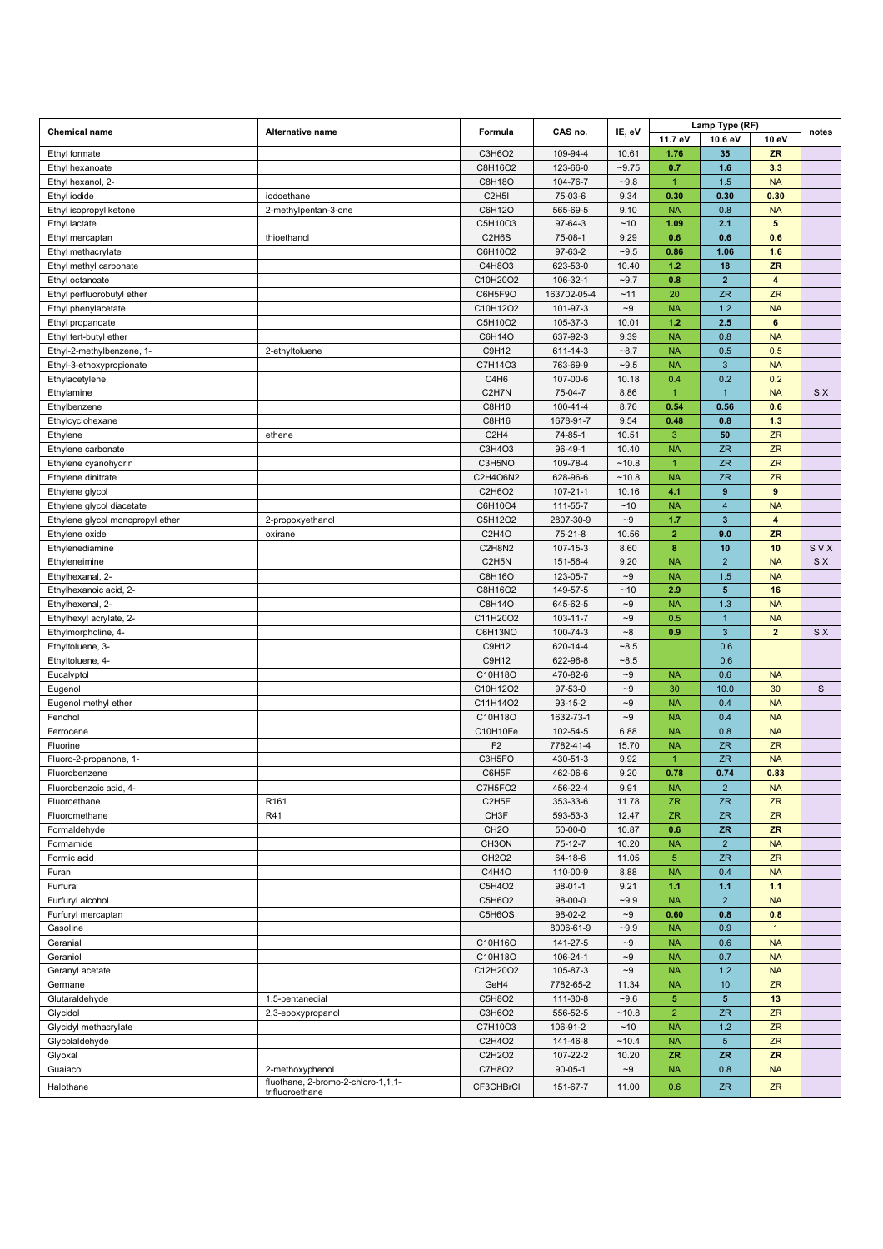|                                         |                                                       |                                 |                       |                                        |                        | Lamp Type (RF)            |                                      |              |
|-----------------------------------------|-------------------------------------------------------|---------------------------------|-----------------------|----------------------------------------|------------------------|---------------------------|--------------------------------------|--------------|
| <b>Chemical name</b>                    | Alternative name                                      | Formula                         | CAS no.               | IE, eV                                 | 11.7 eV                | 10.6 eV                   | 10 eV                                | notes        |
| Ethyl formate                           |                                                       | C3H6O2                          | 109-94-4              | 10.61                                  | 1.76                   | 35                        | <b>ZR</b>                            |              |
| Ethyl hexanoate                         |                                                       | C8H16O2                         | 123-66-0              | $-9.75$                                | 0.7                    | 1.6                       | 3.3                                  |              |
| Ethyl hexanol, 2-                       |                                                       | C8H18O                          | 104-76-7              | $-9.8$                                 | $\mathbf{1}$           | 1.5                       | <b>NA</b>                            |              |
| Ethyl iodide                            | iodoethane                                            | C <sub>2</sub> H <sub>5</sub> I | 75-03-6               | 9.34                                   | 0.30                   | 0.30                      | 0.30                                 |              |
| Ethyl isopropyl ketone                  | 2-methylpentan-3-one                                  | C6H12O                          | 565-69-5              | 9.10                                   | <b>NA</b>              | 0.8                       | <b>NA</b>                            |              |
| Ethyl lactate                           |                                                       | C5H10O3                         | 97-64-3               | $~10$                                  | 1.09                   | 2.1                       | $5\phantom{.0}$                      |              |
| Ethyl mercaptan                         | thioethanol                                           | C <sub>2</sub> H <sub>6</sub> S | 75-08-1               | 9.29                                   | 0.6                    | 0.6                       | 0.6                                  |              |
| Ethyl methacrylate                      |                                                       | C6H10O2                         | 97-63-2               | $-9.5$                                 | 0.86                   | 1.06                      | 1.6                                  |              |
| Ethyl methyl carbonate                  |                                                       | C4H8O3                          | 623-53-0              | 10.40                                  | 1.2                    | 18                        | <b>ZR</b>                            |              |
| Ethyl octanoate                         |                                                       | C10H20O2                        | 106-32-1              | $-9.7$<br>~11                          | 0.8<br>20              | $\mathbf{2}$<br><b>ZR</b> | $\overline{\mathbf{4}}$<br><b>ZR</b> |              |
| Ethyl perfluorobutyl ether              |                                                       | C6H5F9O                         | 163702-05-4           | $\mathord{\sim}9$                      | <b>NA</b>              | 1.2                       | <b>NA</b>                            |              |
| Ethyl phenylacetate<br>Ethyl propanoate |                                                       | C10H12O2<br>C5H10O2             | 101-97-3<br>105-37-3  | 10.01                                  | 1.2                    | 2.5                       | 6                                    |              |
| Ethyl tert-butyl ether                  |                                                       | C6H14O                          | 637-92-3              | 9.39                                   | <b>NA</b>              | 0.8                       | <b>NA</b>                            |              |
| Ethyl-2-methylbenzene, 1-               | 2-ethyltoluene                                        | C9H12                           | 611-14-3              | $-8.7$                                 | <b>NA</b>              | 0.5                       | 0.5                                  |              |
| Ethyl-3-ethoxypropionate                |                                                       | C7H14O3                         | 763-69-9              | $-9.5$                                 | <b>NA</b>              | $\mathbf{3}$              | <b>NA</b>                            |              |
| Ethylacetylene                          |                                                       | C4H6                            | 107-00-6              | 10.18                                  | 0.4                    | 0.2                       | 0.2                                  |              |
| Ethylamine                              |                                                       | C <sub>2</sub> H <sub>7</sub> N | 75-04-7               | 8.86                                   | $\mathbf{1}$           | 1                         | <b>NA</b>                            | <b>SX</b>    |
| Ethylbenzene                            |                                                       | C8H10                           | 100-41-4              | 8.76                                   | 0.54                   | 0.56                      | 0.6                                  |              |
| Ethylcyclohexane                        |                                                       | C8H16                           | 1678-91-7             | 9.54                                   | 0.48                   | 0.8                       | 1.3                                  |              |
| Ethylene                                | ethene                                                | C <sub>2</sub> H <sub>4</sub>   | 74-85-1               | 10.51                                  | 3                      | 50                        | ZR                                   |              |
| Ethylene carbonate                      |                                                       | C3H4O3                          | 96-49-1               | 10.40                                  | <b>NA</b>              | <b>ZR</b>                 | ZR                                   |              |
| Ethylene cyanohydrin                    |                                                       | C3H5NO                          | 109-78-4              | ~10.8                                  | $\overline{1}$         | <b>ZR</b>                 | ZR                                   |              |
| Ethylene dinitrate                      |                                                       | C2H4O6N2                        | 628-96-6              | ~10.8                                  | <b>NA</b>              | <b>ZR</b>                 | ZR                                   |              |
| Ethylene glycol                         |                                                       | C2H6O2                          | $107 - 21 - 1$        | 10.16                                  | 4.1                    | $\boldsymbol{9}$          | $\overline{9}$                       |              |
| Ethylene glycol diacetate               |                                                       | C6H10O4                         | 111-55-7              | ~10                                    | <b>NA</b>              | $\overline{4}$            | <b>NA</b>                            |              |
| Ethylene glycol monopropyl ether        | 2-propoxyethanol                                      | C5H12O2                         | 2807-30-9             | ${\sim}9$                              | 1.7                    | $\mathbf{3}$              | $\overline{\mathbf{4}}$              |              |
| Ethylene oxide                          | oxirane                                               | C2H4O                           | $75 - 21 - 8$         | 10.56                                  | $\overline{2}$         | 9.0                       | <b>ZR</b>                            |              |
| Ethylenediamine                         |                                                       | <b>C2H8N2</b>                   | 107-15-3              | 8.60                                   | 8                      | 10                        | 10                                   | SVX          |
| Ethyleneimine                           |                                                       | C <sub>2</sub> H <sub>5</sub> N | 151-56-4              | 9.20                                   | <b>NA</b>              | $\overline{2}$            | <b>NA</b>                            | <b>SX</b>    |
| Ethylhexanal, 2-                        |                                                       | C8H16O                          | 123-05-7              | $\mathord{\sim}9$                      | <b>NA</b>              | 1.5                       | <b>NA</b>                            |              |
| Ethylhexanoic acid, 2-                  |                                                       | C8H16O2                         | 149-57-5              | ~10                                    | 2.9                    | $5\phantom{.0}$           | 16                                   |              |
| Ethylhexenal, 2-                        |                                                       | C8H14O                          | 645-62-5              | $\mathord{\sim}9$                      | <b>NA</b>              | 1.3                       | <b>NA</b>                            |              |
| Ethylhexyl acrylate, 2-                 |                                                       | C11H20O2                        | 103-11-7              | $\mathord{\sim}9$                      | 0.5                    | $\mathbf{1}$              | <b>NA</b>                            |              |
| Ethylmorpholine, 4-                     |                                                       | C6H13NO                         | 100-74-3              | $\mathord{\sim} 8$                     | 0.9                    | $\mathbf{3}$              | $\overline{2}$                       | S X          |
| Ethyltoluene, 3-                        |                                                       | C9H12                           | 620-14-4              | $-8.5$                                 |                        | 0.6                       |                                      |              |
| Ethyltoluene, 4-                        |                                                       | C9H12                           | 622-96-8              | $-8.5$                                 |                        | 0.6                       |                                      |              |
| Eucalyptol                              |                                                       | C10H18O                         | 470-82-6              | $\mathord{\sim}9$                      | <b>NA</b>              | 0.6                       | <b>NA</b>                            |              |
| Eugenol                                 |                                                       | C10H12O2                        | 97-53-0               | $\mathord{\sim}9$<br>$\mathord{\sim}9$ | 30                     | 10.0                      | 30                                   | $\mathbf{s}$ |
| Eugenol methyl ether                    |                                                       | C11H14O2<br>C10H18O             | $93 - 15 - 2$         |                                        | <b>NA</b>              | 0.4                       | <b>NA</b>                            |              |
| Fenchol<br>Ferrocene                    |                                                       | C10H10Fe                        | 1632-73-1<br>102-54-5 | $\mathord{\sim}9$<br>6.88              | <b>NA</b><br><b>NA</b> | 0.4<br>0.8                | <b>NA</b><br><b>NA</b>               |              |
| Fluorine                                |                                                       | F <sub>2</sub>                  | 7782-41-4             | 15.70                                  | <b>NA</b>              | ZR                        | <b>ZR</b>                            |              |
| Fluoro-2-propanone, 1-                  |                                                       | C3H5FO                          | 430-51-3              | 9.92                                   | $\mathbf{1}$           | <b>ZR</b>                 | <b>NA</b>                            |              |
| Fluorobenzene                           |                                                       | C6H5F                           | 462-06-6              | 9.20                                   | 0.78                   | 0.74                      | 0.83                                 |              |
| Fluorobenzoic acid, 4-                  |                                                       | C7H5FO2                         | 456-22-4              | 9.91                                   | <b>NA</b>              | $\overline{2}$            | <b>NA</b>                            |              |
| Fluoroethane                            | R161                                                  | C <sub>2</sub> H <sub>5</sub> F | 353-33-6              | 11.78                                  | ZR.                    | <b>ZR</b>                 | ZR                                   |              |
| Fluoromethane                           | R41                                                   | CH <sub>3</sub> F               | 593-53-3              | 12.47                                  | <b>ZR</b>              | <b>ZR</b>                 | <b>ZR</b>                            |              |
| Formaldehyde                            |                                                       | CH <sub>2</sub> O               | $50 - 00 - 0$         | 10.87                                  | 0.6                    | ZR                        | <b>ZR</b>                            |              |
| Formamide                               |                                                       | CH3ON                           | 75-12-7               | 10.20                                  | <b>NA</b>              | $\overline{2}$            | <b>NA</b>                            |              |
| Formic acid                             |                                                       | <b>CH2O2</b>                    | 64-18-6               | 11.05                                  | $5\phantom{.0}$        | ZR                        | ZR                                   |              |
| Furan                                   |                                                       | C4H4O                           | 110-00-9              | 8.88                                   | <b>NA</b>              | 0.4                       | <b>NA</b>                            |              |
| Furfural                                |                                                       | C5H4O2                          | $98 - 01 - 1$         | 9.21                                   | 1.1                    | 1.1                       | 1.1                                  |              |
| Furfuryl alcohol                        |                                                       | C5H6O2                          | 98-00-0               | $-9.9$                                 | <b>NA</b>              | $\overline{2}$            | <b>NA</b>                            |              |
| Furfuryl mercaptan                      |                                                       | C5H6OS                          | 98-02-2               | $\sim\!\!9$                            | 0.60                   | 0.8                       | 0.8                                  |              |
| Gasoline                                |                                                       |                                 | 8006-61-9             | $-9.9$                                 | <b>NA</b>              | 0.9                       | $\mathbf{1}$                         |              |
| Geranial                                |                                                       | C10H16O                         | 141-27-5              | $\mathord{\sim}9$                      | <b>NA</b>              | 0.6                       | <b>NA</b>                            |              |
| Geraniol                                |                                                       | C10H18O                         | 106-24-1              | $\mathord{\sim}9$                      | <b>NA</b>              | 0.7                       | <b>NA</b>                            |              |
| Geranyl acetate                         |                                                       | C12H20O2                        | 105-87-3              | $\mathord{\sim}9$                      | <b>NA</b>              | 1.2                       | <b>NA</b>                            |              |
| Germane                                 |                                                       | GeH4                            | 7782-65-2             | 11.34                                  | <b>NA</b>              | 10 <sub>1</sub>           | ZR                                   |              |
| Glutaraldehyde                          | 1,5-pentanedial                                       | C5H8O2                          | 111-30-8              | $-9.6$                                 | $5\phantom{.0}$        | 5 <sup>5</sup>            | 13                                   |              |
| Glycidol                                | 2,3-epoxypropanol                                     | C3H6O2                          | 556-52-5              | ~10.8                                  | $\overline{2}$         | <b>ZR</b>                 | ZR                                   |              |
| Glycidyl methacrylate                   |                                                       | C7H10O3                         | 106-91-2              | $~10$                                  | <b>NA</b>              | $1.2$                     | ZR                                   |              |
| Glycolaldehyde                          |                                                       | C2H4O2                          | 141-46-8              | ~10.4                                  | <b>NA</b>              | 5 <sup>5</sup>            | <b>ZR</b>                            |              |
| Glyoxal                                 |                                                       | C2H2O2                          | 107-22-2              | 10.20                                  | ZR                     | ZR                        | ZR                                   |              |
| Guaiacol                                | 2-methoxyphenol                                       | C7H8O2                          | $90 - 05 - 1$         | $\mathord{\sim}9$                      | <b>NA</b>              | 0.8                       | <b>NA</b>                            |              |
| Halothane                               | fluothane, 2-bromo-2-chloro-1,1,1-<br>trifluoroethane | CF3CHBrCl                       | 151-67-7              | 11.00                                  | 0.6                    | <b>ZR</b>                 | <b>ZR</b>                            |              |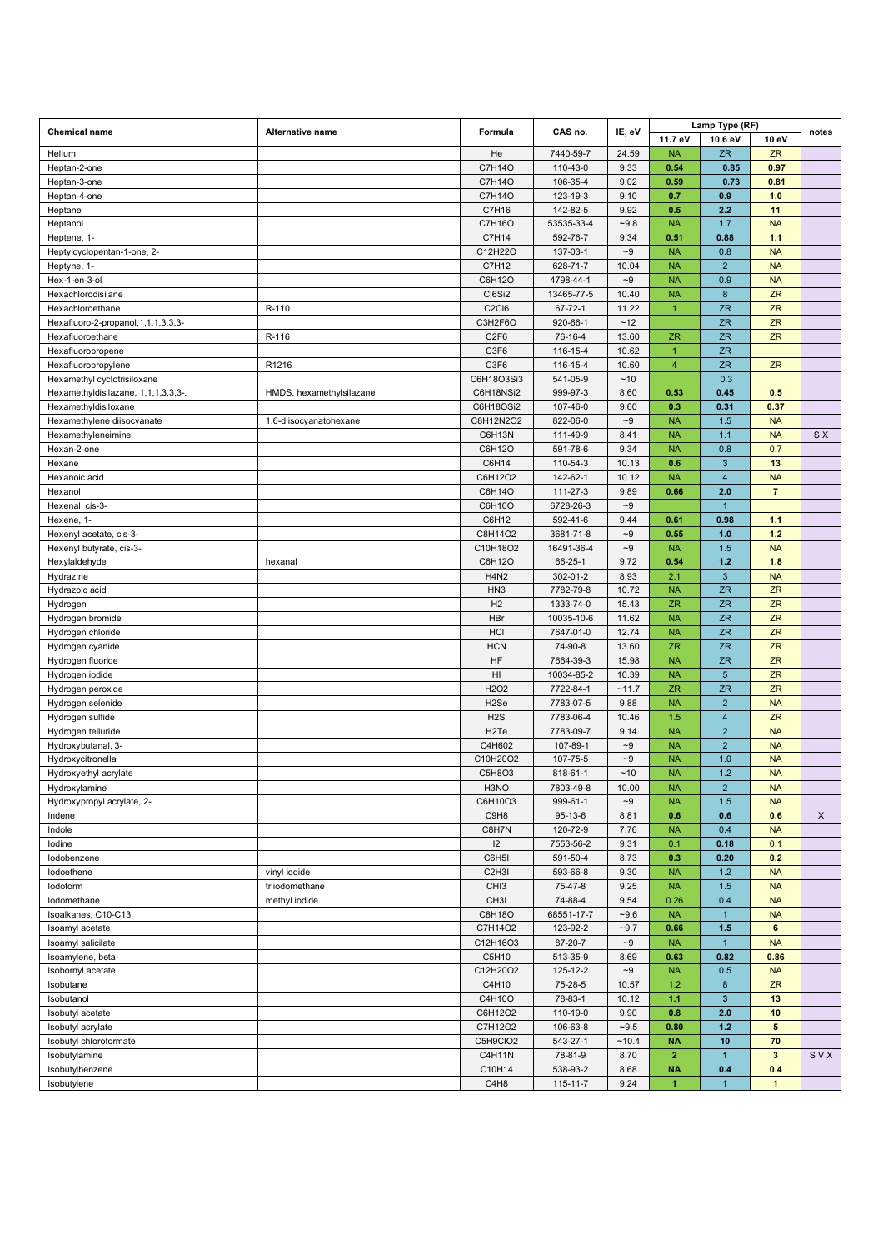| <b>Chemical name</b>                     | <b>Alternative name</b>  | Formula                         | CAS no.    | IE, eV            |                      | Lamp Type (RF)          |                 | notes |
|------------------------------------------|--------------------------|---------------------------------|------------|-------------------|----------------------|-------------------------|-----------------|-------|
|                                          |                          |                                 |            |                   | 11.7 eV              | 10.6 eV                 | 10 eV           |       |
| Helium                                   |                          | He                              | 7440-59-7  | 24.59             | <b>NA</b>            | <b>ZR</b>               | <b>ZR</b>       |       |
| Heptan-2-one                             |                          | C7H14O                          | 110-43-0   | 9.33              | 0.54                 | 0.85                    | 0.97            |       |
| Heptan-3-one                             |                          | C7H14O                          | 106-35-4   | 9.02              | 0.59                 | 0.73                    | 0.81            |       |
| Heptan-4-one                             |                          | C7H14O                          | 123-19-3   | 9.10              | 0.7                  | 0.9                     | 1.0             |       |
| Heptane                                  |                          | C7H16                           | 142-82-5   | 9.92              | 0.5                  | 2.2                     | 11              |       |
| Heptanol                                 |                          | C7H16O                          | 53535-33-4 | $-9.8$            | <b>NA</b>            | 1.7                     | <b>NA</b>       |       |
| Heptene, 1-                              |                          | C7H14                           | 592-76-7   | 9.34              | 0.51                 | 0.88                    | 1.1             |       |
| Heptylcyclopentan-1-one, 2-              |                          | C12H22O                         | 137-03-1   | $\sim\!\!9$       | <b>NA</b>            | 0.8                     | <b>NA</b>       |       |
| Heptyne, 1-                              |                          | C7H12                           | 628-71-7   | 10.04             | <b>NA</b>            | $\overline{c}$          | <b>NA</b>       |       |
| Hex-1-en-3-ol                            |                          | C6H12O                          | 4798-44-1  | $\mathord{\sim}9$ | <b>NA</b>            | 0.9                     | <b>NA</b>       |       |
| Hexachlorodisilane                       |                          | CI6Si2                          | 13465-77-5 | 10.40             | <b>NA</b>            | 8                       | <b>ZR</b>       |       |
| Hexachloroethane                         | R-110                    | C <sub>2</sub> C <sub>16</sub>  | 67-72-1    | 11.22             | $\overline{1}$       | ZR                      | <b>ZR</b>       |       |
| Hexafluoro-2-propanol, 1, 1, 1, 3, 3, 3- |                          | C3H2F6O                         | 920-66-1   | $~12$             |                      | <b>ZR</b>               | ZR              |       |
| Hexafluoroethane                         | R-116                    | C <sub>2F6</sub>                | 76-16-4    | 13.60             | <b>ZR</b>            | <b>ZR</b>               | <b>ZR</b>       |       |
| Hexafluoropropene                        |                          | C3F6                            | 116-15-4   | 10.62             | $\mathbf{1}$         | <b>ZR</b>               |                 |       |
| Hexafluoropropylene                      | R1216                    | C3F6                            | 116-15-4   | 10.60             | $\overline{4}$       | <b>ZR</b>               | ZR              |       |
| Hexamethyl cyclotrisiloxane              |                          | C6H18O3Si3                      | 541-05-9   | ~10               |                      | 0.3                     |                 |       |
| Hexamethyldisilazane, 1,1,1,3,3,3-.      | HMDS, hexamethylsilazane | C6H18NSi2                       | 999-97-3   | 8.60              | 0.53                 | 0.45                    | 0.5             |       |
| Hexamethyldisiloxane                     |                          | C6H18OSi2                       | 107-46-0   | 9.60              | 0.3                  | 0.31                    | 0.37            |       |
| Hexamethylene diisocyanate               | 1,6-diisocyanatohexane   | C8H12N2O2                       | 822-06-0   | $\mathord{\sim}9$ | <b>NA</b>            | 1.5                     | <b>NA</b>       |       |
| Hexamethyleneimine                       |                          | C6H13N                          | 111-49-9   | 8.41              | <b>NA</b>            | 1.1                     | <b>NA</b>       | S X   |
| Hexan-2-one                              |                          | C6H12O                          | 591-78-6   | 9.34              | <b>NA</b>            | 0.8                     | 0.7             |       |
| Hexane                                   |                          | C6H14                           | 110-54-3   | 10.13             | 0.6                  | $\overline{\mathbf{3}}$ | 13              |       |
| Hexanoic acid                            |                          | C6H12O2                         | 142-62-1   | 10.12             | <b>NA</b>            | 4                       | <b>NA</b>       |       |
| Hexanol                                  |                          | C6H14O                          | 111-27-3   | 9.89              | 0.66                 | 2.0                     | $\overline{7}$  |       |
| Hexenal, cis-3-                          |                          | C6H10O                          | 6728-26-3  | $\mathord{\sim}9$ |                      | $\mathbf{1}$            |                 |       |
| Hexene, 1-                               |                          | C6H12                           | 592-41-6   | 9.44              | 0.61                 | 0.98                    | 1.1             |       |
| Hexenyl acetate, cis-3-                  |                          | C8H14O2                         | 3681-71-8  | $-9$              | 0.55                 | 1.0                     | $1.2$           |       |
| Hexenyl butyrate, cis-3-                 |                          | C10H18O2                        | 16491-36-4 | $\mathord{\sim}9$ | <b>NA</b>            | 1.5                     | <b>NA</b>       |       |
| Hexylaldehyde                            | hexanal                  | C6H12O                          | 66-25-1    | 9.72              | 0.54                 | 1.2                     | 1.8             |       |
| Hydrazine                                |                          | <b>H4N2</b>                     | 302-01-2   | 8.93              | 2.1                  | 3                       | <b>NA</b>       |       |
| Hydrazoic acid                           |                          | HN <sub>3</sub>                 | 7782-79-8  | 10.72             | <b>NA</b>            | ZR                      | ZR              |       |
| Hydrogen                                 |                          | H2                              | 1333-74-0  | 15.43             | <b>ZR</b>            | ZR                      | ZR              |       |
| Hydrogen bromide                         |                          | HBr                             | 10035-10-6 | 11.62             | <b>NA</b>            | ZR                      | ZR              |       |
| Hydrogen chloride                        |                          | <b>HCI</b>                      | 7647-01-0  | 12.74             | <b>NA</b>            | <b>ZR</b>               | <b>ZR</b>       |       |
| Hydrogen cyanide                         |                          | <b>HCN</b>                      | 74-90-8    | 13.60             | <b>ZR</b>            | ZR                      | <b>ZR</b>       |       |
| Hydrogen fluoride                        |                          | HF                              | 7664-39-3  | 15.98             | <b>NA</b>            | <b>ZR</b>               | ZR              |       |
| Hydrogen iodide                          |                          | HI                              | 10034-85-2 | 10.39             | <b>NA</b>            | $\sqrt{5}$              | <b>ZR</b>       |       |
| Hydrogen peroxide                        |                          | H <sub>2</sub> O <sub>2</sub>   | 7722-84-1  | ~11.7             | <b>ZR</b>            | ZR                      | ZR              |       |
| Hydrogen selenide                        |                          | H <sub>2</sub> Se               | 7783-07-5  | 9.88              | <b>NA</b>            | $\overline{2}$          | <b>NA</b>       |       |
| Hydrogen sulfide                         |                          | H <sub>2</sub> S                | 7783-06-4  | 10.46             | 1.5                  | $\overline{4}$          | <b>ZR</b>       |       |
| Hydrogen telluride                       |                          | H <sub>2</sub> Te               | 7783-09-7  | 9.14              | <b>NA</b>            | $\overline{c}$          | <b>NA</b>       |       |
| Hydroxybutanal, 3-                       |                          | C4H602                          | 107-89-1   | $\mathord{\sim}9$ | <b>NA</b>            | $\overline{2}$          | <b>NA</b>       |       |
| Hydroxycitronellal                       |                          | C10H20O2                        | 107-75-5   | $\sim\!\!9$       | <b>NA</b>            | 1.0                     | <b>NA</b>       |       |
| Hydroxyethyl acrylate                    |                          | C5H8O3                          | 818-61-1   | ~10               | <b>NA</b>            | 1.2                     | <b>NA</b>       |       |
| Hydroxylamine                            |                          | H <sub>3</sub> NO               | 7803-49-8  | 10.00             | NA.                  | $\overline{c}$          | <b>NA</b>       |       |
| Hydroxypropyl acrylate, 2-               |                          | C6H10O3                         | 999-61-1   | $\sim\!\!9$       | <b>NA</b>            | 1.5                     | <b>NA</b>       |       |
| Indene                                   |                          | C9H8                            | 95-13-6    | 8.81              | 0.6                  | 0.6                     | 0.6             | X     |
| Indole                                   |                          | C8H7N                           | 120-72-9   | 7.76              | <b>NA</b>            | 0.4                     | <b>NA</b>       |       |
| lodine                                   |                          | 12                              | 7553-56-2  | 9.31              | 0.1                  | 0.18                    | 0.1             |       |
| lodobenzene                              |                          | C6H5I                           | 591-50-4   | 8.73              | 0.3                  | 0.20                    | 0.2             |       |
| lodoethene                               | vinyl iodide             | C <sub>2</sub> H <sub>3</sub> I | 593-66-8   | 9.30              | <b>NA</b>            | 1.2                     | <b>NA</b>       |       |
| lodoform                                 | triiodomethane           | CH <sub>13</sub>                | 75-47-8    | 9.25              | <b>NA</b>            | 1.5                     | <b>NA</b>       |       |
| lodomethane                              | methyl iodide            | CH <sub>31</sub>                | 74-88-4    | 9.54              | 0.26                 | 0.4                     | <b>NA</b>       |       |
| Isoalkanes, C10-C13                      |                          | C8H18O                          | 68551-17-7 | $-9.6$            | <b>NA</b>            | $\mathbf{1}$            | <b>NA</b>       |       |
| Isoamyl acetate                          |                          | C7H14O2                         | 123-92-2   | $-9.7$            | 0.66                 | $1.5$                   | 6               |       |
| Isoamyl salicilate                       |                          | C12H16O3                        | 87-20-7    | $\mathord{\sim}9$ | <b>NA</b>            | $\mathbf{1}$            | <b>NA</b>       |       |
| Isoamylene, beta-                        |                          | C5H10                           | 513-35-9   | 8.69              | 0.63                 | 0.82                    | 0.86            |       |
| Isobornyl acetate                        |                          | C12H20O2                        | 125-12-2   | $-9$              | <b>NA</b>            | 0.5                     | <b>NA</b>       |       |
| Isobutane                                |                          | C4H10                           | 75-28-5    | 10.57             | 1.2                  | 8                       | ZR              |       |
| Isobutanol                               |                          | C4H10O                          | 78-83-1    | 10.12             | 1.1                  | $\mathbf{3}$            | 13              |       |
| Isobutyl acetate                         |                          | C6H12O2                         | 110-19-0   | 9.90              | 0.8                  | 2.0                     | 10              |       |
| Isobutyl acrylate                        |                          | C7H12O2                         | 106-63-8   | $-9.5$            | 0.80                 | $1.2$                   | $5\phantom{.0}$ |       |
| Isobutyl chloroformate                   |                          | C5H9CIO2                        | 543-27-1   | ~10.4             | <b>NA</b>            | 10                      | 70              |       |
| Isobutylamine                            |                          | C4H11N                          | 78-81-9    | 8.70              | $\overline{2}$       | $\blacksquare$          | $\mathbf{3}$    | SVX   |
| Isobutylbenzene                          |                          | C10H14                          | 538-93-2   | 8.68              | <b>NA</b>            | 0.4                     | 0.4             |       |
| Isobutylene                              |                          | C4H8                            | 115-11-7   | 9.24              | $\blacktriangleleft$ | $\blacksquare$          | $\mathbf{1}$    |       |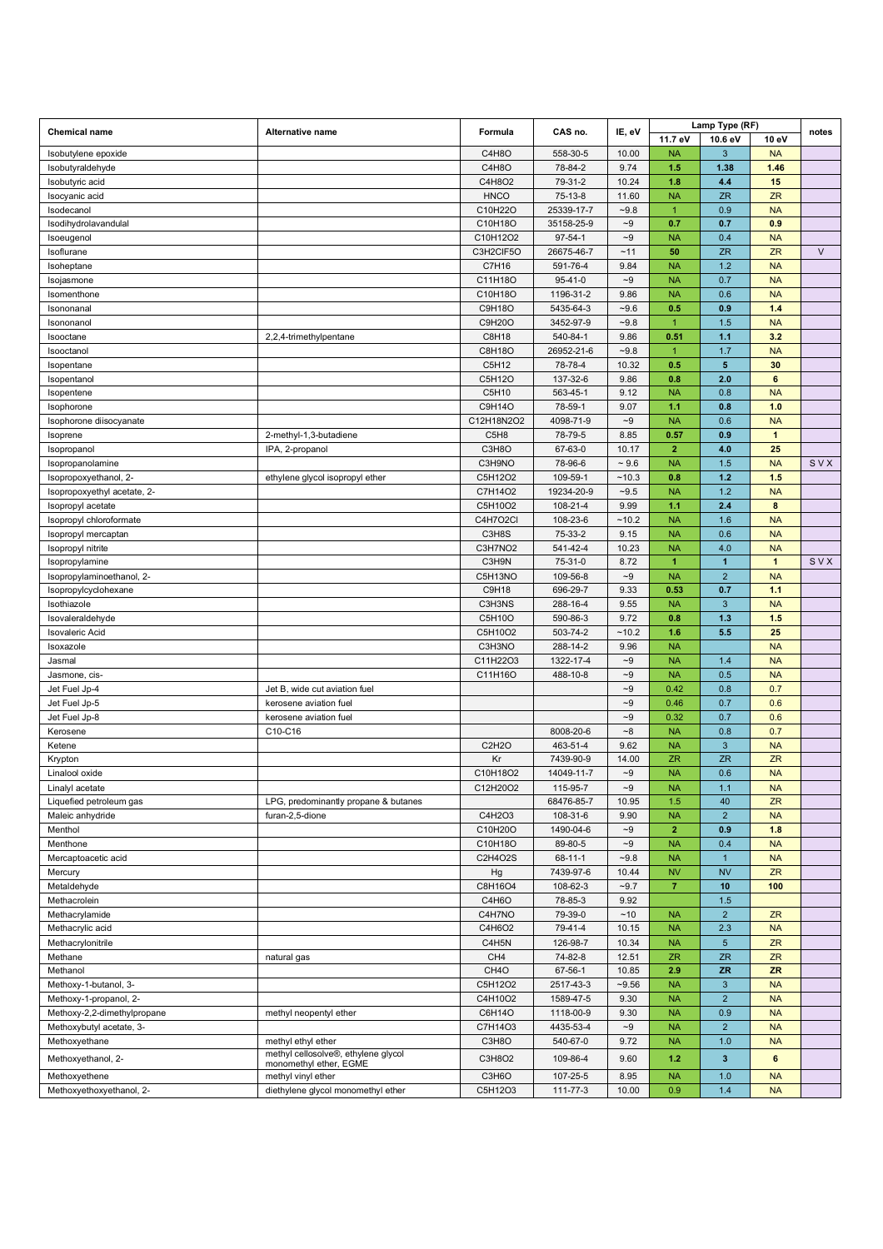|                             |                                                               |                   |               |                   |                      | Lamp Type (RF) |                  |        |
|-----------------------------|---------------------------------------------------------------|-------------------|---------------|-------------------|----------------------|----------------|------------------|--------|
| <b>Chemical name</b>        | Alternative name                                              | Formula           | CAS no.       | IE, eV            | 11.7 eV              | 10.6 eV        | 10 eV            | notes  |
| Isobutylene epoxide         |                                                               | C4H8O             | 558-30-5      | 10.00             | <b>NA</b>            | 3              | <b>NA</b>        |        |
| Isobutyraldehyde            |                                                               | C4H8O             | 78-84-2       | 9.74              | 1.5                  | 1.38           | 1.46             |        |
| Isobutyric acid             |                                                               | C4H8O2            | 79-31-2       | 10.24             | 1.8                  | 4.4            | 15               |        |
| Isocyanic acid              |                                                               | <b>HNCO</b>       | $75-13-8$     | 11.60             | <b>NA</b>            | <b>ZR</b>      | <b>ZR</b>        |        |
| Isodecanol                  |                                                               | C10H22O           | 25339-17-7    | $-9.8$            | $\overline{1}$       | 0.9            | <b>NA</b>        |        |
| Isodihydrolavandulal        |                                                               | C10H18O           | 35158-25-9    | $\mathord{\sim}9$ | 0.7                  | 0.7            | 0.9              |        |
| Isoeugenol                  |                                                               | C10H12O2          | $97 - 54 - 1$ | $\sim\!\!9$       | <b>NA</b>            | 0.4            | <b>NA</b>        |        |
| Isoflurane                  |                                                               | C3H2CIF5O         | 26675-46-7    | ~11               | 50                   | <b>ZR</b>      | ZR               | $\vee$ |
| Isoheptane                  |                                                               | C7H16             | 591-76-4      | 9.84              | <b>NA</b>            | 1.2            | <b>NA</b>        |        |
| Isojasmone                  |                                                               | C11H18O           | $95 - 41 - 0$ | $\sim\!\!9$       | <b>NA</b>            | 0.7            | <b>NA</b>        |        |
| Isomenthone                 |                                                               | C10H18O           | 1196-31-2     | 9.86              | <b>NA</b>            | 0.6            | <b>NA</b>        |        |
| Isononanal                  |                                                               | C9H18O            | 5435-64-3     | $-9.6$            | 0.5                  | 0.9            | $1.4$            |        |
| Isononanol                  |                                                               | C9H20O            | 3452-97-9     | $-9.8$            | $\mathbf{1}$<br>0.51 | 1.5<br>1.1     | <b>NA</b><br>3.2 |        |
| Isooctane                   | 2,2,4-trimethylpentane                                        | C8H18             | 540-84-1      | 9.86              |                      |                |                  |        |
| Isooctanol                  |                                                               | C8H18O            | 26952-21-6    | $-9.8$            | $\mathbf{1}$         | 1.7<br>5       | <b>NA</b>        |        |
| Isopentane                  |                                                               | C5H12             | 78-78-4       | 10.32             | 0.5                  |                | 30               |        |
| Isopentanol                 |                                                               | C5H12O            | 137-32-6      | 9.86              | 0.8                  | 2.0            | 6                |        |
| Isopentene                  |                                                               | C5H10<br>C9H14O   | 563-45-1      | 9.12              | <b>NA</b>            | 0.8            | <b>NA</b>        |        |
| Isophorone                  |                                                               |                   | 78-59-1       | 9.07              | 1.1                  | 0.8            | 1.0              |        |
| Isophorone diisocyanate     |                                                               | C12H18N2O2        | 4098-71-9     | $-9$              | <b>NA</b>            | 0.6            | <b>NA</b>        |        |
| Isoprene                    | 2-methyl-1,3-butadiene                                        | C5H8              | 78-79-5       | 8.85              | 0.57                 | 0.9            | $\mathbf{1}$     |        |
| Isopropanol                 | IPA, 2-propanol                                               | C3H8O             | 67-63-0       | 10.17             | $\overline{2}$       | 4.0            | 25               |        |
| Isopropanolamine            |                                                               | C3H9NO            | 78-96-6       | $~1 - 9.6$        | <b>NA</b>            | 1.5            | <b>NA</b>        | SVX    |
| Isopropoxyethanol, 2-       | ethylene glycol isopropyl ether                               | C5H12O2           | 109-59-1      | ~10.3             | 0.8                  | $1.2$          | 1.5              |        |
| Isopropoxyethyl acetate, 2- |                                                               | C7H14O2           | 19234-20-9    | $-9.5$            | <b>NA</b>            | 1.2            | <b>NA</b>        |        |
| Isopropyl acetate           |                                                               | C5H10O2           | 108-21-4      | 9.99              | 1.1                  | 2.4            | 8                |        |
| Isopropyl chloroformate     |                                                               | C4H7O2Cl          | 108-23-6      | ~10.2             | <b>NA</b>            | 1.6            | <b>NA</b>        |        |
| Isopropyl mercaptan         |                                                               | C3H8S             | 75-33-2       | 9.15              | <b>NA</b>            | 0.6            | <b>NA</b>        |        |
| Isopropyl nitrite           |                                                               | C3H7NO2           | 541-42-4      | 10.23             | <b>NA</b>            | 4.0            | <b>NA</b>        |        |
| Isopropylamine              |                                                               | C3H9N             | 75-31-0       | 8.72              | $\blacktriangleleft$ | $\mathbf{1}$   | $\mathbf{1}$     | SVX    |
| Isopropylaminoethanol, 2-   |                                                               | C5H13NO           | 109-56-8      | $\sim\!\!9$       | <b>NA</b>            | $\overline{2}$ | <b>NA</b>        |        |
| Isopropylcyclohexane        |                                                               | C9H18             | 696-29-7      | 9.33              | 0.53                 | 0.7            | 1.1              |        |
| Isothiazole                 |                                                               | C3H3NS            | 288-16-4      | 9.55              | <b>NA</b>            | 3              | <b>NA</b>        |        |
| Isovaleraldehyde            |                                                               | C5H10O            | 590-86-3      | 9.72              | 0.8                  | 1.3            | 1.5              |        |
| <b>Isovaleric Acid</b>      |                                                               | C5H10O2           | 503-74-2      | ~10.2             | 1.6                  | 5.5            | 25               |        |
| Isoxazole                   |                                                               | C3H3NO            | 288-14-2      | 9.96              | <b>NA</b>            |                | <b>NA</b>        |        |
| Jasmal                      |                                                               | C11H22O3          | 1322-17-4     | $\mathord{\sim}9$ | <b>NA</b>            | 1.4            | <b>NA</b>        |        |
| Jasmone, cis-               |                                                               | C11H16O           | 488-10-8      | $-9$              | <b>NA</b>            | 0.5            | <b>NA</b>        |        |
| Jet Fuel Jp-4               | Jet B, wide cut aviation fuel                                 |                   |               | $\mathord{\sim}9$ | 0.42                 | 0.8            | 0.7              |        |
| Jet Fuel Jp-5               | kerosene aviation fuel                                        |                   |               | $-9$              | 0.46                 | 0.7            | 0.6              |        |
| Jet Fuel Jp-8               | kerosene aviation fuel                                        |                   |               | $-9$              | 0.32                 | 0.7            | 0.6              |        |
| Kerosene                    | C10-C16                                                       |                   | 8008-20-6     | $-8$              | <b>NA</b>            | 0.8            | 0.7              |        |
| Ketene                      |                                                               | C2H2O             | 463-51-4      | 9.62              | <b>NA</b>            | $\sqrt{3}$     | <b>NA</b>        |        |
| Krypton                     |                                                               | Kr                | 7439-90-9     | 14.00             | <b>ZR</b>            | <b>ZR</b>      | <b>ZR</b>        |        |
| Linalool oxide              |                                                               | C10H18O2          | 14049-11-7    | $\mathord{\sim}9$ | <b>NA</b>            | 0.6            | <b>NA</b>        |        |
| Linalyl acetate             |                                                               | C12H20O2          | 115-95-7      | $-9$              | <b>NA</b>            | 1.1            | <b>NA</b>        |        |
| Liquefied petroleum gas     | LPG, predominantly propane & butanes                          |                   | 68476-85-7    | 10.95             | 1.5                  | 40             | <b>ZR</b>        |        |
| Maleic anhydride            | furan-2,5-dione                                               | C4H2O3            | 108-31-6      | 9.90              | <b>NA</b>            | $\overline{2}$ | <b>NA</b>        |        |
| Menthol                     |                                                               | C10H20O           | 1490-04-6     | $-9$              | $\overline{2}$       | 0.9            | 1.8              |        |
| Menthone                    |                                                               | C10H18O           | 89-80-5       | $\mathord{\sim}9$ | <b>NA</b>            | 0.4            | <b>NA</b>        |        |
| Mercaptoacetic acid         |                                                               | C2H4O2S           | $68 - 11 - 1$ | $-9.8$            | <b>NA</b>            | $\mathbf{1}$   | <b>NA</b>        |        |
| Mercury                     |                                                               | Hg                | 7439-97-6     | 10.44             | <b>NV</b>            | <b>NV</b>      | <b>ZR</b>        |        |
| Metaldehyde                 |                                                               | C8H16O4           | 108-62-3      | $-9.7$            | $\overline{7}$       | 10             | 100              |        |
| Methacrolein                |                                                               | C4H6O             | 78-85-3       | 9.92              |                      | 1.5            |                  |        |
| Methacrylamide              |                                                               | C4H7NO            | 79-39-0       | ~10               | <b>NA</b>            | $\overline{2}$ | <b>ZR</b>        |        |
| Methacrylic acid            |                                                               | C4H6O2            | 79-41-4       | 10.15             | <b>NA</b>            | 2.3            | <b>NA</b>        |        |
| Methacrylonitrile           |                                                               | C4H5N             | 126-98-7      | 10.34             | <b>NA</b>            | $\sqrt{5}$     | ZR               |        |
| Methane                     | natural gas                                                   | CH4               | 74-82-8       | 12.51             | ZR                   | <b>ZR</b>      | ZR               |        |
| Methanol                    |                                                               | CH <sub>4</sub> O | 67-56-1       | 10.85             | 2.9                  | <b>ZR</b>      | <b>ZR</b>        |        |
| Methoxy-1-butanol, 3-       |                                                               | C5H12O2           | 2517-43-3     | $-9.56$           | <b>NA</b>            | $\sqrt{3}$     | <b>NA</b>        |        |
| Methoxy-1-propanol, 2-      |                                                               | C4H10O2           | 1589-47-5     | 9.30              | <b>NA</b>            | $\overline{2}$ | <b>NA</b>        |        |
| Methoxy-2,2-dimethylpropane | methyl neopentyl ether                                        | C6H14O            | 1118-00-9     | 9.30              | <b>NA</b>            | 0.9            | <b>NA</b>        |        |
| Methoxybutyl acetate, 3-    |                                                               | C7H14O3           | 4435-53-4     | $\mathord{\sim}9$ | <b>NA</b>            | $\overline{c}$ | <b>NA</b>        |        |
| Methoxyethane               | methyl ethyl ether                                            | C3H8O             | 540-67-0      | 9.72              | <b>NA</b>            | 1.0            | <b>NA</b>        |        |
| Methoxyethanol, 2-          | methyl cellosolve®, ethylene glycol<br>monomethyl ether, EGME | C3H8O2            | 109-86-4      | 9.60              | 1.2                  | 3              | $6\phantom{1}$   |        |
| Methoxyethene               | methyl vinyl ether                                            | C3H6O             | 107-25-5      | 8.95              | <b>NA</b>            | 1.0            | <b>NA</b>        |        |
| Methoxyethoxyethanol, 2-    | diethylene glycol monomethyl ether                            | C5H12O3           | 111-77-3      | 10.00             | 0.9                  | 1.4            | <b>NA</b>        |        |
|                             |                                                               |                   |               |                   |                      |                |                  |        |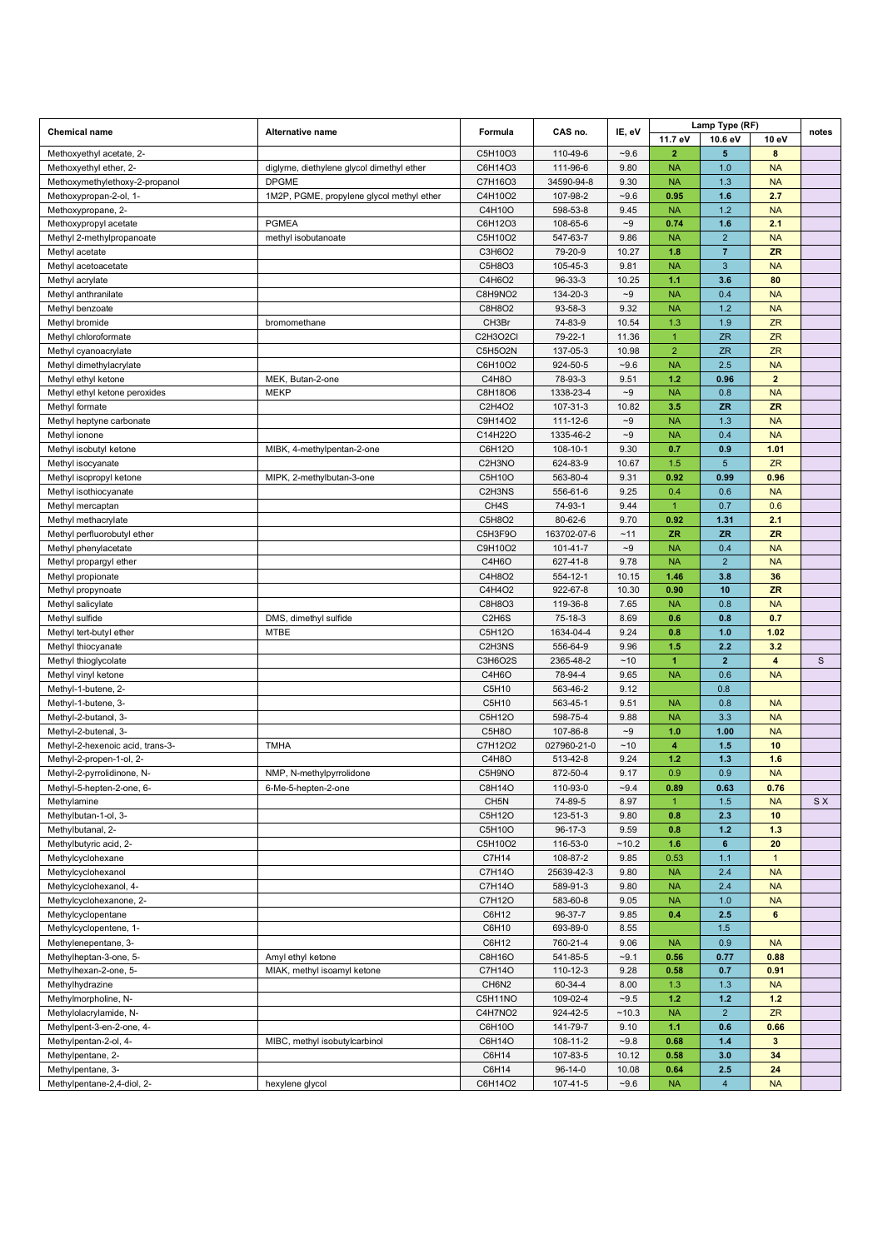| <b>Chemical name</b>                               | Alternative name                          | Formula                         | CAS no.                   | IE, eV            |                         | Lamp Type (RF)        |                         | notes        |
|----------------------------------------------------|-------------------------------------------|---------------------------------|---------------------------|-------------------|-------------------------|-----------------------|-------------------------|--------------|
|                                                    |                                           |                                 |                           |                   | 11.7 eV                 | 10.6 eV               | 10 eV                   |              |
| Methoxyethyl acetate, 2-                           |                                           | C5H10O3                         | 110-49-6                  | $-9.6$            | $\overline{2}$          | 5                     | 8                       |              |
| Methoxyethyl ether, 2-                             | diglyme, diethylene glycol dimethyl ether | C6H14O3                         | 111-96-6                  | 9.80              | <b>NA</b>               | 1.0                   | <b>NA</b>               |              |
| Methoxymethylethoxy-2-propanol                     | <b>DPGME</b>                              | C7H16O3                         | 34590-94-8                | 9.30              | <b>NA</b>               | 1.3                   | <b>NA</b>               |              |
| Methoxypropan-2-ol, 1-                             | 1M2P, PGME, propylene glycol methyl ether | C4H10O2                         | 107-98-2                  | $-9.6$            | 0.95                    | 1.6                   | 2.7                     |              |
| Methoxypropane, 2-                                 |                                           | C4H10O                          | 598-53-8                  | 9.45              | <b>NA</b>               | 1.2                   | <b>NA</b>               |              |
| Methoxypropyl acetate                              | <b>PGMEA</b>                              | C6H12O3                         | 108-65-6<br>547-63-7      | $-9$              | 0.74<br><b>NA</b>       | 1.6<br>$\overline{2}$ | 2.1<br><b>NA</b>        |              |
| Methyl 2-methylpropanoate<br>Methyl acetate        | methyl isobutanoate                       | C5H10O2<br>C3H6O2               | 79-20-9                   | 9.86<br>10.27     | 1.8                     | $\overline{7}$        | <b>ZR</b>               |              |
| Methyl acetoacetate                                |                                           | C5H8O3                          | 105-45-3                  | 9.81              | <b>NA</b>               | 3                     | <b>NA</b>               |              |
| Methyl acrylate                                    |                                           | C4H6O2                          | 96-33-3                   | 10.25             | 1.1                     | 3.6                   | 80                      |              |
| Methyl anthranilate                                |                                           | C8H9NO2                         | 134-20-3                  | $-9$              | <b>NA</b>               | 0.4                   | <b>NA</b>               |              |
| Methyl benzoate                                    |                                           | C8H8O2                          | 93-58-3                   | 9.32              | <b>NA</b>               | 1.2                   | <b>NA</b>               |              |
| Methyl bromide                                     | bromomethane                              | CH3Br                           | 74-83-9                   | 10.54             | 1.3                     | 1.9                   | <b>ZR</b>               |              |
| Methyl chloroformate                               |                                           | C2H3O2CI                        | 79-22-1                   | 11.36             | $\mathbf{1}$            | <b>ZR</b>             | ZR                      |              |
| Methyl cyanoacrylate                               |                                           | C5H5O2N                         | 137-05-3                  | 10.98             | $\overline{2}$          | ZR                    | ZR                      |              |
| Methyl dimethylacrylate                            |                                           | C6H10O2                         | 924-50-5                  | $-9.6$            | <b>NA</b>               | 2.5                   | <b>NA</b>               |              |
| Methyl ethyl ketone                                | MEK, Butan-2-one                          | C4H8O                           | 78-93-3                   | 9.51              | 1.2                     | 0.96                  | $\overline{\mathbf{c}}$ |              |
| Methyl ethyl ketone peroxides                      | <b>MEKP</b>                               | C8H18O6                         | 1338-23-4                 | $\mathord{\sim}9$ | <b>NA</b>               | 0.8                   | <b>NA</b>               |              |
| Methyl formate                                     |                                           | C2H4O2                          | 107-31-3                  | 10.82             | 3.5                     | <b>ZR</b>             | <b>ZR</b>               |              |
| Methyl heptyne carbonate                           |                                           | C9H14O2                         | 111-12-6                  | $-9$              | <b>NA</b>               | 1.3                   | <b>NA</b>               |              |
| Methyl ionone                                      |                                           | C14H22O                         | 1335-46-2                 | $\mathord{\sim}9$ | <b>NA</b>               | 0.4                   | <b>NA</b>               |              |
| Methyl isobutyl ketone                             | MIBK, 4-methylpentan-2-one                | C6H12O                          | 108-10-1                  | 9.30              | 0.7                     | 0.9                   | 1.01                    |              |
| Methyl isocyanate                                  |                                           | C2H3NO                          | 624-83-9                  | 10.67             | 1.5                     | $\overline{5}$        | <b>ZR</b>               |              |
| Methyl isopropyl ketone                            | MIPK, 2-methylbutan-3-one                 | C5H10O                          | 563-80-4                  | 9.31              | 0.92                    | 0.99                  | 0.96                    |              |
| Methyl isothiocyanate                              |                                           | C2H3NS                          | 556-61-6                  | 9.25              | 0.4<br>$\mathbf{1}$     | 0.6                   | <b>NA</b>               |              |
| Methyl mercaptan                                   |                                           | CH <sub>4</sub> S               | 74-93-1                   | 9.44              |                         | 0.7                   | 0.6                     |              |
| Methyl methacrylate<br>Methyl perfluorobutyl ether |                                           | C5H8O2<br>C5H3F9O               | 80-62-6<br>163702-07-6    | 9.70<br>~11       | 0.92<br><b>ZR</b>       | 1.31<br><b>ZR</b>     | 2.1<br><b>ZR</b>        |              |
| Methyl phenylacetate                               |                                           | C9H10O2                         | 101-41-7                  | $\mathord{\sim}9$ | <b>NA</b>               | 0.4                   | <b>NA</b>               |              |
| Methyl propargyl ether                             |                                           | C4H6O                           | 627-41-8                  | 9.78              | <b>NA</b>               | $\overline{2}$        | <b>NA</b>               |              |
| Methyl propionate                                  |                                           | C4H8O2                          | 554-12-1                  | 10.15             | 1.46                    | 3.8                   | 36                      |              |
| Methyl propynoate                                  |                                           | C4H4O2                          | 922-67-8                  | 10.30             | 0.90                    | 10                    | <b>ZR</b>               |              |
| Methyl salicylate                                  |                                           | C8H8O3                          | 119-36-8                  | 7.65              | <b>NA</b>               | 0.8                   | <b>NA</b>               |              |
| Methyl sulfide                                     | DMS, dimethyl sulfide                     | C <sub>2</sub> H <sub>6</sub> S | 75-18-3                   | 8.69              | 0.6                     | 0.8                   | 0.7                     |              |
| Methyl tert-butyl ether                            | <b>MTBE</b>                               | C5H12O                          | 1634-04-4                 | 9.24              | 0.8                     | 1.0                   | 1.02                    |              |
| Methyl thiocyanate                                 |                                           | C2H3NS                          | 556-64-9                  | 9.96              | 1.5                     | 2.2                   | 3.2                     |              |
| Methyl thioglycolate                               |                                           | C3H6O2S                         | 2365-48-2                 | ~10               | $\blacktriangleleft$    | $\mathbf{2}$          | $\overline{4}$          | $\mathsf{s}$ |
| Methyl vinyl ketone                                |                                           | C4H6O                           | 78-94-4                   | 9.65              | <b>NA</b>               | 0.6                   | <b>NA</b>               |              |
| Methyl-1-butene, 2-                                |                                           | C5H10                           | 563-46-2                  | 9.12              |                         | 0.8                   |                         |              |
| Methyl-1-butene, 3-                                |                                           | C5H10                           | 563-45-1                  | 9.51              | <b>NA</b>               | 0.8                   | <b>NA</b>               |              |
| Methyl-2-butanol, 3-                               |                                           | C5H12O                          | 598-75-4                  | 9.88              | <b>NA</b>               | 3.3                   | <b>NA</b>               |              |
| Methyl-2-butenal, 3-                               |                                           | C5H8O                           | 107-86-8                  | $-9$              | 1.0                     | 1.00                  | <b>NA</b>               |              |
| Methyl-2-hexenoic acid, trans-3-                   | <b>TMHA</b>                               | C7H12O2                         | 027960-21-0               | ~10               | $\overline{\mathbf{4}}$ | 1.5                   | 10                      |              |
| Methyl-2-propen-1-ol, 2-                           |                                           | C4H8O                           | 513-42-8                  | 9.24              | 1.2                     | 1.3                   | 1.6                     |              |
| Methyl-2-pyrrolidinone, N-                         | NMP, N-methylpyrrolidone                  | C5H9NO                          | 872-50-4                  | 9.17              | 0.9                     | 0.9                   | <b>NA</b>               |              |
| Methyl-5-hepten-2-one, 6-<br>Methylamine           | 6-Me-5-hepten-2-one                       | C8H14O<br>CH <sub>5N</sub>      | 110-93-0<br>74-89-5       | $-9.4$<br>8.97    | 0.89<br>1               | 0.63<br>1.5           | 0.76<br><b>NA</b>       | S X          |
| Methylbutan-1-ol, 3-                               |                                           | C5H12O                          | 123-51-3                  | 9.80              | 0.8                     | 2.3                   | 10                      |              |
| Methylbutanal, 2-                                  |                                           | C5H10O                          | $96-17-3$                 | 9.59              | 0.8                     | $1.2$                 | 1.3                     |              |
| Methylbutyric acid, 2-                             |                                           | C5H10O2                         | 116-53-0                  | ~10.2             | 1.6                     | 6                     | 20                      |              |
| Methylcyclohexane                                  |                                           | C7H14                           | 108-87-2                  | 9.85              | 0.53                    | $1.1$                 | $\mathbf{1}$            |              |
| Methylcyclohexanol                                 |                                           | C7H14O                          | 25639-42-3                | 9.80              | <b>NA</b>               | 2.4                   | <b>NA</b>               |              |
| Methylcyclohexanol, 4-                             |                                           | C7H14O                          | 589-91-3                  | 9.80              | <b>NA</b>               | 2.4                   | <b>NA</b>               |              |
| Methylcyclohexanone, 2-                            |                                           | C7H12O                          | 583-60-8                  | 9.05              | <b>NA</b>               | 1.0                   | <b>NA</b>               |              |
| Methylcyclopentane                                 |                                           | C6H12                           | 96-37-7                   | 9.85              | 0.4                     | 2.5                   | 6                       |              |
| Methylcyclopentene, 1-                             |                                           | C6H10                           | 693-89-0                  | 8.55              |                         | 1.5                   |                         |              |
| Methylenepentane, 3-                               |                                           | C6H12                           | 760-21-4                  | 9.06              | <b>NA</b>               | 0.9                   | <b>NA</b>               |              |
| Methylheptan-3-one, 5-                             | Amyl ethyl ketone                         | C8H16O                          | 541-85-5                  | $-9.1$            | 0.56                    | 0.77                  | 0.88                    |              |
| Methylhexan-2-one, 5-                              | MIAK, methyl isoamyl ketone               | C7H14O                          | 110-12-3                  | 9.28              | 0.58                    | 0.7                   | 0.91                    |              |
| Methylhydrazine                                    |                                           | CH6N2                           | 60-34-4                   | 8.00              | 1.3                     | 1.3                   | <b>NA</b>               |              |
| Methylmorpholine, N-                               |                                           | C5H11NO                         | 109-02-4                  | $-9.5$            | 1.2                     | $1.2$                 | $1.2$                   |              |
| Methylolacrylamide, N-                             |                                           | C4H7NO2                         | 924-42-5                  | ~10.3             | <b>NA</b>               | $\overline{2}$        | ZR                      |              |
| Methylpent-3-en-2-one, 4-                          |                                           | C6H10O                          | 141-79-7                  | 9.10              | 1.1                     | 0.6                   | 0.66                    |              |
| Methylpentan-2-ol, 4-                              | MIBC, methyl isobutylcarbinol             | C6H14O                          | 108-11-2                  | $-9.8$            | 0.68                    | $1.4$                 | $\mathbf{3}$            |              |
| Methylpentane, 2-<br>Methylpentane, 3-             |                                           | C6H14<br>C6H14                  | 107-83-5<br>$96 - 14 - 0$ | 10.12<br>10.08    | 0.58<br>0.64            | 3.0<br>2.5            | 34<br>24                |              |
| Methylpentane-2,4-diol, 2-                         | hexylene glycol                           | C6H14O2                         | 107-41-5                  | $-9.6$            | <b>NA</b>               | $\overline{4}$        | <b>NA</b>               |              |
|                                                    |                                           |                                 |                           |                   |                         |                       |                         |              |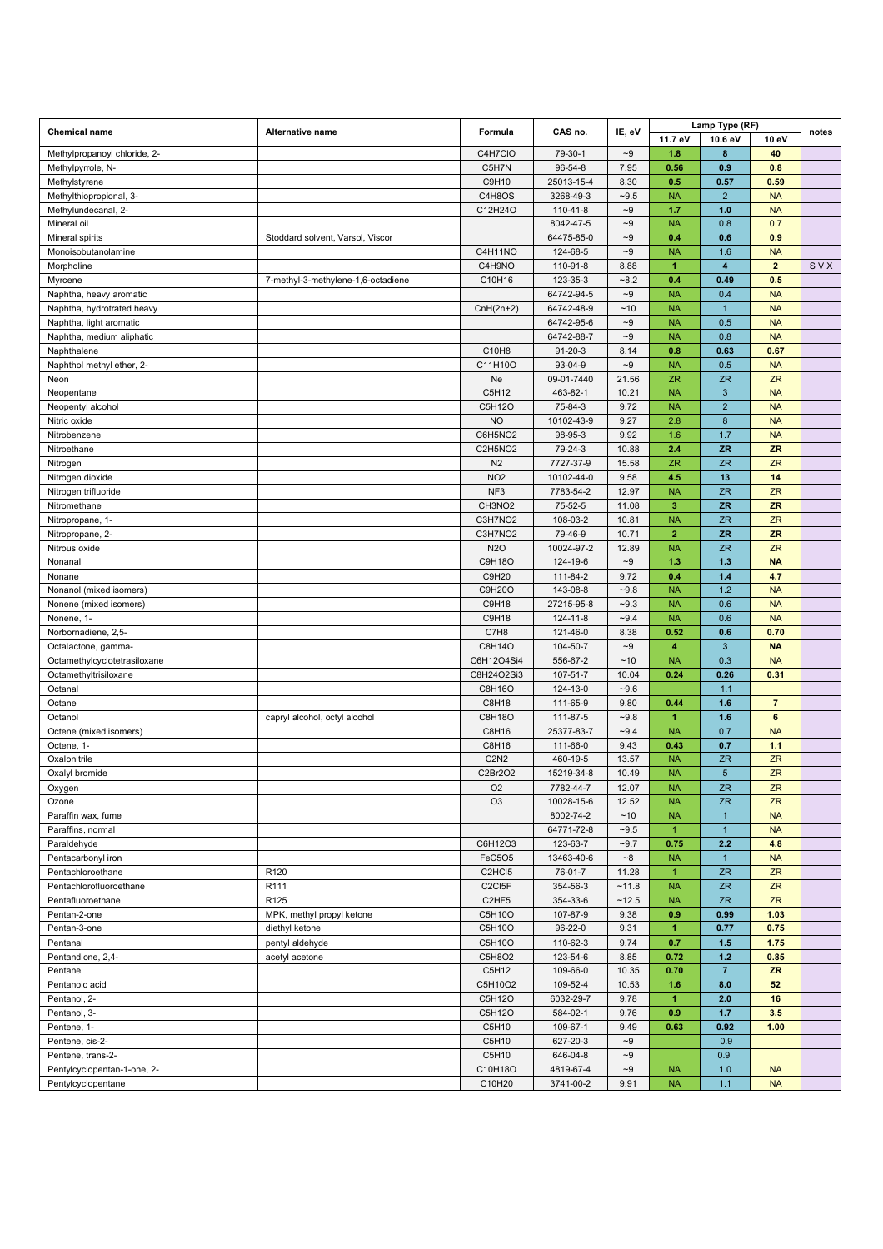| <b>Chemical name</b>                         | Alternative name                   | Formula                                                             | CAS no.                | IE, eV             |                             | Lamp Type (RF)                 |                             | notes |
|----------------------------------------------|------------------------------------|---------------------------------------------------------------------|------------------------|--------------------|-----------------------------|--------------------------------|-----------------------------|-------|
|                                              |                                    |                                                                     |                        |                    | 11.7 eV                     | 10.6 eV                        | 10 eV                       |       |
| Methylpropanoyl chloride, 2-                 |                                    | C4H7CIO                                                             | 79-30-1                | $\mathord{\sim}9$  | 1.8                         | 8                              | 40                          |       |
| Methylpyrrole, N-                            |                                    | C5H7N                                                               | 96-54-8                | 7.95               | 0.56                        | 0.9                            | 0.8                         |       |
| Methylstyrene                                |                                    | C9H10                                                               | 25013-15-4             | 8.30               | 0.5                         | 0.57                           | 0.59                        |       |
| Methylthiopropional, 3-                      |                                    | C4H8OS                                                              | 3268-49-3              | $-9.5$             | <b>NA</b>                   | $\overline{2}$                 | <b>NA</b>                   |       |
| Methylundecanal, 2-                          |                                    | C12H24O                                                             | 110-41-8               | $-9$               | 1.7                         | 1.0                            | <b>NA</b>                   |       |
| Mineral oil                                  |                                    |                                                                     | 8042-47-5              | $\sim\!\!9$        | <b>NA</b>                   | 0.8                            | 0.7                         |       |
| Mineral spirits                              | Stoddard solvent, Varsol, Viscor   |                                                                     | 64475-85-0             | $\sim\!\!9$        | 0.4                         | 0.6                            | 0.9                         |       |
| Monoisobutanolamine                          |                                    | C4H11NO<br>C4H9NO                                                   | 124-68-5               | $\sim\!\!9$        | <b>NA</b>                   | 1.6<br>$\overline{\mathbf{4}}$ | <b>NA</b><br>$\overline{2}$ |       |
| Morpholine<br>Myrcene                        | 7-methyl-3-methylene-1,6-octadiene | C10H16                                                              | 110-91-8<br>123-35-3   | 8.88<br>$-8.2$     | $\blacktriangleleft$<br>0.4 | 0.49                           | 0.5                         | SVX   |
| Naphtha, heavy aromatic                      |                                    |                                                                     | 64742-94-5             | $-9$               | <b>NA</b>                   | 0.4                            | <b>NA</b>                   |       |
| Naphtha, hydrotrated heavy                   |                                    | $CnH(2n+2)$                                                         | 64742-48-9             | ~10                | <b>NA</b>                   | $\overline{1}$                 | <b>NA</b>                   |       |
| Naphtha, light aromatic                      |                                    |                                                                     | 64742-95-6             | $\sim\!\!9$        | <b>NA</b>                   | 0.5                            | <b>NA</b>                   |       |
| Naphtha, medium aliphatic                    |                                    |                                                                     | 64742-88-7             | $-9$               | <b>NA</b>                   | 0.8                            | <b>NA</b>                   |       |
| Naphthalene                                  |                                    | C10H8                                                               | $91 - 20 - 3$          | 8.14               | 0.8                         | 0.63                           | 0.67                        |       |
| Naphthol methyl ether, 2-                    |                                    | C11H10O                                                             | 93-04-9                | $-9$               | <b>NA</b>                   | 0.5                            | <b>NA</b>                   |       |
| Neon                                         |                                    | Ne                                                                  | 09-01-7440             | 21.56              | <b>ZR</b>                   | <b>ZR</b>                      | <b>ZR</b>                   |       |
| Neopentane                                   |                                    | C5H12                                                               | 463-82-1               | 10.21              | <b>NA</b>                   | $\mathbf{3}$                   | <b>NA</b>                   |       |
| Neopentyl alcohol                            |                                    | C5H12O                                                              | 75-84-3                | 9.72               | <b>NA</b>                   | $\overline{2}$                 | <b>NA</b>                   |       |
| Nitric oxide                                 |                                    | <b>NO</b>                                                           | 10102-43-9             | 9.27               | 2.8                         | $\bf8$                         | <b>NA</b>                   |       |
| Nitrobenzene                                 |                                    | C6H5NO2                                                             | 98-95-3                | 9.92               | 1.6                         | 1.7                            | <b>NA</b>                   |       |
| Nitroethane                                  |                                    | C2H5NO2                                                             | 79-24-3                | 10.88              | 2.4                         | <b>ZR</b>                      | <b>ZR</b>                   |       |
| Nitrogen                                     |                                    | N <sub>2</sub>                                                      | 7727-37-9              | 15.58              | <b>ZR</b>                   | <b>ZR</b>                      | <b>ZR</b>                   |       |
| Nitrogen dioxide                             |                                    | NO <sub>2</sub>                                                     | 10102-44-0             | 9.58               | 4.5                         | 13                             | 14                          |       |
| Nitrogen trifluoride                         |                                    | NF <sub>3</sub>                                                     | 7783-54-2              | 12.97              | <b>NA</b>                   | <b>ZR</b>                      | <b>ZR</b>                   |       |
| Nitromethane                                 |                                    | CH3NO <sub>2</sub>                                                  | 75-52-5                | 11.08              | $\overline{\mathbf{3}}$     | <b>ZR</b>                      | <b>ZR</b>                   |       |
| Nitropropane, 1-                             |                                    | C3H7NO2                                                             | 108-03-2               | 10.81              | <b>NA</b>                   | <b>ZR</b>                      | ZR                          |       |
| Nitropropane, 2-                             |                                    | C3H7NO2                                                             | 79-46-9                | 10.71              | $\overline{2}$              | <b>ZR</b>                      | <b>ZR</b>                   |       |
| Nitrous oxide                                |                                    | <b>N2O</b>                                                          | 10024-97-2             | 12.89              | <b>NA</b>                   | ZR                             | <b>ZR</b>                   |       |
| Nonanal                                      |                                    | <b>C9H18O</b>                                                       | 124-19-6               | $\sim\!\!9$        | 1.3                         | 1.3                            | <b>NA</b>                   |       |
| Nonane                                       |                                    | C9H20                                                               | 111-84-2               | 9.72               | 0.4                         | 1.4                            | 4.7                         |       |
| Nonanol (mixed isomers)                      |                                    | C9H20O                                                              | 143-08-8               | $-9.8$<br>$-9.3$   | <b>NA</b>                   | 1.2<br>0.6                     | <b>NA</b><br><b>NA</b>      |       |
| Nonene (mixed isomers)<br>Nonene, 1-         |                                    | C9H18<br>C9H18                                                      | 27215-95-8<br>124-11-8 | $-9.4$             | <b>NA</b><br><b>NA</b>      | 0.6                            | <b>NA</b>                   |       |
| Norbornadiene, 2,5-                          |                                    | C7H8                                                                | 121-46-0               | 8.38               | 0.52                        | 0.6                            | 0.70                        |       |
| Octalactone, gamma-                          |                                    | C8H14O                                                              | 104-50-7               | $-9$               | $\overline{\mathbf{4}}$     | $\mathbf{3}$                   | <b>NA</b>                   |       |
| Octamethylcyclotetrasiloxane                 |                                    | C6H12O4Si4                                                          | 556-67-2               | ~10                | <b>NA</b>                   | 0.3                            | <b>NA</b>                   |       |
| Octamethyltrisiloxane                        |                                    | C8H24O2Si3                                                          | 107-51-7               | 10.04              | 0.24                        | 0.26                           | 0.31                        |       |
| Octanal                                      |                                    | C8H16O                                                              | 124-13-0               | $-9.6$             |                             | 1.1                            |                             |       |
| Octane                                       |                                    | C8H18                                                               | 111-65-9               | 9.80               | 0.44                        | 1.6                            | $\overline{7}$              |       |
| Octanol                                      | capryl alcohol, octyl alcohol      | C8H18O                                                              | 111-87-5               | $-9.8$             | $\blacktriangleleft$        | 1.6                            | 6                           |       |
| Octene (mixed isomers)                       |                                    | C8H16                                                               | 25377-83-7             | $-9.4$             | <b>NA</b>                   | 0.7                            | <b>NA</b>                   |       |
| Octene, 1-                                   |                                    | C8H16                                                               | 111-66-0               | 9.43               | 0.43                        | 0.7                            | 1.1                         |       |
| Oxalonitrile                                 |                                    | <b>C2N2</b>                                                         | 460-19-5               | 13.57              | <b>NA</b>                   | <b>ZR</b>                      | ZR                          |       |
| Oxalyl bromide                               |                                    | C2Br2O2                                                             | 15219-34-8             | 10.49              | <b>NA</b>                   | $\overline{5}$                 | <b>ZR</b>                   |       |
| Oxygen                                       |                                    | O <sub>2</sub>                                                      | 7782-44-7              | 12.07              | <b>NA</b>                   | ZR                             | ZR                          |       |
| Ozone                                        |                                    | O <sub>3</sub>                                                      | 10028-15-6             | 12.52              | <b>NA</b>                   | <b>ZR</b>                      | <b>ZR</b>                   |       |
| Paraffin wax, fume                           |                                    |                                                                     | 8002-74-2              | ~10                | <b>NA</b>                   | $\mathbf{1}$                   | <b>NA</b>                   |       |
| Paraffins, normal                            |                                    |                                                                     | 64771-72-8             | $-9.5$             | $\mathbf{1}$                | $\mathbf{1}$                   | <b>NA</b>                   |       |
| Paraldehyde                                  |                                    | C6H12O3                                                             | 123-63-7               | $-9.7$             | 0.75                        | 2.2                            | 4.8                         |       |
| Pentacarbonyl iron                           | R120                               | FeC5O5                                                              | 13463-40-6<br>76-01-7  | $\mathord{\sim} 8$ | <b>NA</b><br>$\mathbf{1}$   | $\mathbf{1}$<br><b>ZR</b>      | <b>NA</b><br><b>ZR</b>      |       |
| Pentachloroethane<br>Pentachlorofluoroethane | R111                               | C <sub>2</sub> HC <sub>15</sub><br>C <sub>2</sub> CI <sub>5</sub> F | 354-56-3               | 11.28<br>~11.8     | <b>NA</b>                   | ZR                             | <b>ZR</b>                   |       |
| Pentafluoroethane                            | R <sub>125</sub>                   | C <sub>2</sub> HF <sub>5</sub>                                      | 354-33-6               | ~12.5              | <b>NA</b>                   | <b>ZR</b>                      | <b>ZR</b>                   |       |
| Pentan-2-one                                 | MPK, methyl propyl ketone          | C5H10O                                                              | 107-87-9               | 9.38               | 0.9                         | 0.99                           | 1.03                        |       |
| Pentan-3-one                                 | diethyl ketone                     | C5H10O                                                              | 96-22-0                | 9.31               | $\blacktriangleleft$        | 0.77                           | 0.75                        |       |
| Pentanal                                     | pentyl aldehyde                    | C5H10O                                                              | 110-62-3               | 9.74               | 0.7                         | 1.5                            | 1.75                        |       |
| Pentandione, 2,4-                            | acetyl acetone                     | C5H8O2                                                              | 123-54-6               | 8.85               | 0.72                        | $1.2$                          | 0.85                        |       |
| Pentane                                      |                                    | C5H12                                                               | 109-66-0               | 10.35              | 0.70                        | $\overline{7}$                 | <b>ZR</b>                   |       |
| Pentanoic acid                               |                                    | C5H10O2                                                             | 109-52-4               | 10.53              | 1.6                         | 8.0                            | 52                          |       |
| Pentanol, 2-                                 |                                    | C5H12O                                                              | 6032-29-7              | 9.78               | $\blacktriangleleft$        | 2.0                            | 16                          |       |
| Pentanol, 3-                                 |                                    | C5H12O                                                              | 584-02-1               | 9.76               | 0.9                         | 1.7                            | 3.5                         |       |
| Pentene, 1-                                  |                                    | C5H10                                                               | 109-67-1               | 9.49               | 0.63                        | 0.92                           | 1.00                        |       |
| Pentene, cis-2-                              |                                    | C5H10                                                               | 627-20-3               | $\sim\!\!9$        |                             | 0.9                            |                             |       |
| Pentene, trans-2-                            |                                    | C5H10                                                               | 646-04-8               | ~9                 |                             | 0.9                            |                             |       |
| Pentylcyclopentan-1-one, 2-                  |                                    | C10H18O                                                             | 4819-67-4              | $\mathord{\sim}9$  | <b>NA</b>                   | 1.0                            | <b>NA</b>                   |       |
| Pentylcyclopentane                           |                                    | C10H20                                                              | 3741-00-2              | 9.91               | <b>NA</b>                   | $1.1$                          | <b>NA</b>                   |       |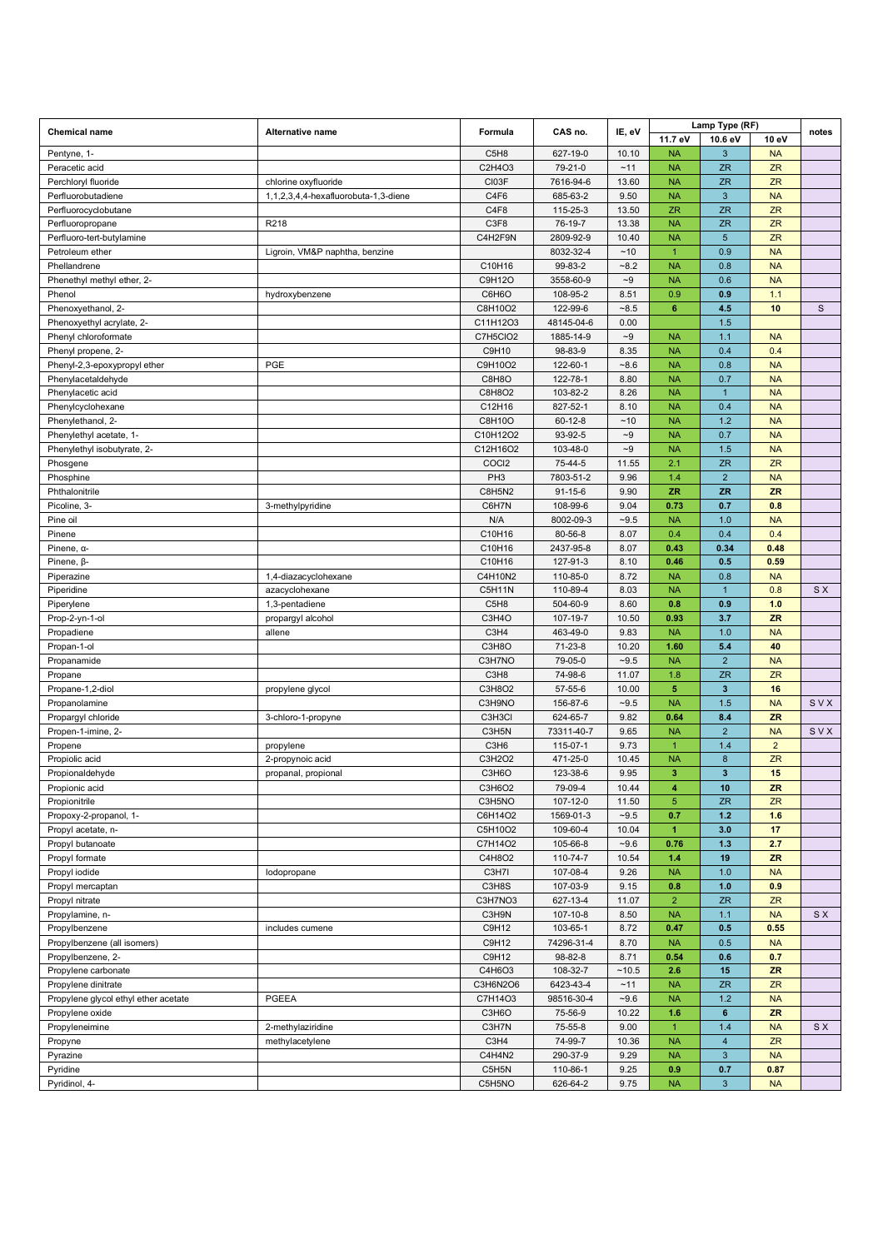|                                      |                                      | Formula                       |               |                   |                      | Lamp Type (RF)          |                |              |
|--------------------------------------|--------------------------------------|-------------------------------|---------------|-------------------|----------------------|-------------------------|----------------|--------------|
| <b>Chemical name</b>                 | Alternative name                     |                               | CAS no.       | IE, eV            | 11.7 eV              | 10.6 eV                 | 10 eV          | notes        |
| Pentyne, 1-                          |                                      | C5H8                          | 627-19-0      | 10.10             | <b>NA</b>            | 3                       | <b>NA</b>      |              |
| Peracetic acid                       |                                      | C2H4O3                        | 79-21-0       | ~11               | <b>NA</b>            | <b>ZR</b>               | <b>ZR</b>      |              |
| Perchloryl fluoride                  | chlorine oxyfluoride                 | CI03F                         | 7616-94-6     | 13.60             | <b>NA</b>            | <b>ZR</b>               | ZR             |              |
| Perfluorobutadiene                   | 1,1,2,3,4,4-hexafluorobuta-1,3-diene | C4F6                          | 685-63-2      | 9.50              | <b>NA</b>            | $\mathbf{3}$            | <b>NA</b>      |              |
| Perfluorocyclobutane                 |                                      | C4F8                          | 115-25-3      | 13.50             | ZR                   | <b>ZR</b>               | ZR             |              |
| Perfluoropropane                     | R218                                 | C3F8                          | 76-19-7       | 13.38             | <b>NA</b>            | <b>ZR</b>               | ZR             |              |
| Perfluoro-tert-butylamine            |                                      | C4H2F9N                       | 2809-92-9     | 10.40             | <b>NA</b>            | $5\phantom{.0}$         | <b>ZR</b>      |              |
| Petroleum ether                      | Ligroin, VM&P naphtha, benzine       |                               | 8032-32-4     | ~10               | $\overline{1}$       | 0.9                     | <b>NA</b>      |              |
| Phellandrene                         |                                      | C10H16                        | 99-83-2       | $-8.2$            | <b>NA</b>            | 0.8                     | <b>NA</b>      |              |
| Phenethyl methyl ether, 2-           |                                      | C9H12O                        | 3558-60-9     | $\mathord{\sim}9$ | <b>NA</b>            | 0.6                     | <b>NA</b>      |              |
| Phenol                               | hydroxybenzene                       | C6H6O                         | 108-95-2      | 8.51              | 0.9                  | 0.9                     | 1.1            |              |
| Phenoxyethanol, 2-                   |                                      | C8H10O2                       | 122-99-6      | $-8.5$            | $6\phantom{1}$       | 4.5                     | 10             | $\mathsf{s}$ |
| Phenoxyethyl acrylate, 2-            |                                      | C11H12O3                      | 48145-04-6    | 0.00              |                      | 1.5                     |                |              |
| Phenyl chloroformate                 |                                      | C7H5CIO2                      | 1885-14-9     | $-9$              | <b>NA</b>            | 1.1                     | <b>NA</b>      |              |
| Phenyl propene, 2-                   |                                      | C9H10                         | 98-83-9       | 8.35              | <b>NA</b>            | 0.4                     | 0.4            |              |
| Phenyl-2,3-epoxypropyl ether         | PGE                                  | C9H10O2                       | 122-60-1      | $-8.6$            | <b>NA</b>            | 0.8                     | <b>NA</b>      |              |
| Phenylacetaldehyde                   |                                      | C8H8O                         | 122-78-1      | 8.80              | <b>NA</b>            | 0.7                     | <b>NA</b>      |              |
| Phenylacetic acid                    |                                      | C8H8O2                        | 103-82-2      | 8.26              | <b>NA</b>            | $\mathbf{1}$            | <b>NA</b>      |              |
| Phenylcyclohexane                    |                                      | C12H16                        | 827-52-1      | 8.10              | <b>NA</b>            | 0.4                     | <b>NA</b>      |              |
| Phenylethanol, 2-                    |                                      | C8H10O                        | $60 - 12 - 8$ | ~10               | <b>NA</b>            | 1.2                     | <b>NA</b>      |              |
| Phenylethyl acetate, 1-              |                                      | C10H12O2                      | 93-92-5       | $\mathord{\sim}9$ | <b>NA</b>            | 0.7                     | <b>NA</b>      |              |
| Phenylethyl isobutyrate, 2-          |                                      | C12H16O2                      | 103-48-0      | $\mathord{\sim}9$ | <b>NA</b>            | 1.5                     | <b>NA</b>      |              |
| Phosgene                             |                                      | COCI2                         | 75-44-5       | 11.55             | 2.1                  | <b>ZR</b>               | <b>ZR</b>      |              |
| Phosphine                            |                                      | PH <sub>3</sub>               | 7803-51-2     | 9.96              | 1.4                  | $\overline{2}$          | <b>NA</b>      |              |
| Phthalonitrile                       |                                      | <b>C8H5N2</b>                 | $91 - 15 - 6$ | 9.90              | <b>ZR</b>            | <b>ZR</b>               | <b>ZR</b>      |              |
| Picoline, 3-                         | 3-methylpyridine                     | C6H7N                         | 108-99-6      | 9.04              | 0.73                 | 0.7                     | 0.8            |              |
| Pine oil                             |                                      | N/A                           | 8002-09-3     | $-9.5$            | <b>NA</b>            | 1.0                     | <b>NA</b>      |              |
| Pinene                               |                                      | C10H16                        | 80-56-8       | 8.07              | 0.4                  | 0.4                     | 0.4            |              |
| Pinene, a-                           |                                      | C10H16                        | 2437-95-8     | 8.07              | 0.43                 | 0.34                    | 0.48           |              |
| Pinene, <sub>B-</sub>                |                                      | C10H16                        | 127-91-3      | 8.10              | 0.46                 | 0.5                     | 0.59           |              |
| Piperazine                           | 1,4-diazacyclohexane                 | C4H10N2                       | 110-85-0      | 8.72              | <b>NA</b>            | 0.8                     | <b>NA</b>      |              |
| Piperidine                           | azacyclohexane                       | <b>C5H11N</b>                 | 110-89-4      | 8.03              | <b>NA</b>            | $\mathbf{1}$            | 0.8            | <b>SX</b>    |
| Piperylene                           | 1,3-pentadiene                       | C5H8                          | 504-60-9      | 8.60              | 0.8                  | 0.9                     | $1.0$          |              |
| Prop-2-yn-1-ol                       | propargyl alcohol                    | C3H4O                         | 107-19-7      | 10.50             | 0.93                 | 3.7                     | <b>ZR</b>      |              |
| Propadiene                           | allene                               | C <sub>3</sub> H <sub>4</sub> | 463-49-0      | 9.83              | <b>NA</b>            | 1.0                     | <b>NA</b>      |              |
| Propan-1-ol                          |                                      | C3H8O                         | $71-23-8$     | 10.20             | 1.60                 | 5.4                     | 40             |              |
| Propanamide                          |                                      | C3H7NO                        | 79-05-0       | $-9.5$            | <b>NA</b>            | $\overline{2}$          | <b>NA</b>      |              |
| Propane                              |                                      | C3H8                          | 74-98-6       | 11.07             | 1.8                  | <b>ZR</b>               | ZR             |              |
| Propane-1,2-diol                     | propylene glycol                     | C3H8O2                        | 57-55-6       | 10.00             | $\sqrt{5}$           | $\mathbf{3}$            | 16             |              |
| Propanolamine                        |                                      | C3H9NO                        | 156-87-6      | $-9.5$            | <b>NA</b>            | 1.5                     | <b>NA</b>      | SVX          |
| Propargyl chloride                   | 3-chloro-1-propyne                   | C3H3Cl                        | 624-65-7      | 9.82              | 0.64                 | 8.4                     | ZR             |              |
| Propen-1-imine, 2-                   |                                      | C3H5N                         | 73311-40-7    | 9.65              | <b>NA</b>            | $\overline{2}$          | <b>NA</b>      | SVX          |
| Propene                              | propylene                            | C <sub>3</sub> H <sub>6</sub> | 115-07-1      | 9.73              | $\mathbf{1}$         | 1.4                     | $\overline{2}$ |              |
| Propiolic acid                       | 2-propynoic acid                     | C3H2O2                        | 471-25-0      | 10.45             | <b>NA</b>            | $\bf 8$                 | ZR             |              |
| Propionaldehyde                      | propanal, propional                  | C3H6O                         | 123-38-6      | 9.95              | 3                    | $\overline{\mathbf{3}}$ | 15             |              |
| Propionic acid                       |                                      | C3H6O2                        | 79-09-4       | 10.44             | 4                    | 10                      | ZR             |              |
| Propionitrile                        |                                      | C3H5NO                        | 107-12-0      | 11.50             | 5                    | <b>ZR</b>               | <b>ZR</b>      |              |
| Propoxy-2-propanol, 1-               |                                      | C6H14O2                       | 1569-01-3     | $-9.5$            | 0.7                  | $1.2$                   | 1.6            |              |
| Propyl acetate, n-                   |                                      | C5H10O2                       | 109-60-4      | 10.04             | $\blacktriangleleft$ | 3.0                     | 17             |              |
| Propyl butanoate                     |                                      | C7H14O2                       | 105-66-8      | $-9.6$            | 0.76                 | 1.3                     | 2.7            |              |
| Propyl formate                       |                                      | C4H8O2                        | 110-74-7      | 10.54             | 1.4                  | 19                      | ZR             |              |
| Propyl iodide                        | lodopropane                          | C3H7I                         | 107-08-4      | 9.26              | <b>NA</b>            | 1.0                     | <b>NA</b>      |              |
| Propyl mercaptan                     |                                      | C3H8S                         | 107-03-9      | 9.15              | 0.8                  | 1.0                     | 0.9            |              |
| Propyl nitrate                       |                                      | C3H7NO3                       | 627-13-4      | 11.07             | $\overline{2}$       | ZR                      | ZR             |              |
| Propylamine, n-                      |                                      | C3H9N                         | 107-10-8      | 8.50              | <b>NA</b>            | 1.1                     | <b>NA</b>      | S X          |
| Propylbenzene                        | includes cumene                      | C9H12                         | 103-65-1      | 8.72              | 0.47                 | 0.5                     | 0.55           |              |
| Propylbenzene (all isomers)          |                                      | C9H12                         | 74296-31-4    | 8.70              | <b>NA</b>            | 0.5                     | <b>NA</b>      |              |
| Propylbenzene, 2-                    |                                      | C9H12                         | 98-82-8       | 8.71              | 0.54                 | 0.6                     | 0.7            |              |
| Propylene carbonate                  |                                      | C4H6O3                        | 108-32-7      | ~10.5             | 2.6                  | 15                      | ZR             |              |
| Propylene dinitrate                  |                                      | C3H6N2O6                      | 6423-43-4     | ~11               | <b>NA</b>            | ZR                      | ZR             |              |
| Propylene glycol ethyl ether acetate | PGEEA                                | C7H14O3                       | 98516-30-4    | $-9.6$            | <b>NA</b>            | $1.2$                   | <b>NA</b>      |              |
| Propylene oxide                      |                                      | C3H6O                         | 75-56-9       | 10.22             | 1.6                  | $\bf 6$                 | ZR             |              |
| Propyleneimine                       | 2-methylaziridine                    | C3H7N                         | 75-55-8       | 9.00              | $\overline{1}$       | 1.4                     | <b>NA</b>      | S X          |
| Propyne                              | methylacetylene                      | C <sub>3</sub> H <sub>4</sub> | 74-99-7       | 10.36             | <b>NA</b>            | $\overline{4}$          | <b>ZR</b>      |              |
| Pyrazine                             |                                      | C4H4N2                        | 290-37-9      | 9.29              | <b>NA</b>            | $\mathbf{3}$            | <b>NA</b>      |              |
| Pyridine                             |                                      | C5H5N                         | 110-86-1      | 9.25              | 0.9                  | 0.7                     | 0.87           |              |
| Pyridinol, 4-                        |                                      | C5H5NO                        | 626-64-2      | 9.75              | <b>NA</b>            | $\mathbf{3}$            | <b>NA</b>      |              |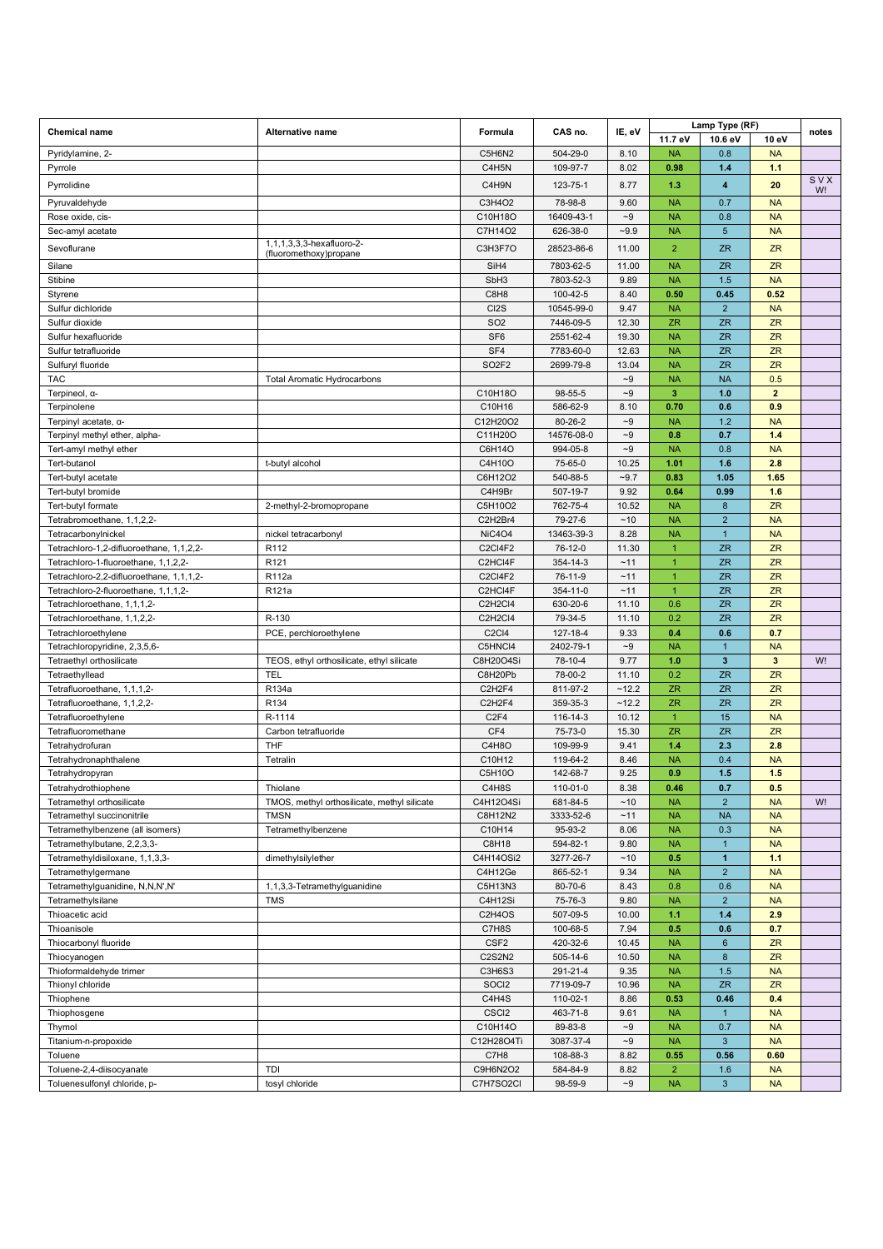| <b>Chemical name</b>                      | Alternative name                                    | Formula                        | CAS no.             | IE, eV              | Lamp Type (RF)            |                     |                        | notes |
|-------------------------------------------|-----------------------------------------------------|--------------------------------|---------------------|---------------------|---------------------------|---------------------|------------------------|-------|
|                                           |                                                     |                                |                     |                     | 11.7 eV                   | 10.6 eV             | 10 eV                  |       |
| Pyridylamine, 2-                          |                                                     | C5H6N2                         | 504-29-0            | 8.10                | <b>NA</b>                 | 0.8                 | <b>NA</b>              |       |
| Pyrrole                                   |                                                     | C4H5N                          | 109-97-7            | 8.02                | 0.98                      | 1.4                 | 1.1                    | SVX   |
| Pyrrolidine                               |                                                     | C4H9N                          | 123-75-1            | 8.77                | 1.3                       | 4                   | 20                     | W!    |
| Pyruvaldehyde                             |                                                     | C3H4O2                         | 78-98-8             | 9.60                | <b>NA</b>                 | 0.7                 | <b>NA</b>              |       |
| Rose oxide, cis-                          |                                                     | C10H18O                        | 16409-43-1          | $\sim\!\!9$         | <b>NA</b>                 | 0.8                 | <b>NA</b>              |       |
| Sec-amyl acetate                          |                                                     | C7H14O2                        | 626-38-0            | $-9.9$              | <b>NA</b>                 | 5                   | <b>NA</b>              |       |
| Sevoflurane                               | 1,1,1,3,3,3-hexafluoro-2-<br>(fluoromethoxy)propane | C3H3F7O                        | 28523-86-6          | 11.00               | $\overline{2}$            | <b>ZR</b>           | <b>ZR</b>              |       |
| Silane                                    |                                                     | SiH4                           | 7803-62-5           | 11.00               | <b>NA</b>                 | <b>ZR</b>           | <b>ZR</b>              |       |
| Stibine                                   |                                                     | SbH <sub>3</sub>               | 7803-52-3           | 9.89                | <b>NA</b>                 | 1.5                 | <b>NA</b>              |       |
| Styrene                                   |                                                     | C8H8                           | 100-42-5            | 8.40                | 0.50                      | 0.45                | 0.52                   |       |
| Sulfur dichloride                         |                                                     | CI <sub>2</sub> S              | 10545-99-0          | 9.47                | <b>NA</b>                 | $\overline{2}$      | <b>NA</b>              |       |
| Sulfur dioxide                            |                                                     | SO <sub>2</sub>                | 7446-09-5           | 12.30               | <b>ZR</b>                 | <b>ZR</b>           | <b>ZR</b>              |       |
| Sulfur hexafluoride                       |                                                     | SF <sub>6</sub>                | 2551-62-4           | 19.30               | <b>NA</b>                 | <b>ZR</b>           | <b>ZR</b>              |       |
| Sulfur tetrafluoride                      |                                                     | SF4                            | 7783-60-0           | 12.63               | <b>NA</b>                 | <b>ZR</b>           | ZR                     |       |
| Sulfuryl fluoride                         |                                                     | SO <sub>2</sub> F <sub>2</sub> | 2699-79-8           | 13.04               | <b>NA</b>                 | <b>ZR</b>           | <b>ZR</b>              |       |
| <b>TAC</b>                                | <b>Total Aromatic Hydrocarbons</b>                  |                                |                     | $-9$<br>$\sim\!\!9$ | <b>NA</b><br>3            | <b>NA</b><br>1.0    | 0.5<br>$\overline{2}$  |       |
| Terpineol, α-<br>Terpinolene              |                                                     | C10H18O<br>C10H16              | 98-55-5<br>586-62-9 | 8.10                | 0.70                      | 0.6                 | 0.9                    |       |
| Terpinyl acetate, a-                      |                                                     | C12H20O2                       | 80-26-2             | $-9$                | <b>NA</b>                 | 1.2                 | <b>NA</b>              |       |
| Terpinyl methyl ether, alpha-             |                                                     | C11H20O                        | 14576-08-0          | $\sim\!\!9$         | 0.8                       | 0.7                 | 1.4                    |       |
| Tert-amyl methyl ether                    |                                                     | C6H14O                         | 994-05-8            | $\mathord{\sim}9$   | <b>NA</b>                 | 0.8                 | <b>NA</b>              |       |
| Tert-butanol                              | t-butyl alcohol                                     | C4H10O                         | 75-65-0             | 10.25               | 1.01                      | 1.6                 | 2.8                    |       |
| Tert-butyl acetate                        |                                                     | C6H12O2                        | 540-88-5            | $-9.7$              | 0.83                      | 1.05                | 1.65                   |       |
| Tert-butyl bromide                        |                                                     | C4H9Br                         | 507-19-7            | 9.92                | 0.64                      | 0.99                | 1.6                    |       |
| Tert-butyl formate                        | 2-methyl-2-bromopropane                             | C5H10O2                        | 762-75-4            | 10.52               | <b>NA</b>                 | 8                   | <b>ZR</b>              |       |
| Tetrabromoethane, 1,1,2,2-                |                                                     | C2H2Br4                        | 79-27-6             | ~10                 | <b>NA</b>                 | $\overline{c}$      | <b>NA</b>              |       |
| TetracarbonyInickel                       | nickel tetracarbonyl                                | <b>NiC4O4</b>                  | 13463-39-3          | 8.28                | <b>NA</b>                 | $\overline{1}$      | <b>NA</b>              |       |
| Tetrachloro-1,2-difluoroethane, 1,1,2,2-  | R112                                                | <b>C2CI4F2</b>                 | 76-12-0             | 11.30               | $\mathbf{1}$              | ZR                  | <b>ZR</b>              |       |
| Tetrachloro-1-fluoroethane, 1,1,2,2-      | R <sub>121</sub>                                    | C2HCI4F                        | 354-14-3            | ~11                 | $\mathbf{1}$              | <b>ZR</b>           | ZR                     |       |
| Tetrachloro-2,2-difluoroethane, 1,1,1,2-  | R112a                                               | C2CI4F2                        | 76-11-9             | ~11                 | $\overline{1}$            | <b>ZR</b>           | <b>ZR</b>              |       |
| Tetrachloro-2-fluoroethane, 1,1,1,2-      | R121a                                               | C2HCI4F                        | 354-11-0            | ~11                 | $\mathbf{1}$              | <b>ZR</b>           | <b>ZR</b>              |       |
| Tetrachloroethane, 1,1,1,2-               |                                                     | C2H2Cl4                        | 630-20-6            | 11.10               | 0.6                       | <b>ZR</b>           | <b>ZR</b>              |       |
| Tetrachloroethane, 1,1,2,2-               | R-130                                               | C2H2Cl4                        | 79-34-5             | 11.10               | 0.2                       | <b>ZR</b>           | <b>ZR</b>              |       |
| Tetrachloroethylene                       | PCE, perchloroethylene                              | <b>C2CI4</b>                   | 127-18-4            | 9.33                | 0.4                       | 0.6                 | 0.7                    |       |
| Tetrachloropyridine, 2,3,5,6-             |                                                     | C5HNCI4                        | 2402-79-1           | $\sim\!\!9$         | <b>NA</b>                 | 1                   | <b>NA</b>              |       |
| Tetraethyl orthosilicate                  | TEOS, ethyl orthosilicate, ethyl silicate           | C8H20O4Si                      | 78-10-4             | 9.77                | 1.0                       | $\mathbf{3}$        | $\mathbf{3}$           | W!    |
| Tetraethyllead                            | TEL                                                 | C8H20Pb                        | 78-00-2             | 11.10               | 0.2                       | <b>ZR</b>           | <b>ZR</b>              |       |
| Tetrafluoroethane, 1,1,1,2-               | R134a                                               | C2H2F4                         | 811-97-2            | ~12.2               | <b>ZR</b>                 | <b>ZR</b>           | ZR                     |       |
| Tetrafluoroethane, 1,1,2,2-               | R134                                                | C2H2F4                         | 359-35-3            | $-12.2$             | <b>ZR</b>                 | <b>ZR</b>           | <b>ZR</b>              |       |
| Tetrafluoroethylene<br>Tetrafluoromethane | R-1114                                              | C <sub>2F4</sub><br>CF4        | 116-14-3<br>75-73-0 | 10.12<br>15.30      | $\mathbf{1}$<br><b>ZR</b> | 15<br><b>ZR</b>     | <b>NA</b><br>ZR        |       |
| Tetrahydrofuran                           | Carbon tetrafluoride<br>THF                         | C4H8O                          | 109-99-9            | 9.41                | 1.4                       | 2.3                 | 2.8                    |       |
| Tetrahydronaphthalene                     | Tetralin                                            | C10H12                         | 119-64-2            | 8.46                | <b>NA</b>                 | 0.4                 | <b>NA</b>              |       |
| Tetrahydropyran                           |                                                     | C5H10O                         | 142-68-7            | 9.25                | 0.9                       | 1.5                 | 1.5                    |       |
| Tetrahydrothiophene                       | Thiolane                                            | C4H8S                          | 110-01-0            | 8.38                | 0.46                      | 0.7                 | 0.5                    |       |
| Tetramethyl orthosilicate                 | TMOS, methyl orthosilicate, methyl silicate         | C4H12O4Si                      | 681-84-5            | ~10                 | <b>NA</b>                 | $\overline{2}$      | <b>NA</b>              | W!    |
| Tetramethyl succinonitrile                | <b>TMSN</b>                                         | C8H12N2                        | 3333-52-6           | ~11                 | <b>NA</b>                 | <b>NA</b>           | <b>NA</b>              |       |
| Tetramethylbenzene (all isomers)          | Tetramethylbenzene                                  | C10H14                         | 95-93-2             | 8.06                | <b>NA</b>                 | 0.3                 | <b>NA</b>              |       |
| Tetramethylbutane, 2,2,3,3-               |                                                     | C8H18                          | 594-82-1            | 9.80                | <b>NA</b>                 | $\mathbf{1}$        | <b>NA</b>              |       |
| Tetramethyldisiloxane, 1,1,3,3-           | dimethylsilylether                                  | C4H14OSi2                      | 3277-26-7           | ~10                 | 0.5                       | $\mathbf{1}$        | 1.1                    |       |
| Tetramethylgermane                        |                                                     | C4H12Ge                        | 865-52-1            | 9.34                | <b>NA</b>                 | 2 <sup>1</sup>      | <b>NA</b>              |       |
| Tetramethylguanidine, N,N,N',N'           | 1,1,3,3-Tetramethylguanidine                        | C5H13N3                        | 80-70-6             | 8.43                | 0.8                       | 0.6                 | <b>NA</b>              |       |
| Tetramethylsilane                         | <b>TMS</b>                                          | C4H12Si                        | 75-76-3             | 9.80                | <b>NA</b>                 | 2 <sup>2</sup>      | <b>NA</b>              |       |
| Thioacetic acid                           |                                                     | C2H4OS                         | 507-09-5            | 10.00               | 1.1                       | 1.4                 | 2.9                    |       |
| Thioanisole                               |                                                     | C7H8S                          | 100-68-5            | 7.94                | 0.5                       | 0.6                 | 0.7                    |       |
| Thiocarbonyl fluoride                     |                                                     | CSF <sub>2</sub>               | 420-32-6            | 10.45               | <b>NA</b>                 | 6                   | ZR                     |       |
| Thiocyanogen                              |                                                     | C2S2N2                         | 505-14-6            | 10.50               | <b>NA</b>                 | 8                   | ZR                     |       |
| Thioformaldehyde trimer                   |                                                     | C3H6S3                         | 291-21-4            | 9.35                | <b>NA</b>                 | 1.5                 | <b>NA</b>              |       |
| Thionyl chloride                          |                                                     | SOCI2                          | 7719-09-7           | 10.96               | <b>NA</b>                 | <b>ZR</b>           | ZR                     |       |
| Thiophene                                 |                                                     | C4H4S                          | 110-02-1            | 8.86                | 0.53                      | 0.46                | 0.4                    |       |
| Thiophosgene<br>Thymol                    |                                                     | CSCI <sub>2</sub><br>C10H14O   | 463-71-8<br>89-83-8 | 9.61<br>$-9$        | <b>NA</b><br><b>NA</b>    | $\mathbf{1}$<br>0.7 | <b>NA</b><br><b>NA</b> |       |
| Titanium-n-propoxide                      |                                                     | C12H28O4Ti                     | 3087-37-4           | $\mathord{\sim}9$   | <b>NA</b>                 | 3 <sup>2</sup>      | <b>NA</b>              |       |
| Toluene                                   |                                                     | C7H8                           | 108-88-3            | 8.82                | 0.55                      | 0.56                | 0.60                   |       |
| Toluene-2,4-diisocyanate                  | TDI                                                 | C9H6N2O2                       | 584-84-9            | 8.82                | $\overline{2}$            | 1.6                 | <b>NA</b>              |       |
| Toluenesulfonyl chloride, p-              | tosyl chloride                                      | C7H7SO2CI                      | 98-59-9             | $\mathord{\sim}9$   | <b>NA</b>                 | 3 <sup>2</sup>      | <b>NA</b>              |       |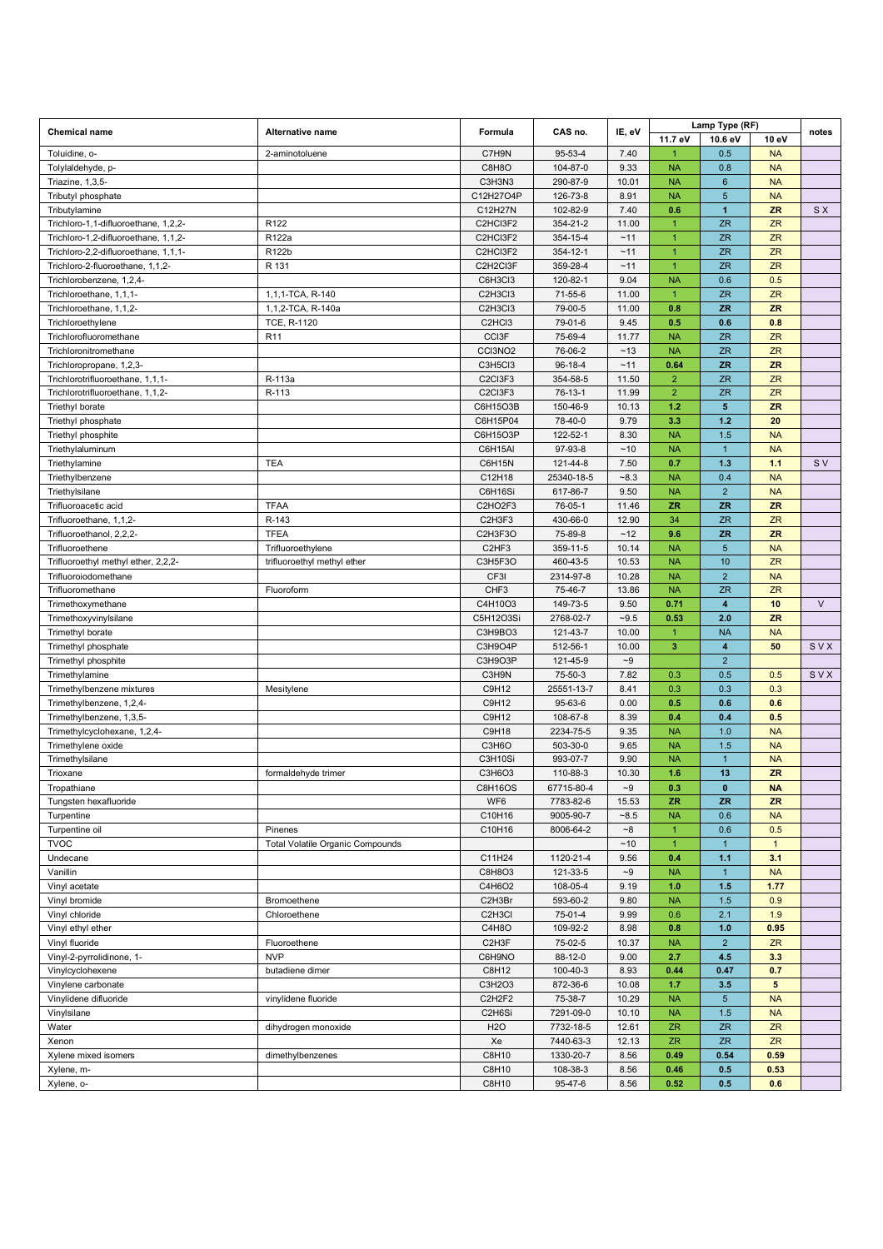| <b>Chemical name</b>                   |                                  |                                  | CAS no.                | IE, eV         | Lamp Type (RF)         |                          |                  |           |
|----------------------------------------|----------------------------------|----------------------------------|------------------------|----------------|------------------------|--------------------------|------------------|-----------|
|                                        | Alternative name                 | Formula                          |                        |                | 11.7 eV                | 10.6 eV                  | 10 eV            | notes     |
| Toluidine, o-                          | 2-aminotoluene                   | C7H9N                            | 95-53-4                | 7.40           | $\overline{1}$         | 0.5                      | <b>NA</b>        |           |
| Tolylaldehyde, p-                      |                                  | C8H8O                            | 104-87-0               | 9.33           | <b>NA</b>              | 0.8                      | <b>NA</b>        |           |
| Triazine, 1,3,5-                       |                                  | C3H3N3                           | 290-87-9               | 10.01          | <b>NA</b>              | 6                        | <b>NA</b>        |           |
| Tributyl phosphate                     |                                  | C12H27O4P                        | 126-73-8               | 8.91           | <b>NA</b>              | $\overline{5}$           | <b>NA</b>        |           |
| Tributylamine                          |                                  | C12H27N                          | 102-82-9               | 7.40           | 0.6                    | 1                        | <b>ZR</b>        | <b>SX</b> |
| Trichloro-1,1-difluoroethane, 1,2,2-   | R <sub>122</sub>                 | C2HCI3F2                         | 354-21-2               | 11.00          | $\overline{1}$         | <b>ZR</b>                | ZR               |           |
| Trichloro-1,2-difluoroethane, 1,1,2-   | R122a                            | C2HCI3F2                         | 354-15-4               | ~11            | $\overline{1}$         | <b>ZR</b>                | ZR               |           |
| Trichloro-2,2-difluoroethane, 1,1,1-   | R122b                            | C2HCI3F2                         | 354-12-1               | ~11            | $\overline{1}$         | ZR                       | ZR               |           |
| Trichloro-2-fluoroethane, 1,1,2-       | R 131                            | C2H2Cl3F                         | 359-28-4               | ~11            | $\overline{1}$         | <b>ZR</b>                | <b>ZR</b>        |           |
| Trichlorobenzene, 1,2,4-               |                                  | C6H3Cl3                          | 120-82-1               | 9.04           | <b>NA</b>              | 0.6                      | 0.5              |           |
| Trichloroethane, 1,1,1-                | 1,1,1-TCA, R-140                 | C2H3Cl3                          | 71-55-6                | 11.00          | $\mathbf{1}$           | <b>ZR</b>                | ZR               |           |
| Trichloroethane, 1,1,2-                | 1,1,2-TCA, R-140a                | C2H3Cl3                          | 79-00-5                | 11.00          | 0.8                    | <b>ZR</b>                | <b>ZR</b>        |           |
| Trichloroethylene                      | TCE, R-1120                      | C <sub>2</sub> HC <sub>13</sub>  | 79-01-6                | 9.45           | 0.5                    | 0.6                      | 0.8              |           |
| Trichlorofluoromethane                 | R <sub>11</sub>                  | CCI3F                            | 75-69-4                | 11.77          | <b>NA</b>              | <b>ZR</b>                | ZR               |           |
| Trichloronitromethane                  |                                  | CCI3NO <sub>2</sub>              | 76-06-2                | ~13            | <b>NA</b>              | <b>ZR</b>                | ZR               |           |
| Trichloropropane, 1,2,3-               |                                  | C3H5Cl3                          | 96-18-4                | ~11            | 0.64                   | <b>ZR</b>                | <b>ZR</b>        |           |
| Trichlorotrifluoroethane, 1,1,1-       | R-113a                           | C2CI3F3                          | 354-58-5               | 11.50          | $\overline{2}$         | <b>ZR</b>                | ZR               |           |
| Trichlorotrifluoroethane, 1,1,2-       | R-113                            | C2CI3F3                          | 76-13-1                | 11.99          | $\overline{2}$         | <b>ZR</b>                | <b>ZR</b>        |           |
| Triethyl borate                        |                                  | C6H15O3B                         | 150-46-9               | 10.13          | $1.2$<br>3.3           | $5\phantom{.0}$<br>$1.2$ | <b>ZR</b>        |           |
| Triethyl phosphate                     |                                  | C6H15P04                         | 78-40-0<br>122-52-1    | 9.79           |                        |                          | 20               |           |
| Triethyl phosphite                     |                                  | C6H15O3P<br>C6H15AI              | 97-93-8                | 8.30<br>$~10$  | <b>NA</b><br><b>NA</b> | 1.5<br>$\mathbf{1}$      | <b>NA</b>        |           |
| Triethylaluminum                       | <b>TEA</b>                       |                                  |                        | 7.50           | 0.7                    | 1.3                      | <b>NA</b><br>1.1 | <b>SV</b> |
| Triethylamine                          |                                  | C6H15N                           | 121-44-8               |                | <b>NA</b>              |                          | <b>NA</b>        |           |
| Triethylbenzene                        |                                  | C12H18<br>C6H16Si                | 25340-18-5<br>617-86-7 | $-8.3$<br>9.50 | <b>NA</b>              | 0.4<br>$\overline{2}$    | <b>NA</b>        |           |
| Triethylsilane<br>Trifluoroacetic acid | <b>TFAA</b>                      | C2HO2F3                          | 76-05-1                | 11.46          | <b>ZR</b>              | <b>ZR</b>                | <b>ZR</b>        |           |
| Trifluoroethane, 1,1,2-                | R-143                            | C2H3F3                           | 430-66-0               | 12.90          | 34                     | <b>ZR</b>                | ZR               |           |
| Trifluoroethanol, 2,2,2-               | <b>TFEA</b>                      | C2H3F3O                          | 75-89-8                | $~12$          | 9.6                    | <b>ZR</b>                | <b>ZR</b>        |           |
| Trifluoroethene                        | Trifluoroethylene                | C <sub>2</sub> HF <sub>3</sub>   | 359-11-5               | 10.14          | <b>NA</b>              | $\overline{5}$           | <b>NA</b>        |           |
| Trifluoroethyl methyl ether, 2,2,2-    | trifluoroethyl methyl ether      | C3H5F3O                          | 460-43-5               | 10.53          | <b>NA</b>              | 10                       | <b>ZR</b>        |           |
| Trifluoroiodomethane                   |                                  | CF3I                             | 2314-97-8              | 10.28          | <b>NA</b>              | $\overline{2}$           | <b>NA</b>        |           |
| Trifluoromethane                       | Fluoroform                       | CHF3                             | 75-46-7                | 13.86          | <b>NA</b>              | <b>ZR</b>                | ZR               |           |
| Trimethoxymethane                      |                                  | C4H10O3                          | 149-73-5               | 9.50           | 0.71                   | 4                        | 10               | $\vee$    |
| Trimethoxyvinylsilane                  |                                  | C5H12O3Si                        | 2768-02-7              | $-9.5$         | 0.53                   | 2.0                      | <b>ZR</b>        |           |
| Trimethyl borate                       |                                  | C3H9BO3                          | 121-43-7               | 10.00          | $\mathbf{1}$           | <b>NA</b>                | <b>NA</b>        |           |
| Trimethyl phosphate                    |                                  | C3H9O4P                          | 512-56-1               | 10.00          | $\overline{3}$         | 4                        | 50               | SVX       |
| Trimethyl phosphite                    |                                  | C3H9O3P                          | 121-45-9               | $\sim\!\!9$    |                        | $\overline{2}$           |                  |           |
| Trimethylamine                         |                                  | C3H9N                            | 75-50-3                | 7.82           | 0.3                    | 0.5                      | 0.5              | SVX       |
| Trimethylbenzene mixtures              | Mesitylene                       | C9H12                            | 25551-13-7             | 8.41           | 0.3                    | 0.3                      | 0.3              |           |
| Trimethylbenzene, 1,2,4-               |                                  | C9H12                            | 95-63-6                | 0.00           | 0.5                    | 0.6                      | 0.6              |           |
| Trimethylbenzene, 1,3,5-               |                                  | C9H12                            | 108-67-8               | 8.39           | 0.4                    | 0.4                      | 0.5              |           |
| Trimethylcyclohexane, 1,2,4-           |                                  | C9H18                            | 2234-75-5              | 9.35           | <b>NA</b>              | 1.0                      | <b>NA</b>        |           |
| Trimethylene oxide                     |                                  | C3H6O                            | 503-30-0               | 9.65           | <b>NA</b>              | 1.5                      | <b>NA</b>        |           |
| Trimethylsilane                        |                                  | C3H10Si                          | 993-07-7               | 9.90           | <b>NA</b>              | $\mathbf{1}$             | <b>NA</b>        |           |
| Trioxane                               | formaldehyde trimer              | C3H6O3                           | 110-88-3               | 10.30          | 1.6                    | 13                       | <b>ZR</b>        |           |
| Tropathiane                            |                                  | <b>C8H16OS</b>                   | 67715-80-4             | $-9$           | 0.3                    | $\bf{0}$                 | <b>NA</b>        |           |
| Tungsten hexafluoride                  |                                  | WF6                              | 7783-82-6              | 15.53          | <b>ZR</b>              | <b>ZR</b>                | <b>ZR</b>        |           |
| Turpentine                             |                                  | C10H16                           | 9005-90-7              | $-8.5$         | <b>NA</b>              | 0.6                      | <b>NA</b>        |           |
| Turpentine oil                         | Pinenes                          | C10H16                           | 8006-64-2              | $-8$           | $\mathbf{1}$           | 0.6                      | 0.5              |           |
| <b>TVOC</b>                            | Total Volatile Organic Compounds |                                  |                        | $~10$          | $\mathbf{1}$           | $\mathbf{1}$             | $\mathbf{1}$     |           |
| Undecane                               |                                  | C11H24                           | 1120-21-4              | 9.56           | 0.4                    | 1.1                      | 3.1              |           |
| Vanillin                               |                                  | C8H8O3                           | 121-33-5               | $-9$           | <b>NA</b>              | $\mathbf{1}$             | <b>NA</b>        |           |
| Vinyl acetate                          |                                  | C4H6O2                           | 108-05-4               | 9.19           | 1.0                    | 1.5                      | 1.77             |           |
| Vinyl bromide                          | Bromoethene                      | C2H3Br                           | 593-60-2               | 9.80           | <b>NA</b>              | $1.5$                    | 0.9              |           |
| Vinyl chloride                         | Chloroethene                     | C <sub>2</sub> H <sub>3</sub> Cl | 75-01-4                | 9.99           | 0.6                    | 2.1                      | 1.9              |           |
| Vinyl ethyl ether                      |                                  | C4H8O                            | 109-92-2               | 8.98           | 0.8                    | 1.0                      | 0.95             |           |
| Vinyl fluoride                         | Fluoroethene                     | C2H3F                            | 75-02-5                | 10.37          | <b>NA</b>              | $\overline{2}$           | ZR               |           |
| Vinyl-2-pyrrolidinone, 1-              | <b>NVP</b>                       | C6H9NO                           | 88-12-0                | 9.00           | 2.7                    | 4.5                      | 3.3              |           |
| Vinylcyclohexene                       | butadiene dimer                  | C8H12                            | 100-40-3               | 8.93           | 0.44                   | 0.47                     | 0.7              |           |
| Vinylene carbonate                     |                                  | C3H2O3                           | 872-36-6               | 10.08          | 1.7                    | 3.5                      | 5                |           |
| Vinylidene difluoride                  | vinylidene fluoride              | C2H2F2                           | 75-38-7                | 10.29          | <b>NA</b>              | $\sqrt{5}$               | <b>NA</b>        |           |
| Vinylsilane                            |                                  | C2H6Si                           | 7291-09-0              | 10.10          | <b>NA</b>              | 1.5                      | <b>NA</b>        |           |
| Water                                  | dihydrogen monoxide              | H <sub>2</sub> O                 | 7732-18-5              | 12.61          | <b>ZR</b>              | ZR                       | ZR               |           |
| Xenon                                  |                                  | Xe                               | 7440-63-3              | 12.13          | <b>ZR</b>              | <b>ZR</b>                | ZR               |           |
| Xylene mixed isomers                   | dimethylbenzenes                 | C8H10                            | 1330-20-7              | 8.56           | 0.49                   | 0.54                     | 0.59             |           |
| Xylene, m-                             |                                  | C8H10                            | 108-38-3               | 8.56           | 0.46                   | 0.5                      | 0.53             |           |
| Xylene, o-                             |                                  | C8H10                            | 95-47-6                | 8.56           | 0.52                   | 0.5                      | 0.6              |           |